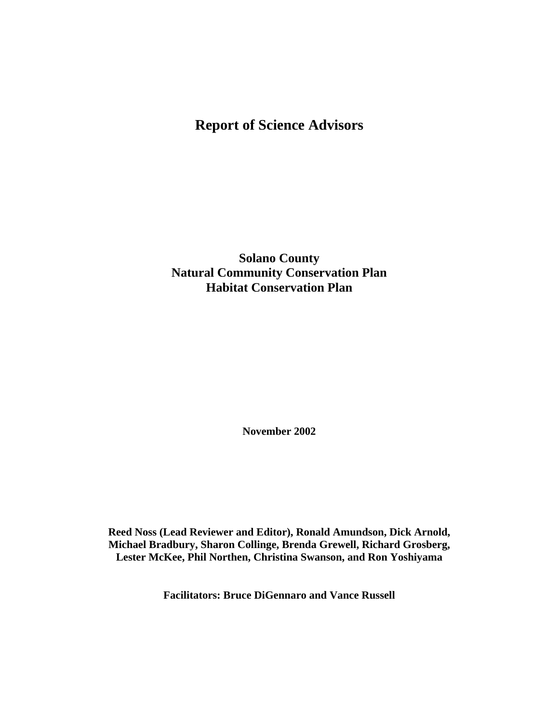# **Report of Science Advisors**

**Solano County Natural Community Conservation Plan Habitat Conservation Plan** 

**November 2002** 

**Reed Noss (Lead Reviewer and Editor), Ronald Amundson, Dick Arnold, Michael Bradbury, Sharon Collinge, Brenda Grewell, Richard Grosberg, Lester McKee, Phil Northen, Christina Swanson, and Ron Yoshiyama** 

**Facilitators: Bruce DiGennaro and Vance Russell**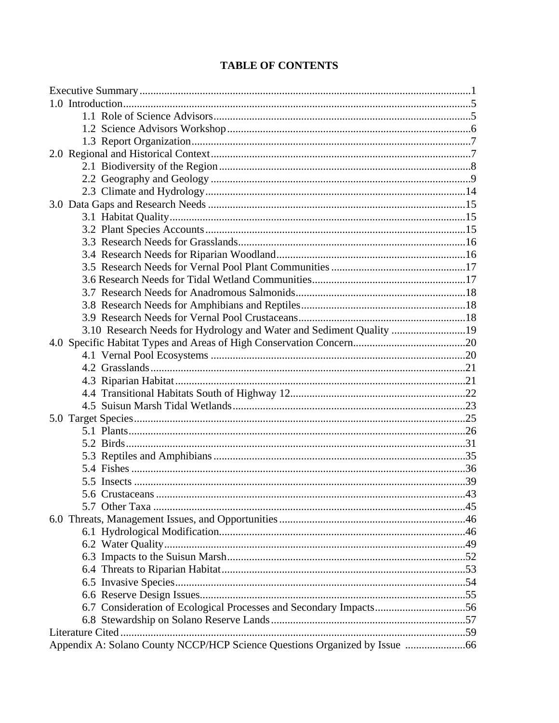| 3.10 Research Needs for Hydrology and Water and Sediment Quality 19 |  |
|---------------------------------------------------------------------|--|
|                                                                     |  |
|                                                                     |  |
|                                                                     |  |
|                                                                     |  |
|                                                                     |  |
|                                                                     |  |
|                                                                     |  |
|                                                                     |  |
|                                                                     |  |
|                                                                     |  |
|                                                                     |  |
|                                                                     |  |
|                                                                     |  |
|                                                                     |  |
|                                                                     |  |
|                                                                     |  |
|                                                                     |  |
|                                                                     |  |
|                                                                     |  |
|                                                                     |  |
|                                                                     |  |
|                                                                     |  |
|                                                                     |  |
|                                                                     |  |
|                                                                     |  |

# **TABLE OF CONTENTS**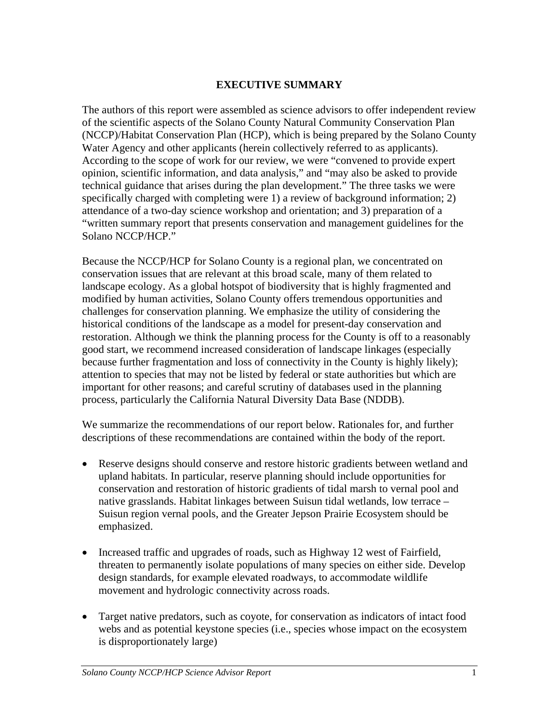### **EXECUTIVE SUMMARY**

The authors of this report were assembled as science advisors to offer independent review of the scientific aspects of the Solano County Natural Community Conservation Plan (NCCP)/Habitat Conservation Plan (HCP), which is being prepared by the Solano County Water Agency and other applicants (herein collectively referred to as applicants). According to the scope of work for our review, we were "convened to provide expert opinion, scientific information, and data analysis," and "may also be asked to provide technical guidance that arises during the plan development." The three tasks we were specifically charged with completing were 1) a review of background information; 2) attendance of a two-day science workshop and orientation; and 3) preparation of a "written summary report that presents conservation and management guidelines for the Solano NCCP/HCP."

Because the NCCP/HCP for Solano County is a regional plan, we concentrated on conservation issues that are relevant at this broad scale, many of them related to landscape ecology. As a global hotspot of biodiversity that is highly fragmented and modified by human activities, Solano County offers tremendous opportunities and challenges for conservation planning. We emphasize the utility of considering the historical conditions of the landscape as a model for present-day conservation and restoration. Although we think the planning process for the County is off to a reasonably good start, we recommend increased consideration of landscape linkages (especially because further fragmentation and loss of connectivity in the County is highly likely); attention to species that may not be listed by federal or state authorities but which are important for other reasons; and careful scrutiny of databases used in the planning process, particularly the California Natural Diversity Data Base (NDDB).

We summarize the recommendations of our report below. Rationales for, and further descriptions of these recommendations are contained within the body of the report.

- Reserve designs should conserve and restore historic gradients between wetland and upland habitats. In particular, reserve planning should include opportunities for conservation and restoration of historic gradients of tidal marsh to vernal pool and native grasslands. Habitat linkages between Suisun tidal wetlands, low terrace – Suisun region vernal pools, and the Greater Jepson Prairie Ecosystem should be emphasized.
- Increased traffic and upgrades of roads, such as Highway 12 west of Fairfield, threaten to permanently isolate populations of many species on either side. Develop design standards, for example elevated roadways, to accommodate wildlife movement and hydrologic connectivity across roads.
- Target native predators, such as coyote, for conservation as indicators of intact food webs and as potential keystone species (i.e., species whose impact on the ecosystem is disproportionately large)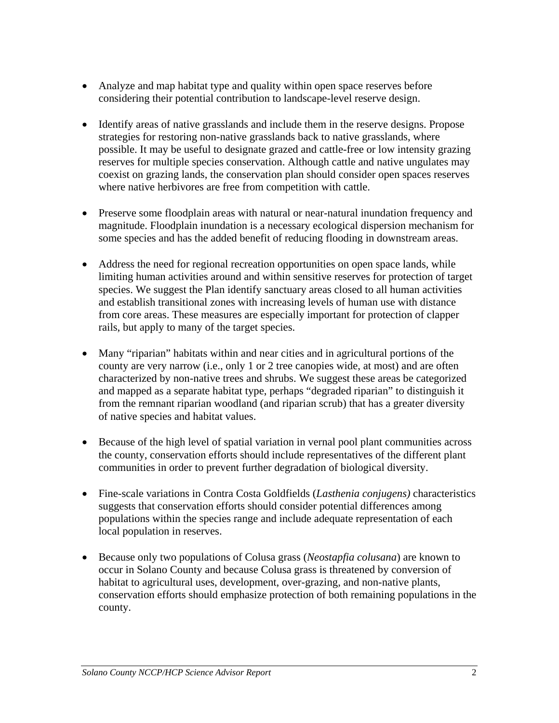- Analyze and map habitat type and quality within open space reserves before considering their potential contribution to landscape-level reserve design.
- Identify areas of native grasslands and include them in the reserve designs. Propose strategies for restoring non-native grasslands back to native grasslands, where possible. It may be useful to designate grazed and cattle-free or low intensity grazing reserves for multiple species conservation. Although cattle and native ungulates may coexist on grazing lands, the conservation plan should consider open spaces reserves where native herbivores are free from competition with cattle.
- Preserve some floodplain areas with natural or near-natural inundation frequency and magnitude. Floodplain inundation is a necessary ecological dispersion mechanism for some species and has the added benefit of reducing flooding in downstream areas.
- Address the need for regional recreation opportunities on open space lands, while limiting human activities around and within sensitive reserves for protection of target species. We suggest the Plan identify sanctuary areas closed to all human activities and establish transitional zones with increasing levels of human use with distance from core areas. These measures are especially important for protection of clapper rails, but apply to many of the target species.
- Many "riparian" habitats within and near cities and in agricultural portions of the county are very narrow (i.e., only 1 or 2 tree canopies wide, at most) and are often characterized by non-native trees and shrubs. We suggest these areas be categorized and mapped as a separate habitat type, perhaps "degraded riparian" to distinguish it from the remnant riparian woodland (and riparian scrub) that has a greater diversity of native species and habitat values.
- Because of the high level of spatial variation in vernal pool plant communities across the county, conservation efforts should include representatives of the different plant communities in order to prevent further degradation of biological diversity.
- Fine-scale variations in Contra Costa Goldfields (*Lasthenia conjugens)* characteristics suggests that conservation efforts should consider potential differences among populations within the species range and include adequate representation of each local population in reserves.
- Because only two populations of Colusa grass (*Neostapfia colusana*) are known to occur in Solano County and because Colusa grass is threatened by conversion of habitat to agricultural uses, development, over-grazing, and non-native plants, conservation efforts should emphasize protection of both remaining populations in the county.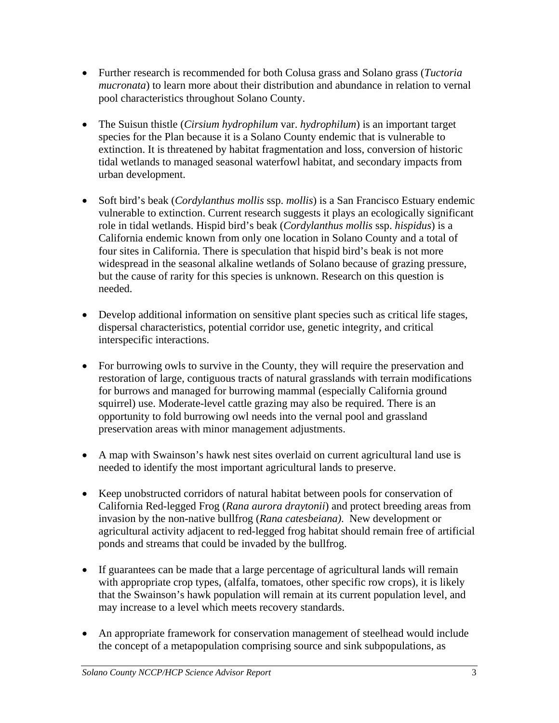- Further research is recommended for both Colusa grass and Solano grass (*Tuctoria mucronata*) to learn more about their distribution and abundance in relation to vernal pool characteristics throughout Solano County.
- The Suisun thistle *(Cirsium hydrophilum var. hydrophilum*) is an important target species for the Plan because it is a Solano County endemic that is vulnerable to extinction. It is threatened by habitat fragmentation and loss, conversion of historic tidal wetlands to managed seasonal waterfowl habitat, and secondary impacts from urban development.
- Soft bird's beak (*Cordylanthus mollis* ssp. *mollis*) is a San Francisco Estuary endemic vulnerable to extinction. Current research suggests it plays an ecologically significant role in tidal wetlands. Hispid bird's beak (*Cordylanthus mollis* ssp. *hispidus*) is a California endemic known from only one location in Solano County and a total of four sites in California. There is speculation that hispid bird's beak is not more widespread in the seasonal alkaline wetlands of Solano because of grazing pressure, but the cause of rarity for this species is unknown. Research on this question is needed.
- Develop additional information on sensitive plant species such as critical life stages, dispersal characteristics, potential corridor use, genetic integrity, and critical interspecific interactions.
- For burrowing owls to survive in the County, they will require the preservation and restoration of large, contiguous tracts of natural grasslands with terrain modifications for burrows and managed for burrowing mammal (especially California ground squirrel) use. Moderate-level cattle grazing may also be required. There is an opportunity to fold burrowing owl needs into the vernal pool and grassland preservation areas with minor management adjustments.
- A map with Swainson's hawk nest sites overlaid on current agricultural land use is needed to identify the most important agricultural lands to preserve.
- Keep unobstructed corridors of natural habitat between pools for conservation of California Red-legged Frog (*Rana aurora draytonii*) and protect breeding areas from invasion by the non-native bullfrog (*Rana catesbeiana)*. New development or agricultural activity adjacent to red-legged frog habitat should remain free of artificial ponds and streams that could be invaded by the bullfrog.
- If guarantees can be made that a large percentage of agricultural lands will remain with appropriate crop types, (alfalfa, tomatoes, other specific row crops), it is likely that the Swainson's hawk population will remain at its current population level, and may increase to a level which meets recovery standards.
- An appropriate framework for conservation management of steelhead would include the concept of a metapopulation comprising source and sink subpopulations, as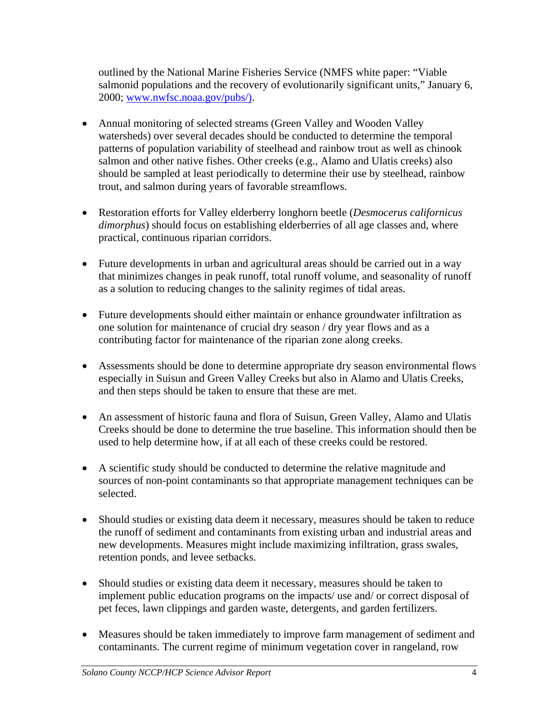outlined by the National Marine Fisheries Service (NMFS white paper: "Viable salmonid populations and the recovery of evolutionarily significant units," January 6, 2000; www.nwfsc.noaa.gov/pubs/).

- Annual monitoring of selected streams (Green Valley and Wooden Valley watersheds) over several decades should be conducted to determine the temporal patterns of population variability of steelhead and rainbow trout as well as chinook salmon and other native fishes. Other creeks (e.g., Alamo and Ulatis creeks) also should be sampled at least periodically to determine their use by steelhead, rainbow trout, and salmon during years of favorable streamflows.
- Restoration efforts for Valley elderberry longhorn beetle (*Desmocerus californicus dimorphus*) should focus on establishing elderberries of all age classes and, where practical, continuous riparian corridors.
- Future developments in urban and agricultural areas should be carried out in a way that minimizes changes in peak runoff, total runoff volume, and seasonality of runoff as a solution to reducing changes to the salinity regimes of tidal areas.
- Future developments should either maintain or enhance groundwater infiltration as one solution for maintenance of crucial dry season / dry year flows and as a contributing factor for maintenance of the riparian zone along creeks.
- Assessments should be done to determine appropriate dry season environmental flows especially in Suisun and Green Valley Creeks but also in Alamo and Ulatis Creeks, and then steps should be taken to ensure that these are met.
- An assessment of historic fauna and flora of Suisun, Green Valley, Alamo and Ulatis Creeks should be done to determine the true baseline. This information should then be used to help determine how, if at all each of these creeks could be restored.
- A scientific study should be conducted to determine the relative magnitude and sources of non-point contaminants so that appropriate management techniques can be selected.
- Should studies or existing data deem it necessary, measures should be taken to reduce the runoff of sediment and contaminants from existing urban and industrial areas and new developments. Measures might include maximizing infiltration, grass swales, retention ponds, and levee setbacks.
- Should studies or existing data deem it necessary, measures should be taken to implement public education programs on the impacts/ use and/ or correct disposal of pet feces, lawn clippings and garden waste, detergents, and garden fertilizers.
- Measures should be taken immediately to improve farm management of sediment and contaminants. The current regime of minimum vegetation cover in rangeland, row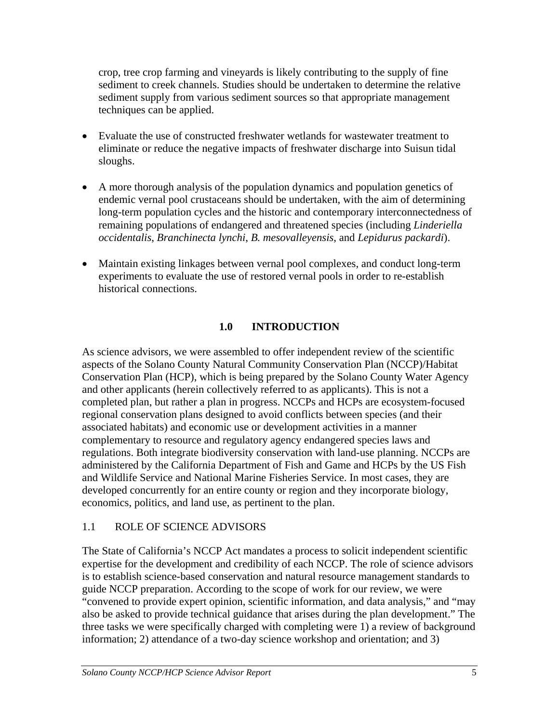crop, tree crop farming and vineyards is likely contributing to the supply of fine sediment to creek channels. Studies should be undertaken to determine the relative sediment supply from various sediment sources so that appropriate management techniques can be applied.

- Evaluate the use of constructed freshwater wetlands for wastewater treatment to eliminate or reduce the negative impacts of freshwater discharge into Suisun tidal sloughs.
- A more thorough analysis of the population dynamics and population genetics of endemic vernal pool crustaceans should be undertaken, with the aim of determining long-term population cycles and the historic and contemporary interconnectedness of remaining populations of endangered and threatened species (including *Linderiella occidentalis*, *Branchinecta lynchi*, *B. mesovalleyensis*, and *Lepidurus packardi*).
- Maintain existing linkages between vernal pool complexes, and conduct long-term experiments to evaluate the use of restored vernal pools in order to re-establish historical connections.

## **1.0 INTRODUCTION**

As science advisors, we were assembled to offer independent review of the scientific aspects of the Solano County Natural Community Conservation Plan (NCCP)/Habitat Conservation Plan (HCP), which is being prepared by the Solano County Water Agency and other applicants (herein collectively referred to as applicants). This is not a completed plan, but rather a plan in progress. NCCPs and HCPs are ecosystem-focused regional conservation plans designed to avoid conflicts between species (and their associated habitats) and economic use or development activities in a manner complementary to resource and regulatory agency endangered species laws and regulations. Both integrate biodiversity conservation with land-use planning. NCCPs are administered by the California Department of Fish and Game and HCPs by the US Fish and Wildlife Service and National Marine Fisheries Service. In most cases, they are developed concurrently for an entire county or region and they incorporate biology, economics, politics, and land use, as pertinent to the plan.

## 1.1 ROLE OF SCIENCE ADVISORS

The State of California's NCCP Act mandates a process to solicit independent scientific expertise for the development and credibility of each NCCP. The role of science advisors is to establish science-based conservation and natural resource management standards to guide NCCP preparation. According to the scope of work for our review, we were "convened to provide expert opinion, scientific information, and data analysis," and "may also be asked to provide technical guidance that arises during the plan development." The three tasks we were specifically charged with completing were 1) a review of background information; 2) attendance of a two-day science workshop and orientation; and 3)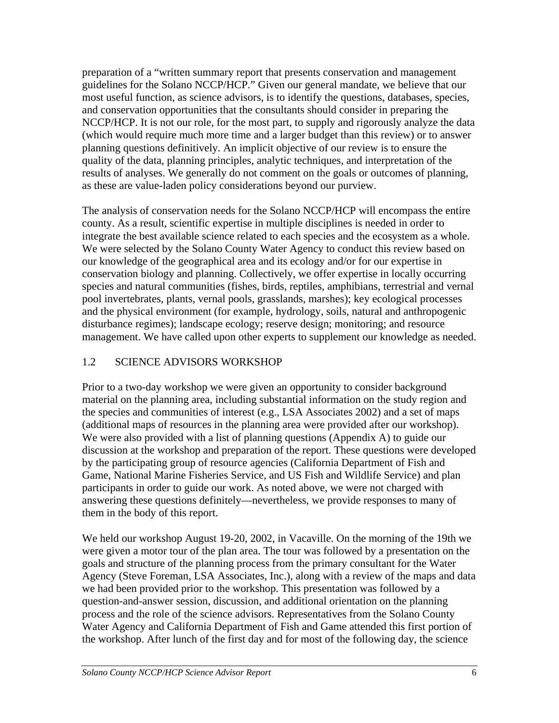preparation of a "written summary report that presents conservation and management guidelines for the Solano NCCP/HCP." Given our general mandate, we believe that our most useful function, as science advisors, is to identify the questions, databases, species, and conservation opportunities that the consultants should consider in preparing the NCCP/HCP. It is not our role, for the most part, to supply and rigorously analyze the data (which would require much more time and a larger budget than this review) or to answer planning questions definitively. An implicit objective of our review is to ensure the quality of the data, planning principles, analytic techniques, and interpretation of the results of analyses. We generally do not comment on the goals or outcomes of planning, as these are value-laden policy considerations beyond our purview.

The analysis of conservation needs for the Solano NCCP/HCP will encompass the entire county. As a result, scientific expertise in multiple disciplines is needed in order to integrate the best available science related to each species and the ecosystem as a whole. We were selected by the Solano County Water Agency to conduct this review based on our knowledge of the geographical area and its ecology and/or for our expertise in conservation biology and planning. Collectively, we offer expertise in locally occurring species and natural communities (fishes, birds, reptiles, amphibians, terrestrial and vernal pool invertebrates, plants, vernal pools, grasslands, marshes); key ecological processes and the physical environment (for example, hydrology, soils, natural and anthropogenic disturbance regimes); landscape ecology; reserve design; monitoring; and resource management. We have called upon other experts to supplement our knowledge as needed.

## 1.2 SCIENCE ADVISORS WORKSHOP

Prior to a two-day workshop we were given an opportunity to consider background material on the planning area, including substantial information on the study region and the species and communities of interest (e.g., LSA Associates 2002) and a set of maps (additional maps of resources in the planning area were provided after our workshop). We were also provided with a list of planning questions (Appendix A) to guide our discussion at the workshop and preparation of the report. These questions were developed by the participating group of resource agencies (California Department of Fish and Game, National Marine Fisheries Service, and US Fish and Wildlife Service) and plan participants in order to guide our work. As noted above, we were not charged with answering these questions definitely—nevertheless, we provide responses to many of them in the body of this report.

We held our workshop August 19-20, 2002, in Vacaville. On the morning of the 19th we were given a motor tour of the plan area. The tour was followed by a presentation on the goals and structure of the planning process from the primary consultant for the Water Agency (Steve Foreman, LSA Associates, Inc.), along with a review of the maps and data we had been provided prior to the workshop. This presentation was followed by a question-and-answer session, discussion, and additional orientation on the planning process and the role of the science advisors. Representatives from the Solano County Water Agency and California Department of Fish and Game attended this first portion of the workshop. After lunch of the first day and for most of the following day, the science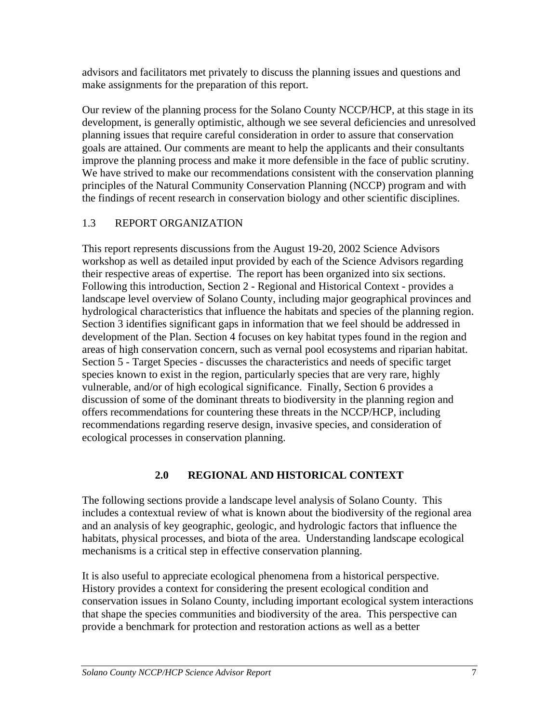advisors and facilitators met privately to discuss the planning issues and questions and make assignments for the preparation of this report.

Our review of the planning process for the Solano County NCCP/HCP, at this stage in its development, is generally optimistic, although we see several deficiencies and unresolved planning issues that require careful consideration in order to assure that conservation goals are attained. Our comments are meant to help the applicants and their consultants improve the planning process and make it more defensible in the face of public scrutiny. We have strived to make our recommendations consistent with the conservation planning principles of the Natural Community Conservation Planning (NCCP) program and with the findings of recent research in conservation biology and other scientific disciplines.

## 1.3 REPORT ORGANIZATION

This report represents discussions from the August 19-20, 2002 Science Advisors workshop as well as detailed input provided by each of the Science Advisors regarding their respective areas of expertise. The report has been organized into six sections. Following this introduction, Section 2 - Regional and Historical Context - provides a landscape level overview of Solano County, including major geographical provinces and hydrological characteristics that influence the habitats and species of the planning region. Section 3 identifies significant gaps in information that we feel should be addressed in development of the Plan. Section 4 focuses on key habitat types found in the region and areas of high conservation concern, such as vernal pool ecosystems and riparian habitat. Section 5 - Target Species - discusses the characteristics and needs of specific target species known to exist in the region, particularly species that are very rare, highly vulnerable, and/or of high ecological significance. Finally, Section 6 provides a discussion of some of the dominant threats to biodiversity in the planning region and offers recommendations for countering these threats in the NCCP/HCP, including recommendations regarding reserve design, invasive species, and consideration of ecological processes in conservation planning.

## **2.0 REGIONAL AND HISTORICAL CONTEXT**

The following sections provide a landscape level analysis of Solano County. This includes a contextual review of what is known about the biodiversity of the regional area and an analysis of key geographic, geologic, and hydrologic factors that influence the habitats, physical processes, and biota of the area. Understanding landscape ecological mechanisms is a critical step in effective conservation planning.

It is also useful to appreciate ecological phenomena from a historical perspective. History provides a context for considering the present ecological condition and conservation issues in Solano County, including important ecological system interactions that shape the species communities and biodiversity of the area. This perspective can provide a benchmark for protection and restoration actions as well as a better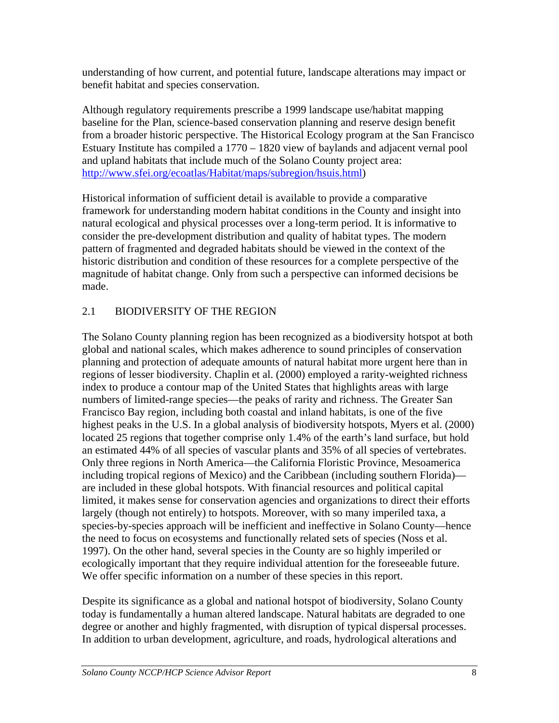understanding of how current, and potential future, landscape alterations may impact or benefit habitat and species conservation.

Although regulatory requirements prescribe a 1999 landscape use/habitat mapping baseline for the Plan, science-based conservation planning and reserve design benefit from a broader historic perspective. The Historical Ecology program at the San Francisco Estuary Institute has compiled a 1770 – 1820 view of baylands and adjacent vernal pool and upland habitats that include much of the Solano County project area: [http://www.sfei.org/ecoatlas/Habitat/maps/subregion/hsuis.html\)](http://www.sfei.org/ecoatlas/Habitat/maps/subregion/hsuis.html)

Historical information of sufficient detail is available to provide a comparative framework for understanding modern habitat conditions in the County and insight into natural ecological and physical processes over a long-term period. It is informative to consider the pre-development distribution and quality of habitat types. The modern pattern of fragmented and degraded habitats should be viewed in the context of the historic distribution and condition of these resources for a complete perspective of the magnitude of habitat change. Only from such a perspective can informed decisions be made.

## 2.1 BIODIVERSITY OF THE REGION

The Solano County planning region has been recognized as a biodiversity hotspot at both global and national scales, which makes adherence to sound principles of conservation planning and protection of adequate amounts of natural habitat more urgent here than in regions of lesser biodiversity. Chaplin et al. (2000) employed a rarity-weighted richness index to produce a contour map of the United States that highlights areas with large numbers of limited-range species—the peaks of rarity and richness. The Greater San Francisco Bay region, including both coastal and inland habitats, is one of the five highest peaks in the U.S. In a global analysis of biodiversity hotspots, Myers et al. (2000) located 25 regions that together comprise only 1.4% of the earth's land surface, but hold an estimated 44% of all species of vascular plants and 35% of all species of vertebrates. Only three regions in North America—the California Floristic Province, Mesoamerica including tropical regions of Mexico) and the Caribbean (including southern Florida) are included in these global hotspots. With financial resources and political capital limited, it makes sense for conservation agencies and organizations to direct their efforts largely (though not entirely) to hotspots. Moreover, with so many imperiled taxa, a species-by-species approach will be inefficient and ineffective in Solano County—hence the need to focus on ecosystems and functionally related sets of species (Noss et al. 1997). On the other hand, several species in the County are so highly imperiled or ecologically important that they require individual attention for the foreseeable future. We offer specific information on a number of these species in this report.

Despite its significance as a global and national hotspot of biodiversity, Solano County today is fundamentally a human altered landscape. Natural habitats are degraded to one degree or another and highly fragmented, with disruption of typical dispersal processes. In addition to urban development, agriculture, and roads, hydrological alterations and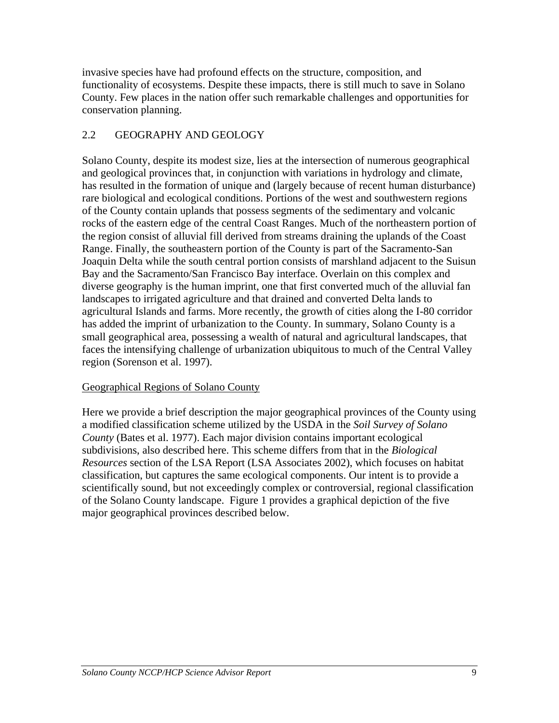invasive species have had profound effects on the structure, composition, and functionality of ecosystems. Despite these impacts, there is still much to save in Solano County. Few places in the nation offer such remarkable challenges and opportunities for conservation planning.

## 2.2 GEOGRAPHY AND GEOLOGY

Solano County, despite its modest size, lies at the intersection of numerous geographical and geological provinces that, in conjunction with variations in hydrology and climate, has resulted in the formation of unique and (largely because of recent human disturbance) rare biological and ecological conditions. Portions of the west and southwestern regions of the County contain uplands that possess segments of the sedimentary and volcanic rocks of the eastern edge of the central Coast Ranges. Much of the northeastern portion of the region consist of alluvial fill derived from streams draining the uplands of the Coast Range. Finally, the southeastern portion of the County is part of the Sacramento-San Joaquin Delta while the south central portion consists of marshland adjacent to the Suisun Bay and the Sacramento/San Francisco Bay interface. Overlain on this complex and diverse geography is the human imprint, one that first converted much of the alluvial fan landscapes to irrigated agriculture and that drained and converted Delta lands to agricultural Islands and farms. More recently, the growth of cities along the I-80 corridor has added the imprint of urbanization to the County. In summary, Solano County is a small geographical area, possessing a wealth of natural and agricultural landscapes, that faces the intensifying challenge of urbanization ubiquitous to much of the Central Valley region (Sorenson et al. 1997).

## Geographical Regions of Solano County

Here we provide a brief description the major geographical provinces of the County using a modified classification scheme utilized by the USDA in the *Soil Survey of Solano County* (Bates et al. 1977). Each major division contains important ecological subdivisions, also described here. This scheme differs from that in the *Biological Resources* section of the LSA Report (LSA Associates 2002), which focuses on habitat classification, but captures the same ecological components. Our intent is to provide a scientifically sound, but not exceedingly complex or controversial, regional classification of the Solano County landscape. Figure 1 provides a graphical depiction of the five major geographical provinces described below.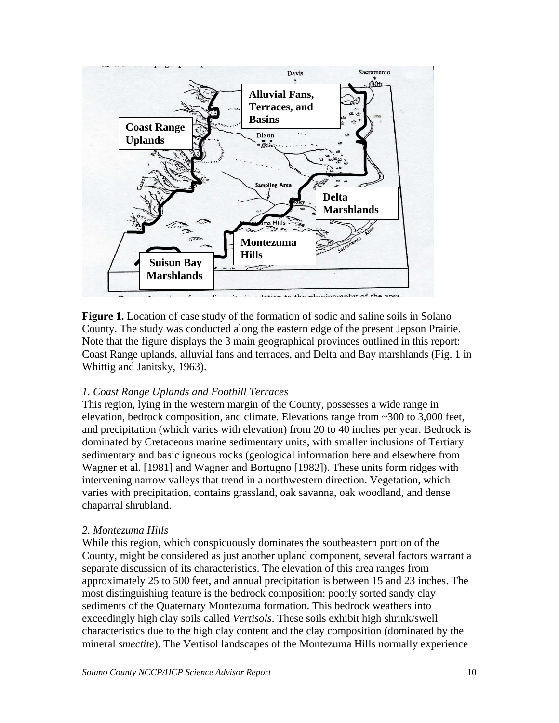

Figure 1. Location of case study of the formation of sodic and saline soils in Solano County. The study was conducted along the eastern edge of the present Jepson Prairie. Note that the figure displays the 3 main geographical provinces outlined in this report: Coast Range uplands, alluvial fans and terraces, and Delta and Bay marshlands (Fig. 1 in Whittig and Janitsky, 1963).

#### *1. Coast Range Uplands and Foothill Terraces*

This region, lying in the western margin of the County, possesses a wide range in elevation, bedrock composition, and climate. Elevations range from ~300 to 3,000 feet, and precipitation (which varies with elevation) from 20 to 40 inches per year. Bedrock is dominated by Cretaceous marine sedimentary units, with smaller inclusions of Tertiary sedimentary and basic igneous rocks (geological information here and elsewhere from Wagner et al. [1981] and Wagner and Bortugno [1982]). These units form ridges with intervening narrow valleys that trend in a northwestern direction. Vegetation, which varies with precipitation, contains grassland, oak savanna, oak woodland, and dense chaparral shrubland.

#### *2. Montezuma Hills*

While this region, which conspicuously dominates the southeastern portion of the County, might be considered as just another upland component, several factors warrant a separate discussion of its characteristics. The elevation of this area ranges from approximately 25 to 500 feet, and annual precipitation is between 15 and 23 inches. The most distinguishing feature is the bedrock composition: poorly sorted sandy clay sediments of the Quaternary Montezuma formation. This bedrock weathers into exceedingly high clay soils called *Vertisols*. These soils exhibit high shrink/swell characteristics due to the high clay content and the clay composition (dominated by the mineral *smectite*). The Vertisol landscapes of the Montezuma Hills normally experience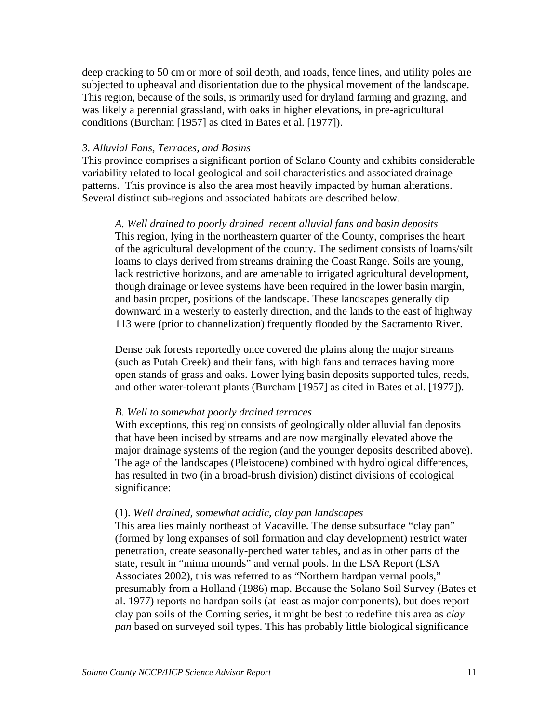deep cracking to 50 cm or more of soil depth, and roads, fence lines, and utility poles are subjected to upheaval and disorientation due to the physical movement of the landscape. This region, because of the soils, is primarily used for dryland farming and grazing, and was likely a perennial grassland, with oaks in higher elevations, in pre-agricultural conditions (Burcham [1957] as cited in Bates et al. [1977]).

#### *3. Alluvial Fans, Terraces, and Basins*

This province comprises a significant portion of Solano County and exhibits considerable variability related to local geological and soil characteristics and associated drainage patterns. This province is also the area most heavily impacted by human alterations. Several distinct sub-regions and associated habitats are described below.

*A. Well drained to poorly drained recent alluvial fans and basin deposits*  This region, lying in the northeastern quarter of the County, comprises the heart of the agricultural development of the county. The sediment consists of loams/silt loams to clays derived from streams draining the Coast Range. Soils are young, lack restrictive horizons, and are amenable to irrigated agricultural development, though drainage or levee systems have been required in the lower basin margin, and basin proper, positions of the landscape. These landscapes generally dip downward in a westerly to easterly direction, and the lands to the east of highway 113 were (prior to channelization) frequently flooded by the Sacramento River.

Dense oak forests reportedly once covered the plains along the major streams (such as Putah Creek) and their fans, with high fans and terraces having more open stands of grass and oaks. Lower lying basin deposits supported tules, reeds, and other water-tolerant plants (Burcham [1957] as cited in Bates et al. [1977]).

#### *B. Well to somewhat poorly drained terraces*

With exceptions, this region consists of geologically older alluvial fan deposits that have been incised by streams and are now marginally elevated above the major drainage systems of the region (and the younger deposits described above). The age of the landscapes (Pleistocene) combined with hydrological differences, has resulted in two (in a broad-brush division) distinct divisions of ecological significance:

#### (1). *Well drained, somewhat acidic, clay pan landscapes*

This area lies mainly northeast of Vacaville. The dense subsurface "clay pan" (formed by long expanses of soil formation and clay development) restrict water penetration, create seasonally-perched water tables, and as in other parts of the state, result in "mima mounds" and vernal pools. In the LSA Report (LSA Associates 2002), this was referred to as "Northern hardpan vernal pools," presumably from a Holland (1986) map. Because the Solano Soil Survey (Bates et al. 1977) reports no hardpan soils (at least as major components), but does report clay pan soils of the Corning series, it might be best to redefine this area as *clay pan* based on surveyed soil types. This has probably little biological significance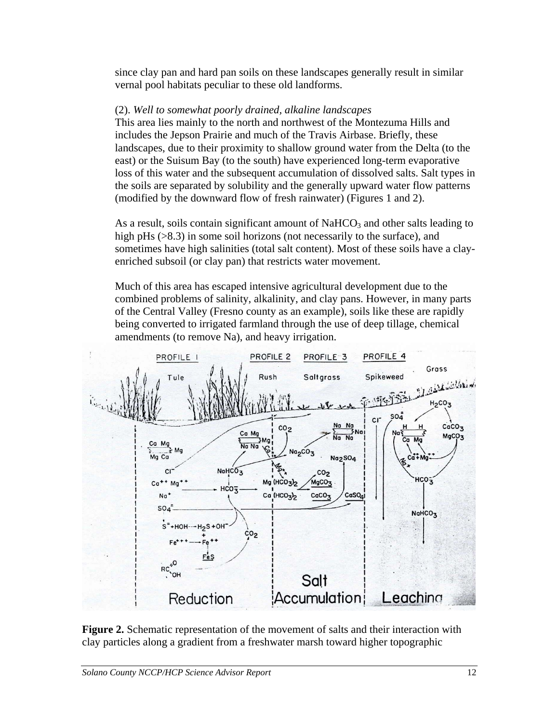since clay pan and hard pan soils on these landscapes generally result in similar vernal pool habitats peculiar to these old landforms.

#### (2). *Well to somewhat poorly drained, alkaline landscapes*

This area lies mainly to the north and northwest of the Montezuma Hills and includes the Jepson Prairie and much of the Travis Airbase. Briefly, these landscapes, due to their proximity to shallow ground water from the Delta (to the east) or the Suisum Bay (to the south) have experienced long-term evaporative loss of this water and the subsequent accumulation of dissolved salts. Salt types in the soils are separated by solubility and the generally upward water flow patterns (modified by the downward flow of fresh rainwater) (Figures 1 and 2).

As a result, soils contain significant amount of  $NAHCO<sub>3</sub>$  and other salts leading to high pHs ( $>8.3$ ) in some soil horizons (not necessarily to the surface), and sometimes have high salinities (total salt content). Most of these soils have a clayenriched subsoil (or clay pan) that restricts water movement.

Much of this area has escaped intensive agricultural development due to the combined problems of salinity, alkalinity, and clay pans. However, in many parts of the Central Valley (Fresno county as an example), soils like these are rapidly being converted to irrigated farmland through the use of deep tillage, chemical amendments (to remove Na), and heavy irrigation.



**Figure 2.** Schematic representation of the movement of salts and their interaction with clay particles along a gradient from a freshwater marsh toward higher topographic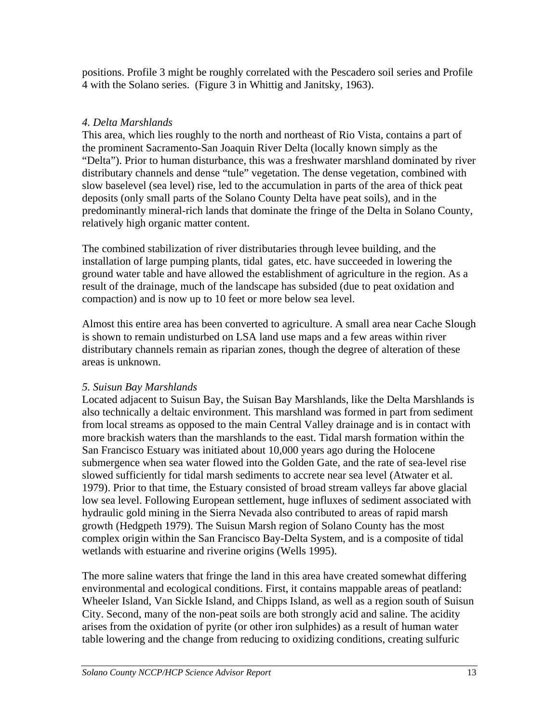positions. Profile 3 might be roughly correlated with the Pescadero soil series and Profile 4 with the Solano series. (Figure 3 in Whittig and Janitsky, 1963).

### *4. Delta Marshlands*

This area, which lies roughly to the north and northeast of Rio Vista, contains a part of the prominent Sacramento-San Joaquin River Delta (locally known simply as the "Delta"). Prior to human disturbance, this was a freshwater marshland dominated by river distributary channels and dense "tule" vegetation. The dense vegetation, combined with slow baselevel (sea level) rise, led to the accumulation in parts of the area of thick peat deposits (only small parts of the Solano County Delta have peat soils), and in the predominantly mineral-rich lands that dominate the fringe of the Delta in Solano County, relatively high organic matter content.

The combined stabilization of river distributaries through levee building, and the installation of large pumping plants, tidal gates, etc. have succeeded in lowering the ground water table and have allowed the establishment of agriculture in the region. As a result of the drainage, much of the landscape has subsided (due to peat oxidation and compaction) and is now up to 10 feet or more below sea level.

Almost this entire area has been converted to agriculture. A small area near Cache Slough is shown to remain undisturbed on LSA land use maps and a few areas within river distributary channels remain as riparian zones, though the degree of alteration of these areas is unknown.

#### *5. Suisun Bay Marshlands*

Located adjacent to Suisun Bay, the Suisan Bay Marshlands, like the Delta Marshlands is also technically a deltaic environment. This marshland was formed in part from sediment from local streams as opposed to the main Central Valley drainage and is in contact with more brackish waters than the marshlands to the east. Tidal marsh formation within the San Francisco Estuary was initiated about 10,000 years ago during the Holocene submergence when sea water flowed into the Golden Gate, and the rate of sea-level rise slowed sufficiently for tidal marsh sediments to accrete near sea level (Atwater et al. 1979). Prior to that time, the Estuary consisted of broad stream valleys far above glacial low sea level. Following European settlement, huge influxes of sediment associated with hydraulic gold mining in the Sierra Nevada also contributed to areas of rapid marsh growth (Hedgpeth 1979). The Suisun Marsh region of Solano County has the most complex origin within the San Francisco Bay-Delta System, and is a composite of tidal wetlands with estuarine and riverine origins (Wells 1995).

The more saline waters that fringe the land in this area have created somewhat differing environmental and ecological conditions. First, it contains mappable areas of peatland: Wheeler Island, Van Sickle Island, and Chipps Island, as well as a region south of Suisun City. Second, many of the non-peat soils are both strongly acid and saline. The acidity arises from the oxidation of pyrite (or other iron sulphides) as a result of human water table lowering and the change from reducing to oxidizing conditions, creating sulfuric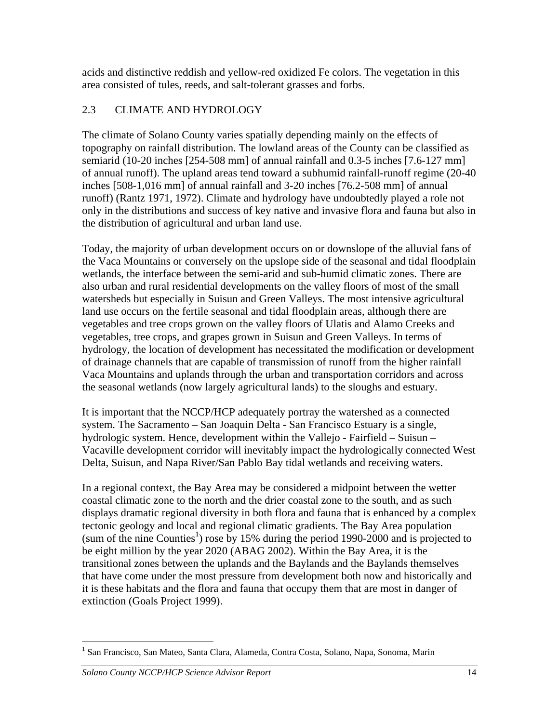acids and distinctive reddish and yellow-red oxidized Fe colors. The vegetation in this area consisted of tules, reeds, and salt-tolerant grasses and forbs.

## 2.3 CLIMATE AND HYDROLOGY

The climate of Solano County varies spatially depending mainly on the effects of topography on rainfall distribution. The lowland areas of the County can be classified as semiarid (10-20 inches [254-508 mm] of annual rainfall and 0.3-5 inches [7.6-127 mm] of annual runoff). The upland areas tend toward a subhumid rainfall-runoff regime (20-40 inches [508-1,016 mm] of annual rainfall and 3-20 inches [76.2-508 mm] of annual runoff) (Rantz 1971, 1972). Climate and hydrology have undoubtedly played a role not only in the distributions and success of key native and invasive flora and fauna but also in the distribution of agricultural and urban land use.

Today, the majority of urban development occurs on or downslope of the alluvial fans of the Vaca Mountains or conversely on the upslope side of the seasonal and tidal floodplain wetlands, the interface between the semi-arid and sub-humid climatic zones. There are also urban and rural residential developments on the valley floors of most of the small watersheds but especially in Suisun and Green Valleys. The most intensive agricultural land use occurs on the fertile seasonal and tidal floodplain areas, although there are vegetables and tree crops grown on the valley floors of Ulatis and Alamo Creeks and vegetables, tree crops, and grapes grown in Suisun and Green Valleys. In terms of hydrology, the location of development has necessitated the modification or development of drainage channels that are capable of transmission of runoff from the higher rainfall Vaca Mountains and uplands through the urban and transportation corridors and across the seasonal wetlands (now largely agricultural lands) to the sloughs and estuary.

It is important that the NCCP/HCP adequately portray the watershed as a connected system. The Sacramento – San Joaquin Delta - San Francisco Estuary is a single, hydrologic system. Hence, development within the Vallejo - Fairfield – Suisun – Vacaville development corridor will inevitably impact the hydrologically connected West Delta, Suisun, and Napa River/San Pablo Bay tidal wetlands and receiving waters.

In a regional context, the Bay Area may be considered a midpoint between the wetter coastal climatic zone to the north and the drier coastal zone to the south, and as such displays dramatic regional diversity in both flora and fauna that is enhanced by a complex tectonic geology and local and regional climatic gradients. The Bay Area population  $\text{(sum of the nine Counties}^1)$  $\text{(sum of the nine Counties}^1)$  $\text{(sum of the nine Counties}^1)$  rose by 15% during the period 1990-2000 and is projected to be eight million by the year 2020 (ABAG 2002). Within the Bay Area, it is the transitional zones between the uplands and the Baylands and the Baylands themselves that have come under the most pressure from development both now and historically and it is these habitats and the flora and fauna that occupy them that are most in danger of extinction (Goals Project 1999).

 $\overline{a}$ 

<span id="page-15-0"></span><sup>&</sup>lt;sup>1</sup> San Francisco, San Mateo, Santa Clara, Alameda, Contra Costa, Solano, Napa, Sonoma, Marin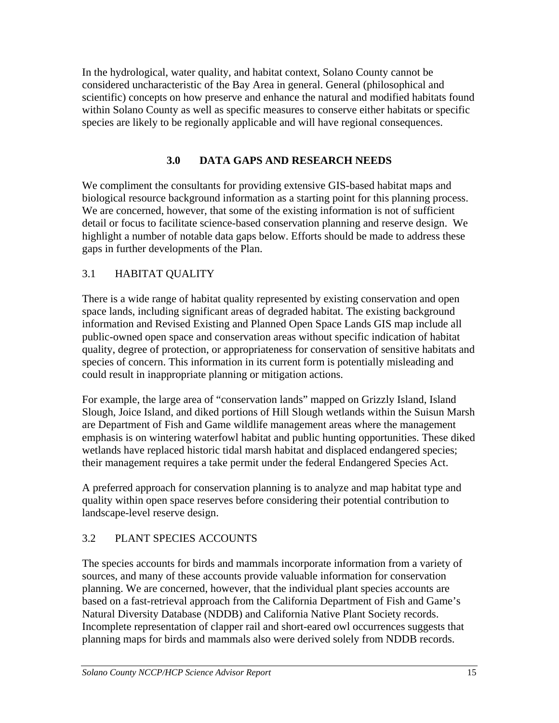In the hydrological, water quality, and habitat context, Solano County cannot be considered uncharacteristic of the Bay Area in general. General (philosophical and scientific) concepts on how preserve and enhance the natural and modified habitats found within Solano County as well as specific measures to conserve either habitats or specific species are likely to be regionally applicable and will have regional consequences.

## **3.0 DATA GAPS AND RESEARCH NEEDS**

We compliment the consultants for providing extensive GIS-based habitat maps and biological resource background information as a starting point for this planning process. We are concerned, however, that some of the existing information is not of sufficient detail or focus to facilitate science-based conservation planning and reserve design. We highlight a number of notable data gaps below. Efforts should be made to address these gaps in further developments of the Plan.

# 3.1 HABITAT QUALITY

There is a wide range of habitat quality represented by existing conservation and open space lands, including significant areas of degraded habitat. The existing background information and Revised Existing and Planned Open Space Lands GIS map include all public-owned open space and conservation areas without specific indication of habitat quality, degree of protection, or appropriateness for conservation of sensitive habitats and species of concern. This information in its current form is potentially misleading and could result in inappropriate planning or mitigation actions.

For example, the large area of "conservation lands" mapped on Grizzly Island, Island Slough, Joice Island, and diked portions of Hill Slough wetlands within the Suisun Marsh are Department of Fish and Game wildlife management areas where the management emphasis is on wintering waterfowl habitat and public hunting opportunities. These diked wetlands have replaced historic tidal marsh habitat and displaced endangered species; their management requires a take permit under the federal Endangered Species Act.

A preferred approach for conservation planning is to analyze and map habitat type and quality within open space reserves before considering their potential contribution to landscape-level reserve design.

# 3.2 PLANT SPECIES ACCOUNTS

The species accounts for birds and mammals incorporate information from a variety of sources, and many of these accounts provide valuable information for conservation planning. We are concerned, however, that the individual plant species accounts are based on a fast-retrieval approach from the California Department of Fish and Game's Natural Diversity Database (NDDB) and California Native Plant Society records. Incomplete representation of clapper rail and short-eared owl occurrences suggests that planning maps for birds and mammals also were derived solely from NDDB records.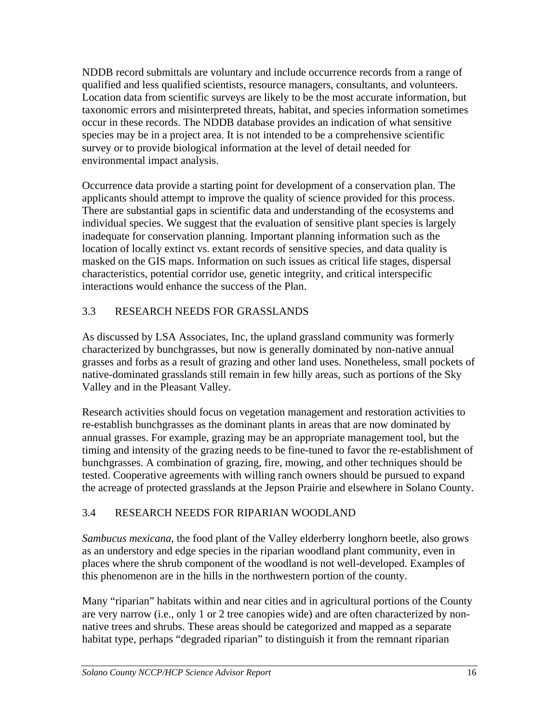NDDB record submittals are voluntary and include occurrence records from a range of qualified and less qualified scientists, resource managers, consultants, and volunteers. Location data from scientific surveys are likely to be the most accurate information, but taxonomic errors and misinterpreted threats, habitat, and species information sometimes occur in these records. The NDDB database provides an indication of what sensitive species may be in a project area. It is not intended to be a comprehensive scientific survey or to provide biological information at the level of detail needed for environmental impact analysis.

Occurrence data provide a starting point for development of a conservation plan. The applicants should attempt to improve the quality of science provided for this process. There are substantial gaps in scientific data and understanding of the ecosystems and individual species. We suggest that the evaluation of sensitive plant species is largely inadequate for conservation planning. Important planning information such as the location of locally extinct vs. extant records of sensitive species, and data quality is masked on the GIS maps. Information on such issues as critical life stages, dispersal characteristics, potential corridor use, genetic integrity, and critical interspecific interactions would enhance the success of the Plan.

# 3.3 RESEARCH NEEDS FOR GRASSLANDS

As discussed by LSA Associates, Inc, the upland grassland community was formerly characterized by bunchgrasses, but now is generally dominated by non-native annual grasses and forbs as a result of grazing and other land uses. Nonetheless, small pockets of native-dominated grasslands still remain in few hilly areas, such as portions of the Sky Valley and in the Pleasant Valley.

Research activities should focus on vegetation management and restoration activities to re-establish bunchgrasses as the dominant plants in areas that are now dominated by annual grasses. For example, grazing may be an appropriate management tool, but the timing and intensity of the grazing needs to be fine-tuned to favor the re-establishment of bunchgrasses. A combination of grazing, fire, mowing, and other techniques should be tested. Cooperative agreements with willing ranch owners should be pursued to expand the acreage of protected grasslands at the Jepson Prairie and elsewhere in Solano County.

# 3.4 RESEARCH NEEDS FOR RIPARIAN WOODLAND

*Sambucus mexicana*, the food plant of the Valley elderberry longhorn beetle, also grows as an understory and edge species in the riparian woodland plant community, even in places where the shrub component of the woodland is not well-developed. Examples of this phenomenon are in the hills in the northwestern portion of the county.

Many "riparian" habitats within and near cities and in agricultural portions of the County are very narrow (i.e., only 1 or 2 tree canopies wide) and are often characterized by nonnative trees and shrubs. These areas should be categorized and mapped as a separate habitat type, perhaps "degraded riparian" to distinguish it from the remnant riparian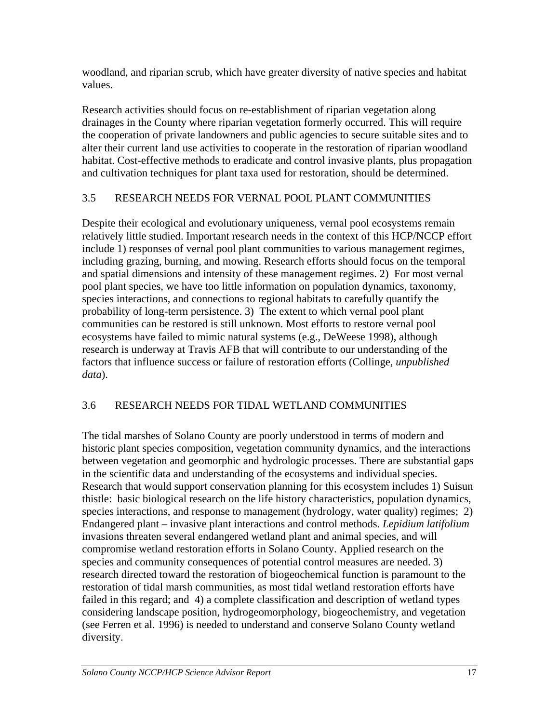woodland, and riparian scrub, which have greater diversity of native species and habitat values.

Research activities should focus on re-establishment of riparian vegetation along drainages in the County where riparian vegetation formerly occurred. This will require the cooperation of private landowners and public agencies to secure suitable sites and to alter their current land use activities to cooperate in the restoration of riparian woodland habitat. Cost-effective methods to eradicate and control invasive plants, plus propagation and cultivation techniques for plant taxa used for restoration, should be determined.

# 3.5 RESEARCH NEEDS FOR VERNAL POOL PLANT COMMUNITIES

Despite their ecological and evolutionary uniqueness, vernal pool ecosystems remain relatively little studied. Important research needs in the context of this HCP/NCCP effort include 1) responses of vernal pool plant communities to various management regimes, including grazing, burning, and mowing. Research efforts should focus on the temporal and spatial dimensions and intensity of these management regimes. 2) For most vernal pool plant species, we have too little information on population dynamics, taxonomy, species interactions, and connections to regional habitats to carefully quantify the probability of long-term persistence. 3) The extent to which vernal pool plant communities can be restored is still unknown. Most efforts to restore vernal pool ecosystems have failed to mimic natural systems (e.g., DeWeese 1998), although research is underway at Travis AFB that will contribute to our understanding of the factors that influence success or failure of restoration efforts (Collinge, *unpublished data*).

# 3.6 RESEARCH NEEDS FOR TIDAL WETLAND COMMUNITIES

The tidal marshes of Solano County are poorly understood in terms of modern and historic plant species composition, vegetation community dynamics, and the interactions between vegetation and geomorphic and hydrologic processes. There are substantial gaps in the scientific data and understanding of the ecosystems and individual species. Research that would support conservation planning for this ecosystem includes 1) Suisun thistle: basic biological research on the life history characteristics, population dynamics, species interactions, and response to management (hydrology, water quality) regimes; 2) Endangered plant – invasive plant interactions and control methods. *Lepidium latifolium* invasions threaten several endangered wetland plant and animal species, and will compromise wetland restoration efforts in Solano County. Applied research on the species and community consequences of potential control measures are needed. 3) research directed toward the restoration of biogeochemical function is paramount to the restoration of tidal marsh communities, as most tidal wetland restoration efforts have failed in this regard; and 4) a complete classification and description of wetland types considering landscape position, hydrogeomorphology, biogeochemistry, and vegetation (see Ferren et al. 1996) is needed to understand and conserve Solano County wetland diversity.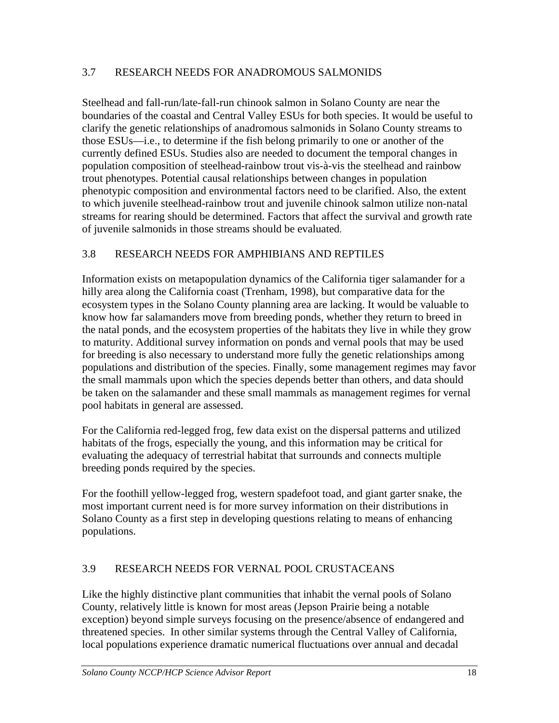### 3.7 RESEARCH NEEDS FOR ANADROMOUS SALMONIDS

Steelhead and fall-run/late-fall-run chinook salmon in Solano County are near the boundaries of the coastal and Central Valley ESUs for both species. It would be useful to clarify the genetic relationships of anadromous salmonids in Solano County streams to those ESUs—i.e., to determine if the fish belong primarily to one or another of the currently defined ESUs. Studies also are needed to document the temporal changes in population composition of steelhead-rainbow trout vis-à-vis the steelhead and rainbow trout phenotypes. Potential causal relationships between changes in population phenotypic composition and environmental factors need to be clarified. Also, the extent to which juvenile steelhead-rainbow trout and juvenile chinook salmon utilize non-natal streams for rearing should be determined. Factors that affect the survival and growth rate of juvenile salmonids in those streams should be evaluated.

### 3.8 RESEARCH NEEDS FOR AMPHIBIANS AND REPTILES

Information exists on metapopulation dynamics of the California tiger salamander for a hilly area along the California coast (Trenham, 1998), but comparative data for the ecosystem types in the Solano County planning area are lacking. It would be valuable to know how far salamanders move from breeding ponds, whether they return to breed in the natal ponds, and the ecosystem properties of the habitats they live in while they grow to maturity. Additional survey information on ponds and vernal pools that may be used for breeding is also necessary to understand more fully the genetic relationships among populations and distribution of the species. Finally, some management regimes may favor the small mammals upon which the species depends better than others, and data should be taken on the salamander and these small mammals as management regimes for vernal pool habitats in general are assessed.

For the California red-legged frog, few data exist on the dispersal patterns and utilized habitats of the frogs, especially the young, and this information may be critical for evaluating the adequacy of terrestrial habitat that surrounds and connects multiple breeding ponds required by the species.

For the foothill yellow-legged frog, western spadefoot toad, and giant garter snake, the most important current need is for more survey information on their distributions in Solano County as a first step in developing questions relating to means of enhancing populations.

## 3.9 RESEARCH NEEDS FOR VERNAL POOL CRUSTACEANS

Like the highly distinctive plant communities that inhabit the vernal pools of Solano County, relatively little is known for most areas (Jepson Prairie being a notable exception) beyond simple surveys focusing on the presence/absence of endangered and threatened species. In other similar systems through the Central Valley of California, local populations experience dramatic numerical fluctuations over annual and decadal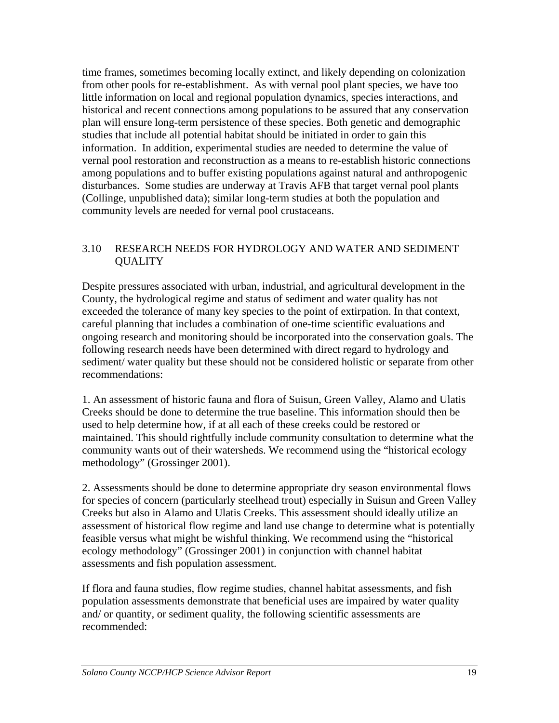time frames, sometimes becoming locally extinct, and likely depending on colonization from other pools for re-establishment. As with vernal pool plant species, we have too little information on local and regional population dynamics, species interactions, and historical and recent connections among populations to be assured that any conservation plan will ensure long-term persistence of these species. Both genetic and demographic studies that include all potential habitat should be initiated in order to gain this information. In addition, experimental studies are needed to determine the value of vernal pool restoration and reconstruction as a means to re-establish historic connections among populations and to buffer existing populations against natural and anthropogenic disturbances. Some studies are underway at Travis AFB that target vernal pool plants (Collinge, unpublished data); similar long-term studies at both the population and community levels are needed for vernal pool crustaceans.

### 3.10 RESEARCH NEEDS FOR HYDROLOGY AND WATER AND SEDIMENT QUALITY

Despite pressures associated with urban, industrial, and agricultural development in the County, the hydrological regime and status of sediment and water quality has not exceeded the tolerance of many key species to the point of extirpation. In that context, careful planning that includes a combination of one-time scientific evaluations and ongoing research and monitoring should be incorporated into the conservation goals. The following research needs have been determined with direct regard to hydrology and sediment/ water quality but these should not be considered holistic or separate from other recommendations:

1. An assessment of historic fauna and flora of Suisun, Green Valley, Alamo and Ulatis Creeks should be done to determine the true baseline. This information should then be used to help determine how, if at all each of these creeks could be restored or maintained. This should rightfully include community consultation to determine what the community wants out of their watersheds. We recommend using the "historical ecology methodology" (Grossinger 2001).

2. Assessments should be done to determine appropriate dry season environmental flows for species of concern (particularly steelhead trout) especially in Suisun and Green Valley Creeks but also in Alamo and Ulatis Creeks. This assessment should ideally utilize an assessment of historical flow regime and land use change to determine what is potentially feasible versus what might be wishful thinking. We recommend using the "historical ecology methodology" (Grossinger 2001) in conjunction with channel habitat assessments and fish population assessment.

If flora and fauna studies, flow regime studies, channel habitat assessments, and fish population assessments demonstrate that beneficial uses are impaired by water quality and/ or quantity, or sediment quality, the following scientific assessments are recommended: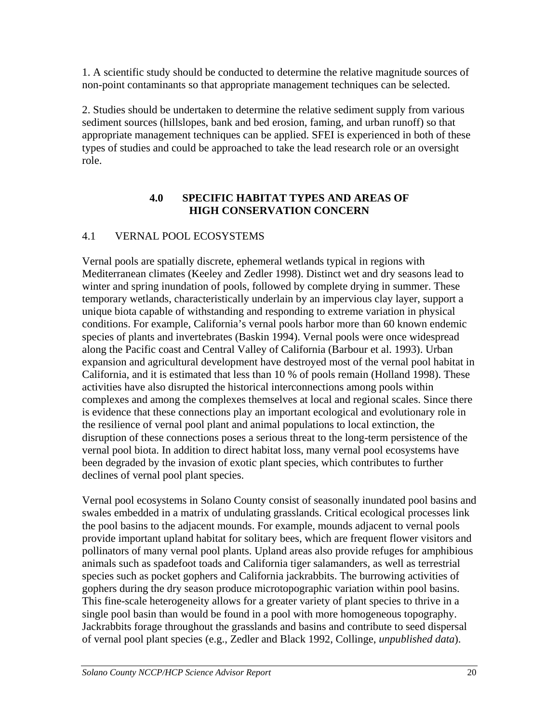1. A scientific study should be conducted to determine the relative magnitude sources of non-point contaminants so that appropriate management techniques can be selected.

2. Studies should be undertaken to determine the relative sediment supply from various sediment sources (hillslopes, bank and bed erosion, faming, and urban runoff) so that appropriate management techniques can be applied. SFEI is experienced in both of these types of studies and could be approached to take the lead research role or an oversight role.

### **4.0 SPECIFIC HABITAT TYPES AND AREAS OF HIGH CONSERVATION CONCERN**

## 4.1 VERNAL POOL ECOSYSTEMS

Vernal pools are spatially discrete, ephemeral wetlands typical in regions with Mediterranean climates (Keeley and Zedler 1998). Distinct wet and dry seasons lead to winter and spring inundation of pools, followed by complete drying in summer. These temporary wetlands, characteristically underlain by an impervious clay layer, support a unique biota capable of withstanding and responding to extreme variation in physical conditions. For example, California's vernal pools harbor more than 60 known endemic species of plants and invertebrates (Baskin 1994). Vernal pools were once widespread along the Pacific coast and Central Valley of California (Barbour et al. 1993). Urban expansion and agricultural development have destroyed most of the vernal pool habitat in California, and it is estimated that less than 10 % of pools remain (Holland 1998). These activities have also disrupted the historical interconnections among pools within complexes and among the complexes themselves at local and regional scales. Since there is evidence that these connections play an important ecological and evolutionary role in the resilience of vernal pool plant and animal populations to local extinction, the disruption of these connections poses a serious threat to the long-term persistence of the vernal pool biota. In addition to direct habitat loss, many vernal pool ecosystems have been degraded by the invasion of exotic plant species, which contributes to further declines of vernal pool plant species.

Vernal pool ecosystems in Solano County consist of seasonally inundated pool basins and swales embedded in a matrix of undulating grasslands. Critical ecological processes link the pool basins to the adjacent mounds. For example, mounds adjacent to vernal pools provide important upland habitat for solitary bees, which are frequent flower visitors and pollinators of many vernal pool plants. Upland areas also provide refuges for amphibious animals such as spadefoot toads and California tiger salamanders, as well as terrestrial species such as pocket gophers and California jackrabbits. The burrowing activities of gophers during the dry season produce microtopographic variation within pool basins. This fine-scale heterogeneity allows for a greater variety of plant species to thrive in a single pool basin than would be found in a pool with more homogeneous topography. Jackrabbits forage throughout the grasslands and basins and contribute to seed dispersal of vernal pool plant species (e.g., Zedler and Black 1992, Collinge, *unpublished data*).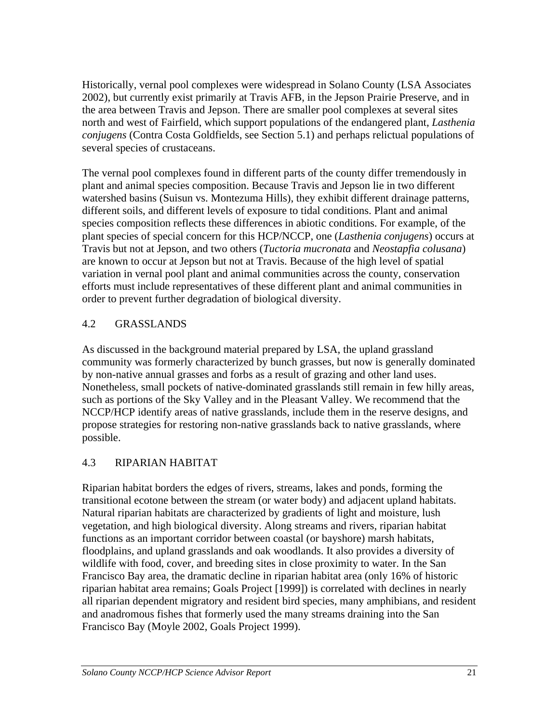Historically, vernal pool complexes were widespread in Solano County (LSA Associates 2002), but currently exist primarily at Travis AFB, in the Jepson Prairie Preserve, and in the area between Travis and Jepson. There are smaller pool complexes at several sites north and west of Fairfield, which support populations of the endangered plant, *Lasthenia conjugens* (Contra Costa Goldfields, see Section 5.1) and perhaps relictual populations of several species of crustaceans.

The vernal pool complexes found in different parts of the county differ tremendously in plant and animal species composition. Because Travis and Jepson lie in two different watershed basins (Suisun vs. Montezuma Hills), they exhibit different drainage patterns, different soils, and different levels of exposure to tidal conditions. Plant and animal species composition reflects these differences in abiotic conditions. For example, of the plant species of special concern for this HCP/NCCP, one (*Lasthenia conjugens*) occurs at Travis but not at Jepson, and two others (*Tuctoria mucronata* and *Neostapfia colusana*) are known to occur at Jepson but not at Travis. Because of the high level of spatial variation in vernal pool plant and animal communities across the county, conservation efforts must include representatives of these different plant and animal communities in order to prevent further degradation of biological diversity.

## 4.2 GRASSLANDS

As discussed in the background material prepared by LSA, the upland grassland community was formerly characterized by bunch grasses, but now is generally dominated by non-native annual grasses and forbs as a result of grazing and other land uses. Nonetheless, small pockets of native-dominated grasslands still remain in few hilly areas, such as portions of the Sky Valley and in the Pleasant Valley. We recommend that the NCCP/HCP identify areas of native grasslands, include them in the reserve designs, and propose strategies for restoring non-native grasslands back to native grasslands, where possible.

# 4.3 RIPARIAN HABITAT

Riparian habitat borders the edges of rivers, streams, lakes and ponds, forming the transitional ecotone between the stream (or water body) and adjacent upland habitats. Natural riparian habitats are characterized by gradients of light and moisture, lush vegetation, and high biological diversity. Along streams and rivers, riparian habitat functions as an important corridor between coastal (or bayshore) marsh habitats, floodplains, and upland grasslands and oak woodlands. It also provides a diversity of wildlife with food, cover, and breeding sites in close proximity to water. In the San Francisco Bay area, the dramatic decline in riparian habitat area (only 16% of historic riparian habitat area remains; Goals Project [1999]) is correlated with declines in nearly all riparian dependent migratory and resident bird species, many amphibians, and resident and anadromous fishes that formerly used the many streams draining into the San Francisco Bay (Moyle 2002, Goals Project 1999).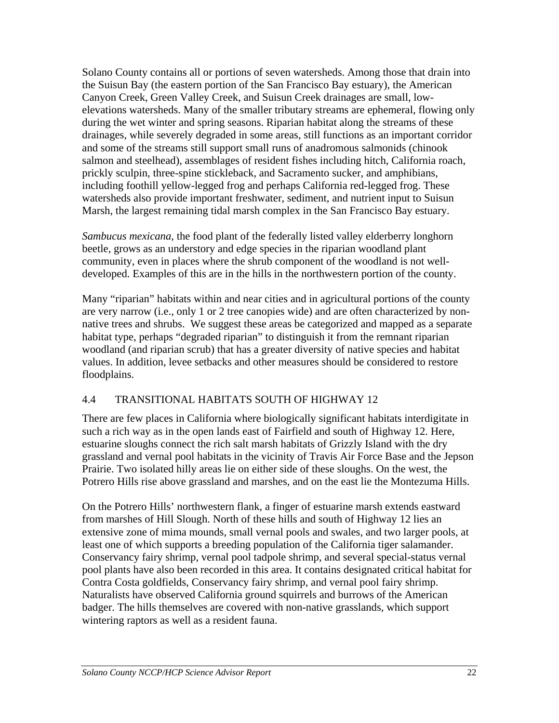Solano County contains all or portions of seven watersheds. Among those that drain into the Suisun Bay (the eastern portion of the San Francisco Bay estuary), the American Canyon Creek, Green Valley Creek, and Suisun Creek drainages are small, lowelevations watersheds. Many of the smaller tributary streams are ephemeral, flowing only during the wet winter and spring seasons. Riparian habitat along the streams of these drainages, while severely degraded in some areas, still functions as an important corridor and some of the streams still support small runs of anadromous salmonids (chinook salmon and steelhead), assemblages of resident fishes including hitch, California roach, prickly sculpin, three-spine stickleback, and Sacramento sucker, and amphibians, including foothill yellow-legged frog and perhaps California red-legged frog. These watersheds also provide important freshwater, sediment, and nutrient input to Suisun Marsh, the largest remaining tidal marsh complex in the San Francisco Bay estuary.

*Sambucus mexicana*, the food plant of the federally listed valley elderberry longhorn beetle, grows as an understory and edge species in the riparian woodland plant community, even in places where the shrub component of the woodland is not welldeveloped. Examples of this are in the hills in the northwestern portion of the county.

Many "riparian" habitats within and near cities and in agricultural portions of the county are very narrow (i.e., only 1 or 2 tree canopies wide) and are often characterized by nonnative trees and shrubs. We suggest these areas be categorized and mapped as a separate habitat type, perhaps "degraded riparian" to distinguish it from the remnant riparian woodland (and riparian scrub) that has a greater diversity of native species and habitat values. In addition, levee setbacks and other measures should be considered to restore floodplains.

## 4.4 TRANSITIONAL HABITATS SOUTH OF HIGHWAY 12

There are few places in California where biologically significant habitats interdigitate in such a rich way as in the open lands east of Fairfield and south of Highway 12. Here, estuarine sloughs connect the rich salt marsh habitats of Grizzly Island with the dry grassland and vernal pool habitats in the vicinity of Travis Air Force Base and the Jepson Prairie. Two isolated hilly areas lie on either side of these sloughs. On the west, the Potrero Hills rise above grassland and marshes, and on the east lie the Montezuma Hills.

On the Potrero Hills' northwestern flank, a finger of estuarine marsh extends eastward from marshes of Hill Slough. North of these hills and south of Highway 12 lies an extensive zone of mima mounds, small vernal pools and swales, and two larger pools, at least one of which supports a breeding population of the California tiger salamander. Conservancy fairy shrimp, vernal pool tadpole shrimp, and several special-status vernal pool plants have also been recorded in this area. It contains designated critical habitat for Contra Costa goldfields, Conservancy fairy shrimp, and vernal pool fairy shrimp. Naturalists have observed California ground squirrels and burrows of the American badger. The hills themselves are covered with non-native grasslands, which support wintering raptors as well as a resident fauna.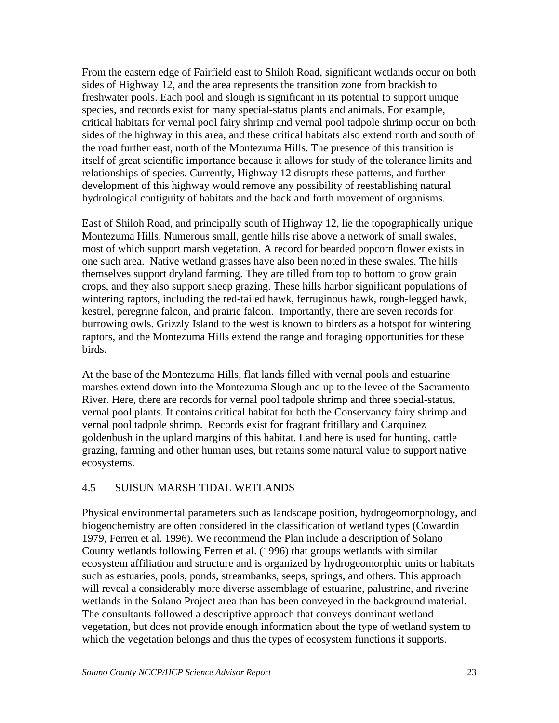From the eastern edge of Fairfield east to Shiloh Road, significant wetlands occur on both sides of Highway 12, and the area represents the transition zone from brackish to freshwater pools. Each pool and slough is significant in its potential to support unique species, and records exist for many special-status plants and animals. For example, critical habitats for vernal pool fairy shrimp and vernal pool tadpole shrimp occur on both sides of the highway in this area, and these critical habitats also extend north and south of the road further east, north of the Montezuma Hills. The presence of this transition is itself of great scientific importance because it allows for study of the tolerance limits and relationships of species. Currently, Highway 12 disrupts these patterns, and further development of this highway would remove any possibility of reestablishing natural hydrological contiguity of habitats and the back and forth movement of organisms.

East of Shiloh Road, and principally south of Highway 12, lie the topographically unique Montezuma Hills. Numerous small, gentle hills rise above a network of small swales, most of which support marsh vegetation. A record for bearded popcorn flower exists in one such area. Native wetland grasses have also been noted in these swales. The hills themselves support dryland farming. They are tilled from top to bottom to grow grain crops, and they also support sheep grazing. These hills harbor significant populations of wintering raptors, including the red-tailed hawk, ferruginous hawk, rough-legged hawk, kestrel, peregrine falcon, and prairie falcon. Importantly, there are seven records for burrowing owls. Grizzly Island to the west is known to birders as a hotspot for wintering raptors, and the Montezuma Hills extend the range and foraging opportunities for these birds.

At the base of the Montezuma Hills, flat lands filled with vernal pools and estuarine marshes extend down into the Montezuma Slough and up to the levee of the Sacramento River. Here, there are records for vernal pool tadpole shrimp and three special-status, vernal pool plants. It contains critical habitat for both the Conservancy fairy shrimp and vernal pool tadpole shrimp. Records exist for fragrant fritillary and Carquinez goldenbush in the upland margins of this habitat. Land here is used for hunting, cattle grazing, farming and other human uses, but retains some natural value to support native ecosystems.

## 4.5 SUISUN MARSH TIDAL WETLANDS

Physical environmental parameters such as landscape position, hydrogeomorphology, and biogeochemistry are often considered in the classification of wetland types (Cowardin 1979, Ferren et al. 1996). We recommend the Plan include a description of Solano County wetlands following Ferren et al. (1996) that groups wetlands with similar ecosystem affiliation and structure and is organized by hydrogeomorphic units or habitats such as estuaries, pools, ponds, streambanks, seeps, springs, and others. This approach will reveal a considerably more diverse assemblage of estuarine, palustrine, and riverine wetlands in the Solano Project area than has been conveyed in the background material. The consultants followed a descriptive approach that conveys dominant wetland vegetation, but does not provide enough information about the type of wetland system to which the vegetation belongs and thus the types of ecosystem functions it supports.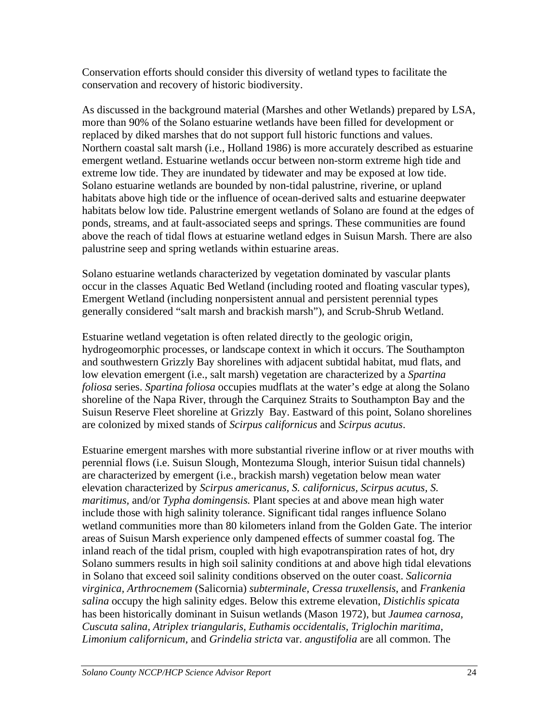Conservation efforts should consider this diversity of wetland types to facilitate the conservation and recovery of historic biodiversity.

As discussed in the background material (Marshes and other Wetlands) prepared by LSA, more than 90% of the Solano estuarine wetlands have been filled for development or replaced by diked marshes that do not support full historic functions and values. Northern coastal salt marsh (i.e., Holland 1986) is more accurately described as estuarine emergent wetland. Estuarine wetlands occur between non-storm extreme high tide and extreme low tide. They are inundated by tidewater and may be exposed at low tide. Solano estuarine wetlands are bounded by non-tidal palustrine, riverine, or upland habitats above high tide or the influence of ocean-derived salts and estuarine deepwater habitats below low tide. Palustrine emergent wetlands of Solano are found at the edges of ponds, streams, and at fault-associated seeps and springs. These communities are found above the reach of tidal flows at estuarine wetland edges in Suisun Marsh. There are also palustrine seep and spring wetlands within estuarine areas.

Solano estuarine wetlands characterized by vegetation dominated by vascular plants occur in the classes Aquatic Bed Wetland (including rooted and floating vascular types), Emergent Wetland (including nonpersistent annual and persistent perennial types generally considered "salt marsh and brackish marsh"), and Scrub-Shrub Wetland.

Estuarine wetland vegetation is often related directly to the geologic origin, hydrogeomorphic processes, or landscape context in which it occurs. The Southampton and southwestern Grizzly Bay shorelines with adjacent subtidal habitat, mud flats, and low elevation emergent (i.e., salt marsh) vegetation are characterized by a *Spartina foliosa* series. *Spartina foliosa* occupies mudflats at the water's edge at along the Solano shoreline of the Napa River, through the Carquinez Straits to Southampton Bay and the Suisun Reserve Fleet shoreline at Grizzly Bay. Eastward of this point, Solano shorelines are colonized by mixed stands of *Scirpus californicus* and *Scirpus acutus*.

Estuarine emergent marshes with more substantial riverine inflow or at river mouths with perennial flows (i.e. Suisun Slough, Montezuma Slough, interior Suisun tidal channels) are characterized by emergent (i.e., brackish marsh) vegetation below mean water elevation characterized by *Scirpus americanus, S. californicus, Scirpus acutus, S. maritimus,* and/or *Typha domingensis.* Plant species at and above mean high water include those with high salinity tolerance. Significant tidal ranges influence Solano wetland communities more than 80 kilometers inland from the Golden Gate. The interior areas of Suisun Marsh experience only dampened effects of summer coastal fog. The inland reach of the tidal prism, coupled with high evapotranspiration rates of hot, dry Solano summers results in high soil salinity conditions at and above high tidal elevations in Solano that exceed soil salinity conditions observed on the outer coast. *Salicornia virginica, Arthrocnemem* (Salicornia) *subterminale, Cressa truxellensis*, and *Frankenia salina* occupy the high salinity edges. Below this extreme elevation, *Distichlis spicata* has been historically dominant in Suisun wetlands (Mason 1972), but *Jaumea carnosa, Cuscuta salina, Atriplex triangularis, Euthamis occidentalis, Triglochin maritima, Limonium californicum,* and *Grindelia stricta* var. *angustifolia* are all common. The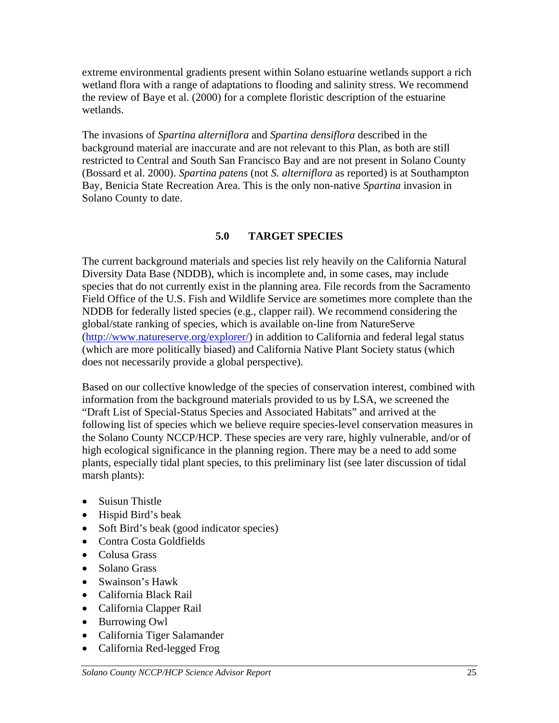extreme environmental gradients present within Solano estuarine wetlands support a rich wetland flora with a range of adaptations to flooding and salinity stress. We recommend the review of Baye et al. (2000) for a complete floristic description of the estuarine wetlands.

The invasions of *Spartina alterniflora* and *Spartina densiflora* described in the background material are inaccurate and are not relevant to this Plan, as both are still restricted to Central and South San Francisco Bay and are not present in Solano County (Bossard et al. 2000). *Spartina patens* (not *S. alterniflora* as reported) is at Southampton Bay, Benicia State Recreation Area. This is the only non-native *Spartina* invasion in Solano County to date.

## **5.0 TARGET SPECIES**

The current background materials and species list rely heavily on the California Natural Diversity Data Base (NDDB), which is incomplete and, in some cases, may include species that do not currently exist in the planning area. File records from the Sacramento Field Office of the U.S. Fish and Wildlife Service are sometimes more complete than the NDDB for federally listed species (e.g., clapper rail). We recommend considering the global/state ranking of species, which is available on-line from NatureServe ([http://www.natureserve.org/explorer/\)](http://www.natureserve.org/explorer/) in addition to California and federal legal status (which are more politically biased) and California Native Plant Society status (which does not necessarily provide a global perspective).

Based on our collective knowledge of the species of conservation interest, combined with information from the background materials provided to us by LSA, we screened the "Draft List of Special-Status Species and Associated Habitats" and arrived at the following list of species which we believe require species-level conservation measures in the Solano County NCCP/HCP. These species are very rare, highly vulnerable, and/or of high ecological significance in the planning region. There may be a need to add some plants, especially tidal plant species, to this preliminary list (see later discussion of tidal marsh plants):

- Suisun Thistle
- Hispid Bird's beak
- Soft Bird's beak (good indicator species)
- Contra Costa Goldfields
- Colusa Grass
- Solano Grass
- Swainson's Hawk
- California Black Rail
- California Clapper Rail
- Burrowing Owl
- California Tiger Salamander
- California Red-legged Frog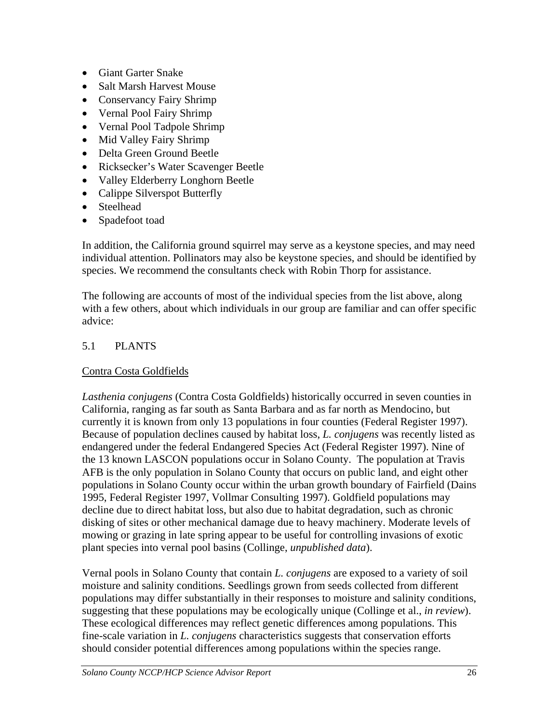- Giant Garter Snake
- Salt Marsh Harvest Mouse
- Conservancy Fairy Shrimp
- Vernal Pool Fairy Shrimp
- Vernal Pool Tadpole Shrimp
- Mid Valley Fairy Shrimp
- Delta Green Ground Beetle
- Ricksecker's Water Scavenger Beetle
- Valley Elderberry Longhorn Beetle
- Calippe Silverspot Butterfly
- Steelhead
- Spadefoot toad

In addition, the California ground squirrel may serve as a keystone species, and may need individual attention. Pollinators may also be keystone species, and should be identified by species. We recommend the consultants check with Robin Thorp for assistance.

The following are accounts of most of the individual species from the list above, along with a few others, about which individuals in our group are familiar and can offer specific advice:

# 5.1 PLANTS

## Contra Costa Goldfields

*Lasthenia conjugens* (Contra Costa Goldfields) historically occurred in seven counties in California, ranging as far south as Santa Barbara and as far north as Mendocino, but currently it is known from only 13 populations in four counties (Federal Register 1997). Because of population declines caused by habitat loss, *L. conjugens* was recently listed as endangered under the federal Endangered Species Act (Federal Register 1997). Nine of the 13 known LASCON populations occur in Solano County. The population at Travis AFB is the only population in Solano County that occurs on public land, and eight other populations in Solano County occur within the urban growth boundary of Fairfield (Dains 1995, Federal Register 1997, Vollmar Consulting 1997). Goldfield populations may decline due to direct habitat loss, but also due to habitat degradation, such as chronic disking of sites or other mechanical damage due to heavy machinery. Moderate levels of mowing or grazing in late spring appear to be useful for controlling invasions of exotic plant species into vernal pool basins (Collinge, *unpublished data*).

Vernal pools in Solano County that contain *L. conjugens* are exposed to a variety of soil moisture and salinity conditions. Seedlings grown from seeds collected from different populations may differ substantially in their responses to moisture and salinity conditions, suggesting that these populations may be ecologically unique (Collinge et al., *in review*). These ecological differences may reflect genetic differences among populations. This fine-scale variation in *L. conjugens* characteristics suggests that conservation efforts should consider potential differences among populations within the species range.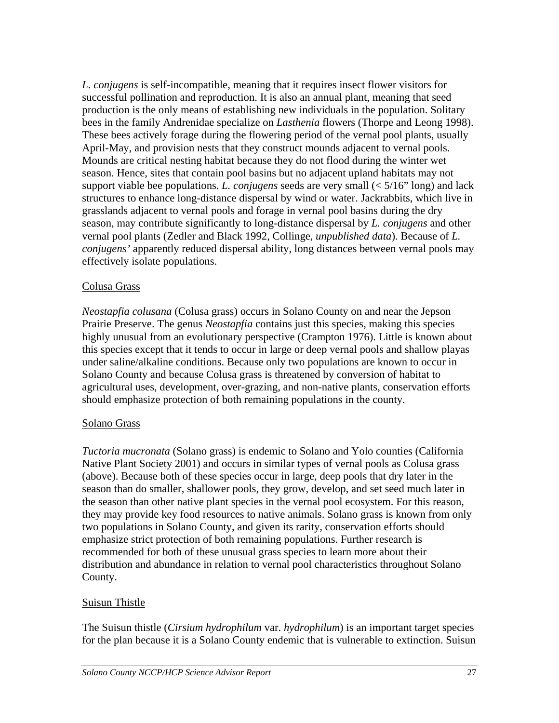*L. conjugens* is self-incompatible, meaning that it requires insect flower visitors for successful pollination and reproduction. It is also an annual plant, meaning that seed production is the only means of establishing new individuals in the population. Solitary bees in the family Andrenidae specialize on *Lasthenia* flowers (Thorpe and Leong 1998). These bees actively forage during the flowering period of the vernal pool plants, usually April-May, and provision nests that they construct mounds adjacent to vernal pools. Mounds are critical nesting habitat because they do not flood during the winter wet season. Hence, sites that contain pool basins but no adjacent upland habitats may not support viable bee populations. *L. conjugens* seeds are very small (< 5/16" long) and lack structures to enhance long-distance dispersal by wind or water. Jackrabbits, which live in grasslands adjacent to vernal pools and forage in vernal pool basins during the dry season, may contribute significantly to long-distance dispersal by *L. conjugens* and other vernal pool plants (Zedler and Black 1992, Collinge, *unpublished data*). Because of *L. conjugens'* apparently reduced dispersal ability, long distances between vernal pools may effectively isolate populations.

### Colusa Grass

*Neostapfia colusana* (Colusa grass) occurs in Solano County on and near the Jepson Prairie Preserve. The genus *Neostapfia* contains just this species, making this species highly unusual from an evolutionary perspective (Crampton 1976). Little is known about this species except that it tends to occur in large or deep vernal pools and shallow playas under saline/alkaline conditions. Because only two populations are known to occur in Solano County and because Colusa grass is threatened by conversion of habitat to agricultural uses, development, over-grazing, and non-native plants, conservation efforts should emphasize protection of both remaining populations in the county.

#### Solano Grass

*Tuctoria mucronata* (Solano grass) is endemic to Solano and Yolo counties (California Native Plant Society 2001) and occurs in similar types of vernal pools as Colusa grass (above). Because both of these species occur in large, deep pools that dry later in the season than do smaller, shallower pools, they grow, develop, and set seed much later in the season than other native plant species in the vernal pool ecosystem. For this reason, they may provide key food resources to native animals. Solano grass is known from only two populations in Solano County, and given its rarity, conservation efforts should emphasize strict protection of both remaining populations. Further research is recommended for both of these unusual grass species to learn more about their distribution and abundance in relation to vernal pool characteristics throughout Solano County.

## Suisun Thistle

The Suisun thistle (*Cirsium hydrophilum* var. *hydrophilum*) is an important target species for the plan because it is a Solano County endemic that is vulnerable to extinction. Suisun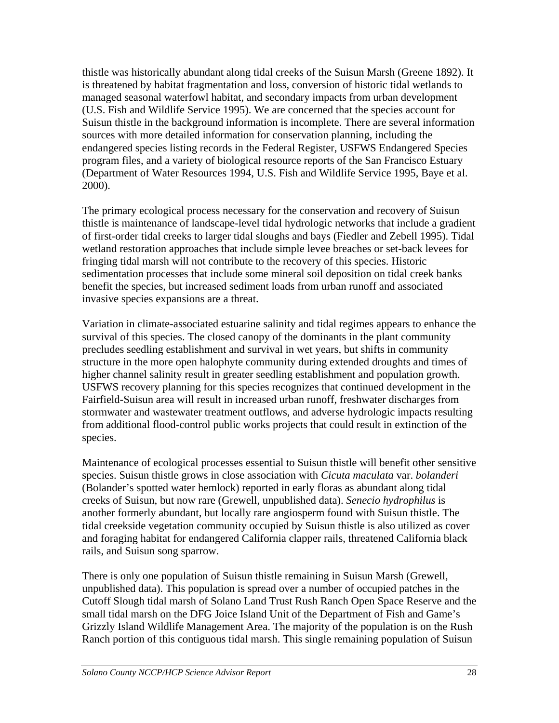thistle was historically abundant along tidal creeks of the Suisun Marsh (Greene 1892). It is threatened by habitat fragmentation and loss, conversion of historic tidal wetlands to managed seasonal waterfowl habitat, and secondary impacts from urban development (U.S. Fish and Wildlife Service 1995). We are concerned that the species account for Suisun thistle in the background information is incomplete. There are several information sources with more detailed information for conservation planning, including the endangered species listing records in the Federal Register, USFWS Endangered Species program files, and a variety of biological resource reports of the San Francisco Estuary (Department of Water Resources 1994, U.S. Fish and Wildlife Service 1995, Baye et al. 2000).

The primary ecological process necessary for the conservation and recovery of Suisun thistle is maintenance of landscape-level tidal hydrologic networks that include a gradient of first-order tidal creeks to larger tidal sloughs and bays (Fiedler and Zebell 1995). Tidal wetland restoration approaches that include simple levee breaches or set-back levees for fringing tidal marsh will not contribute to the recovery of this species. Historic sedimentation processes that include some mineral soil deposition on tidal creek banks benefit the species, but increased sediment loads from urban runoff and associated invasive species expansions are a threat.

Variation in climate-associated estuarine salinity and tidal regimes appears to enhance the survival of this species. The closed canopy of the dominants in the plant community precludes seedling establishment and survival in wet years, but shifts in community structure in the more open halophyte community during extended droughts and times of higher channel salinity result in greater seedling establishment and population growth. USFWS recovery planning for this species recognizes that continued development in the Fairfield-Suisun area will result in increased urban runoff, freshwater discharges from stormwater and wastewater treatment outflows, and adverse hydrologic impacts resulting from additional flood-control public works projects that could result in extinction of the species.

Maintenance of ecological processes essential to Suisun thistle will benefit other sensitive species. Suisun thistle grows in close association with *Cicuta maculata* var. *bolanderi* (Bolander's spotted water hemlock) reported in early floras as abundant along tidal creeks of Suisun, but now rare (Grewell, unpublished data). *Senecio hydrophilus* is another formerly abundant, but locally rare angiosperm found with Suisun thistle. The tidal creekside vegetation community occupied by Suisun thistle is also utilized as cover and foraging habitat for endangered California clapper rails, threatened California black rails, and Suisun song sparrow.

There is only one population of Suisun thistle remaining in Suisun Marsh (Grewell, unpublished data). This population is spread over a number of occupied patches in the Cutoff Slough tidal marsh of Solano Land Trust Rush Ranch Open Space Reserve and the small tidal marsh on the DFG Joice Island Unit of the Department of Fish and Game's Grizzly Island Wildlife Management Area. The majority of the population is on the Rush Ranch portion of this contiguous tidal marsh. This single remaining population of Suisun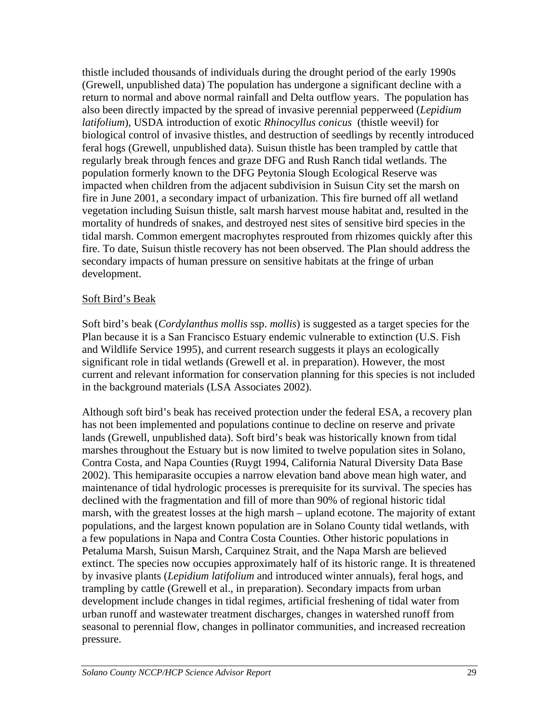thistle included thousands of individuals during the drought period of the early 1990s (Grewell, unpublished data) The population has undergone a significant decline with a return to normal and above normal rainfall and Delta outflow years. The population has also been directly impacted by the spread of invasive perennial pepperweed (*Lepidium latifolium*), USDA introduction of exotic *Rhinocyllus conicus* (thistle weevil) for biological control of invasive thistles, and destruction of seedlings by recently introduced feral hogs (Grewell, unpublished data). Suisun thistle has been trampled by cattle that regularly break through fences and graze DFG and Rush Ranch tidal wetlands. The population formerly known to the DFG Peytonia Slough Ecological Reserve was impacted when children from the adjacent subdivision in Suisun City set the marsh on fire in June 2001, a secondary impact of urbanization. This fire burned off all wetland vegetation including Suisun thistle, salt marsh harvest mouse habitat and, resulted in the mortality of hundreds of snakes, and destroyed nest sites of sensitive bird species in the tidal marsh. Common emergent macrophytes resprouted from rhizomes quickly after this fire. To date, Suisun thistle recovery has not been observed. The Plan should address the secondary impacts of human pressure on sensitive habitats at the fringe of urban development.

#### Soft Bird's Beak

Soft bird's beak (*Cordylanthus mollis* ssp. *mollis*) is suggested as a target species for the Plan because it is a San Francisco Estuary endemic vulnerable to extinction (U.S. Fish and Wildlife Service 1995), and current research suggests it plays an ecologically significant role in tidal wetlands (Grewell et al. in preparation). However, the most current and relevant information for conservation planning for this species is not included in the background materials (LSA Associates 2002).

Although soft bird's beak has received protection under the federal ESA, a recovery plan has not been implemented and populations continue to decline on reserve and private lands (Grewell, unpublished data). Soft bird's beak was historically known from tidal marshes throughout the Estuary but is now limited to twelve population sites in Solano, Contra Costa, and Napa Counties (Ruygt 1994, California Natural Diversity Data Base 2002). This hemiparasite occupies a narrow elevation band above mean high water, and maintenance of tidal hydrologic processes is prerequisite for its survival. The species has declined with the fragmentation and fill of more than 90% of regional historic tidal marsh, with the greatest losses at the high marsh – upland ecotone. The majority of extant populations, and the largest known population are in Solano County tidal wetlands, with a few populations in Napa and Contra Costa Counties. Other historic populations in Petaluma Marsh, Suisun Marsh, Carquinez Strait, and the Napa Marsh are believed extinct. The species now occupies approximately half of its historic range. It is threatened by invasive plants (*Lepidium latifolium* and introduced winter annuals), feral hogs, and trampling by cattle (Grewell et al., in preparation). Secondary impacts from urban development include changes in tidal regimes, artificial freshening of tidal water from urban runoff and wastewater treatment discharges, changes in watershed runoff from seasonal to perennial flow, changes in pollinator communities, and increased recreation pressure.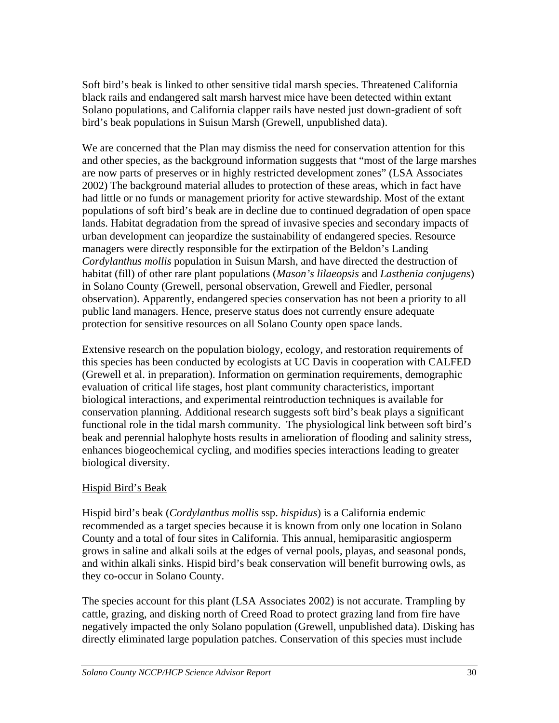Soft bird's beak is linked to other sensitive tidal marsh species. Threatened California black rails and endangered salt marsh harvest mice have been detected within extant Solano populations, and California clapper rails have nested just down-gradient of soft bird's beak populations in Suisun Marsh (Grewell, unpublished data).

We are concerned that the Plan may dismiss the need for conservation attention for this and other species, as the background information suggests that "most of the large marshes are now parts of preserves or in highly restricted development zones" (LSA Associates 2002) The background material alludes to protection of these areas, which in fact have had little or no funds or management priority for active stewardship. Most of the extant populations of soft bird's beak are in decline due to continued degradation of open space lands. Habitat degradation from the spread of invasive species and secondary impacts of urban development can jeopardize the sustainability of endangered species. Resource managers were directly responsible for the extirpation of the Beldon's Landing *Cordylanthus mollis* population in Suisun Marsh, and have directed the destruction of habitat (fill) of other rare plant populations (*Mason's lilaeopsis* and *Lasthenia conjugens*) in Solano County (Grewell, personal observation, Grewell and Fiedler, personal observation). Apparently, endangered species conservation has not been a priority to all public land managers. Hence, preserve status does not currently ensure adequate protection for sensitive resources on all Solano County open space lands.

Extensive research on the population biology, ecology, and restoration requirements of this species has been conducted by ecologists at UC Davis in cooperation with CALFED (Grewell et al. in preparation). Information on germination requirements, demographic evaluation of critical life stages, host plant community characteristics, important biological interactions, and experimental reintroduction techniques is available for conservation planning. Additional research suggests soft bird's beak plays a significant functional role in the tidal marsh community. The physiological link between soft bird's beak and perennial halophyte hosts results in amelioration of flooding and salinity stress, enhances biogeochemical cycling, and modifies species interactions leading to greater biological diversity.

## Hispid Bird's Beak

Hispid bird's beak (*Cordylanthus mollis* ssp. *hispidus*) is a California endemic recommended as a target species because it is known from only one location in Solano County and a total of four sites in California. This annual, hemiparasitic angiosperm grows in saline and alkali soils at the edges of vernal pools, playas, and seasonal ponds, and within alkali sinks. Hispid bird's beak conservation will benefit burrowing owls, as they co-occur in Solano County.

The species account for this plant (LSA Associates 2002) is not accurate. Trampling by cattle, grazing, and disking north of Creed Road to protect grazing land from fire have negatively impacted the only Solano population (Grewell, unpublished data). Disking has directly eliminated large population patches. Conservation of this species must include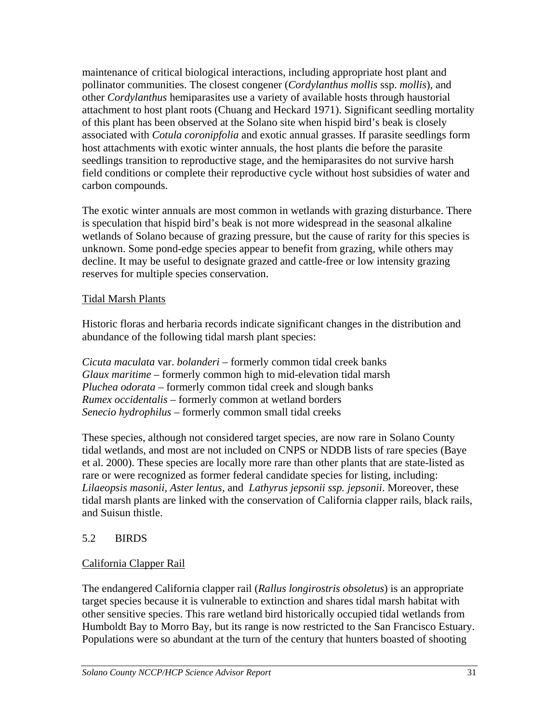maintenance of critical biological interactions, including appropriate host plant and pollinator communities. The closest congener (*Cordylanthus mollis* ssp. *mollis*), and other *Cordylanthus* hemiparasites use a variety of available hosts through haustorial attachment to host plant roots (Chuang and Heckard 1971). Significant seedling mortality of this plant has been observed at the Solano site when hispid bird's beak is closely associated with *Cotula coronipfolia* and exotic annual grasses. If parasite seedlings form host attachments with exotic winter annuals, the host plants die before the parasite seedlings transition to reproductive stage, and the hemiparasites do not survive harsh field conditions or complete their reproductive cycle without host subsidies of water and carbon compounds.

The exotic winter annuals are most common in wetlands with grazing disturbance. There is speculation that hispid bird's beak is not more widespread in the seasonal alkaline wetlands of Solano because of grazing pressure, but the cause of rarity for this species is unknown. Some pond-edge species appear to benefit from grazing, while others may decline. It may be useful to designate grazed and cattle-free or low intensity grazing reserves for multiple species conservation.

### Tidal Marsh Plants

Historic floras and herbaria records indicate significant changes in the distribution and abundance of the following tidal marsh plant species:

*Cicuta maculata* var. *bolanderi –* formerly common tidal creek banks *Glaux maritime –* formerly common high to mid-elevation tidal marsh *Pluchea odorata* – formerly common tidal creek and slough banks *Rumex occidentalis –* formerly common at wetland borders *Senecio hydrophilus –* formerly common small tidal creeks

These species, although not considered target species, are now rare in Solano County tidal wetlands, and most are not included on CNPS or NDDB lists of rare species (Baye et al. 2000). These species are locally more rare than other plants that are state-listed as rare or were recognized as former federal candidate species for listing, including: *Lilaeopsis masonii, Aster lentus*, and *Lathyrus jepsonii ssp. jepsonii*. Moreover, these tidal marsh plants are linked with the conservation of California clapper rails, black rails, and Suisun thistle.

## 5.2 BIRDS

## California Clapper Rail

The endangered California clapper rail (*Rallus longirostris obsoletus*) is an appropriate target species because it is vulnerable to extinction and shares tidal marsh habitat with other sensitive species. This rare wetland bird historically occupied tidal wetlands from Humboldt Bay to Morro Bay, but its range is now restricted to the San Francisco Estuary. Populations were so abundant at the turn of the century that hunters boasted of shooting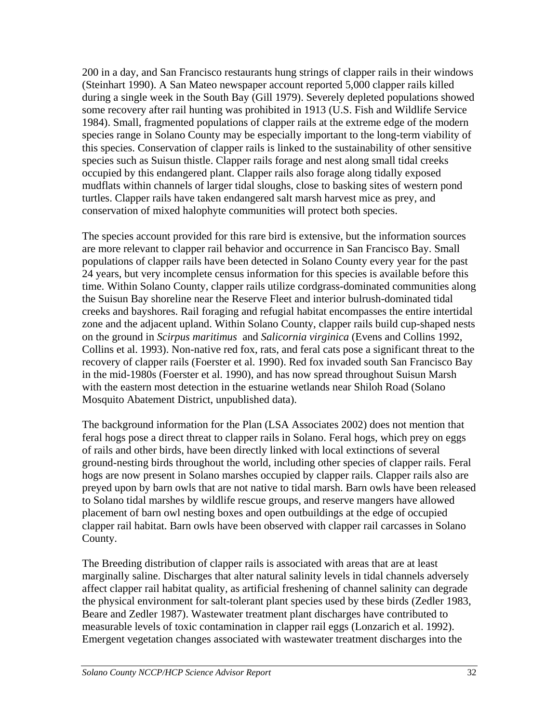200 in a day, and San Francisco restaurants hung strings of clapper rails in their windows (Steinhart 1990). A San Mateo newspaper account reported 5,000 clapper rails killed during a single week in the South Bay (Gill 1979). Severely depleted populations showed some recovery after rail hunting was prohibited in 1913 (U.S. Fish and Wildlife Service 1984). Small, fragmented populations of clapper rails at the extreme edge of the modern species range in Solano County may be especially important to the long-term viability of this species. Conservation of clapper rails is linked to the sustainability of other sensitive species such as Suisun thistle. Clapper rails forage and nest along small tidal creeks occupied by this endangered plant. Clapper rails also forage along tidally exposed mudflats within channels of larger tidal sloughs, close to basking sites of western pond turtles. Clapper rails have taken endangered salt marsh harvest mice as prey, and conservation of mixed halophyte communities will protect both species.

The species account provided for this rare bird is extensive, but the information sources are more relevant to clapper rail behavior and occurrence in San Francisco Bay. Small populations of clapper rails have been detected in Solano County every year for the past 24 years, but very incomplete census information for this species is available before this time. Within Solano County, clapper rails utilize cordgrass-dominated communities along the Suisun Bay shoreline near the Reserve Fleet and interior bulrush-dominated tidal creeks and bayshores. Rail foraging and refugial habitat encompasses the entire intertidal zone and the adjacent upland. Within Solano County, clapper rails build cup-shaped nests on the ground in *Scirpus maritimus* and *Salicornia virginica* (Evens and Collins 1992, Collins et al. 1993). Non-native red fox, rats, and feral cats pose a significant threat to the recovery of clapper rails (Foerster et al. 1990). Red fox invaded south San Francisco Bay in the mid-1980s (Foerster et al. 1990), and has now spread throughout Suisun Marsh with the eastern most detection in the estuarine wetlands near Shiloh Road (Solano Mosquito Abatement District, unpublished data).

The background information for the Plan (LSA Associates 2002) does not mention that feral hogs pose a direct threat to clapper rails in Solano. Feral hogs, which prey on eggs of rails and other birds, have been directly linked with local extinctions of several ground-nesting birds throughout the world, including other species of clapper rails. Feral hogs are now present in Solano marshes occupied by clapper rails. Clapper rails also are preyed upon by barn owls that are not native to tidal marsh. Barn owls have been released to Solano tidal marshes by wildlife rescue groups, and reserve mangers have allowed placement of barn owl nesting boxes and open outbuildings at the edge of occupied clapper rail habitat. Barn owls have been observed with clapper rail carcasses in Solano County.

The Breeding distribution of clapper rails is associated with areas that are at least marginally saline. Discharges that alter natural salinity levels in tidal channels adversely affect clapper rail habitat quality, as artificial freshening of channel salinity can degrade the physical environment for salt-tolerant plant species used by these birds (Zedler 1983, Beare and Zedler 1987). Wastewater treatment plant discharges have contributed to measurable levels of toxic contamination in clapper rail eggs (Lonzarich et al. 1992). Emergent vegetation changes associated with wastewater treatment discharges into the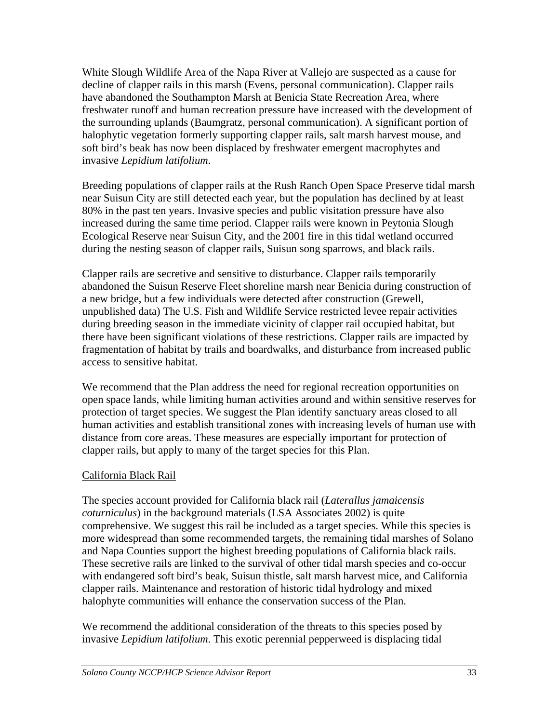White Slough Wildlife Area of the Napa River at Vallejo are suspected as a cause for decline of clapper rails in this marsh (Evens, personal communication). Clapper rails have abandoned the Southampton Marsh at Benicia State Recreation Area, where freshwater runoff and human recreation pressure have increased with the development of the surrounding uplands (Baumgratz, personal communication). A significant portion of halophytic vegetation formerly supporting clapper rails, salt marsh harvest mouse, and soft bird's beak has now been displaced by freshwater emergent macrophytes and invasive *Lepidium latifolium*.

Breeding populations of clapper rails at the Rush Ranch Open Space Preserve tidal marsh near Suisun City are still detected each year, but the population has declined by at least 80% in the past ten years. Invasive species and public visitation pressure have also increased during the same time period. Clapper rails were known in Peytonia Slough Ecological Reserve near Suisun City, and the 2001 fire in this tidal wetland occurred during the nesting season of clapper rails, Suisun song sparrows, and black rails.

Clapper rails are secretive and sensitive to disturbance. Clapper rails temporarily abandoned the Suisun Reserve Fleet shoreline marsh near Benicia during construction of a new bridge, but a few individuals were detected after construction (Grewell, unpublished data) The U.S. Fish and Wildlife Service restricted levee repair activities during breeding season in the immediate vicinity of clapper rail occupied habitat, but there have been significant violations of these restrictions. Clapper rails are impacted by fragmentation of habitat by trails and boardwalks, and disturbance from increased public access to sensitive habitat.

We recommend that the Plan address the need for regional recreation opportunities on open space lands, while limiting human activities around and within sensitive reserves for protection of target species. We suggest the Plan identify sanctuary areas closed to all human activities and establish transitional zones with increasing levels of human use with distance from core areas. These measures are especially important for protection of clapper rails, but apply to many of the target species for this Plan.

#### California Black Rail

The species account provided for California black rail (*Laterallus jamaicensis coturniculus*) in the background materials (LSA Associates 2002) is quite comprehensive. We suggest this rail be included as a target species. While this species is more widespread than some recommended targets, the remaining tidal marshes of Solano and Napa Counties support the highest breeding populations of California black rails. These secretive rails are linked to the survival of other tidal marsh species and co-occur with endangered soft bird's beak, Suisun thistle, salt marsh harvest mice, and California clapper rails. Maintenance and restoration of historic tidal hydrology and mixed halophyte communities will enhance the conservation success of the Plan.

We recommend the additional consideration of the threats to this species posed by invasive *Lepidium latifolium*. This exotic perennial pepperweed is displacing tidal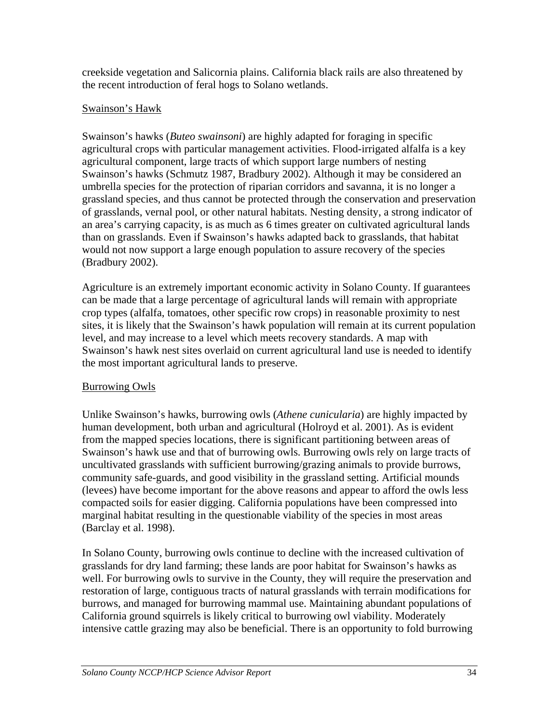creekside vegetation and Salicornia plains. California black rails are also threatened by the recent introduction of feral hogs to Solano wetlands.

#### Swainson's Hawk

Swainson's hawks (*Buteo swainsoni*) are highly adapted for foraging in specific agricultural crops with particular management activities. Flood-irrigated alfalfa is a key agricultural component, large tracts of which support large numbers of nesting Swainson's hawks (Schmutz 1987, Bradbury 2002). Although it may be considered an umbrella species for the protection of riparian corridors and savanna, it is no longer a grassland species, and thus cannot be protected through the conservation and preservation of grasslands, vernal pool, or other natural habitats. Nesting density, a strong indicator of an area's carrying capacity, is as much as 6 times greater on cultivated agricultural lands than on grasslands. Even if Swainson's hawks adapted back to grasslands, that habitat would not now support a large enough population to assure recovery of the species (Bradbury 2002).

Agriculture is an extremely important economic activity in Solano County. If guarantees can be made that a large percentage of agricultural lands will remain with appropriate crop types (alfalfa, tomatoes, other specific row crops) in reasonable proximity to nest sites, it is likely that the Swainson's hawk population will remain at its current population level, and may increase to a level which meets recovery standards. A map with Swainson's hawk nest sites overlaid on current agricultural land use is needed to identify the most important agricultural lands to preserve.

## Burrowing Owls

Unlike Swainson's hawks, burrowing owls (*Athene cunicularia*) are highly impacted by human development, both urban and agricultural (Holroyd et al. 2001). As is evident from the mapped species locations, there is significant partitioning between areas of Swainson's hawk use and that of burrowing owls. Burrowing owls rely on large tracts of uncultivated grasslands with sufficient burrowing/grazing animals to provide burrows, community safe-guards, and good visibility in the grassland setting. Artificial mounds (levees) have become important for the above reasons and appear to afford the owls less compacted soils for easier digging. California populations have been compressed into marginal habitat resulting in the questionable viability of the species in most areas (Barclay et al. 1998).

In Solano County, burrowing owls continue to decline with the increased cultivation of grasslands for dry land farming; these lands are poor habitat for Swainson's hawks as well. For burrowing owls to survive in the County, they will require the preservation and restoration of large, contiguous tracts of natural grasslands with terrain modifications for burrows, and managed for burrowing mammal use. Maintaining abundant populations of California ground squirrels is likely critical to burrowing owl viability. Moderately intensive cattle grazing may also be beneficial. There is an opportunity to fold burrowing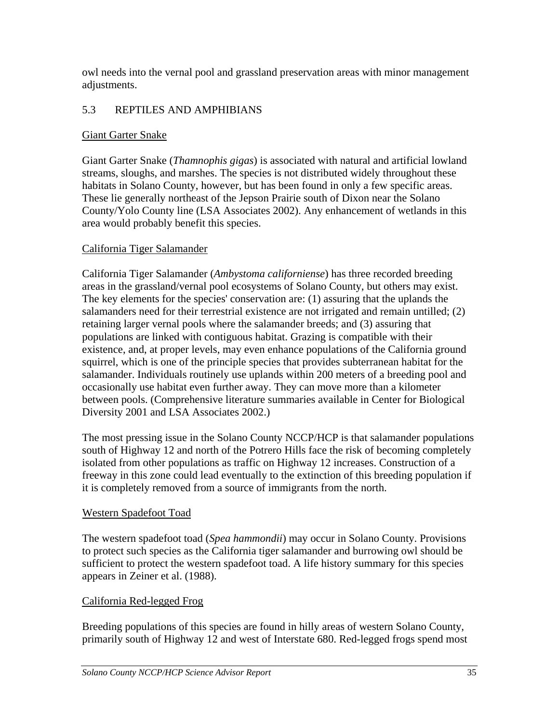owl needs into the vernal pool and grassland preservation areas with minor management adjustments.

## 5.3 REPTILES AND AMPHIBIANS

#### Giant Garter Snake

Giant Garter Snake (*Thamnophis gigas*) is associated with natural and artificial lowland streams, sloughs, and marshes. The species is not distributed widely throughout these habitats in Solano County, however, but has been found in only a few specific areas. These lie generally northeast of the Jepson Prairie south of Dixon near the Solano County/Yolo County line (LSA Associates 2002). Any enhancement of wetlands in this area would probably benefit this species.

### California Tiger Salamander

California Tiger Salamander (*Ambystoma californiense*) has three recorded breeding areas in the grassland/vernal pool ecosystems of Solano County, but others may exist. The key elements for the species' conservation are: (1) assuring that the uplands the salamanders need for their terrestrial existence are not irrigated and remain untilled; (2) retaining larger vernal pools where the salamander breeds; and (3) assuring that populations are linked with contiguous habitat. Grazing is compatible with their existence, and, at proper levels, may even enhance populations of the California ground squirrel, which is one of the principle species that provides subterranean habitat for the salamander. Individuals routinely use uplands within 200 meters of a breeding pool and occasionally use habitat even further away. They can move more than a kilometer between pools. (Comprehensive literature summaries available in Center for Biological Diversity 2001 and LSA Associates 2002.)

The most pressing issue in the Solano County NCCP/HCP is that salamander populations south of Highway 12 and north of the Potrero Hills face the risk of becoming completely isolated from other populations as traffic on Highway 12 increases. Construction of a freeway in this zone could lead eventually to the extinction of this breeding population if it is completely removed from a source of immigrants from the north.

#### Western Spadefoot Toad

The western spadefoot toad (*Spea hammondii*) may occur in Solano County. Provisions to protect such species as the California tiger salamander and burrowing owl should be sufficient to protect the western spadefoot toad. A life history summary for this species appears in Zeiner et al. (1988).

#### California Red-legged Frog

Breeding populations of this species are found in hilly areas of western Solano County, primarily south of Highway 12 and west of Interstate 680. Red-legged frogs spend most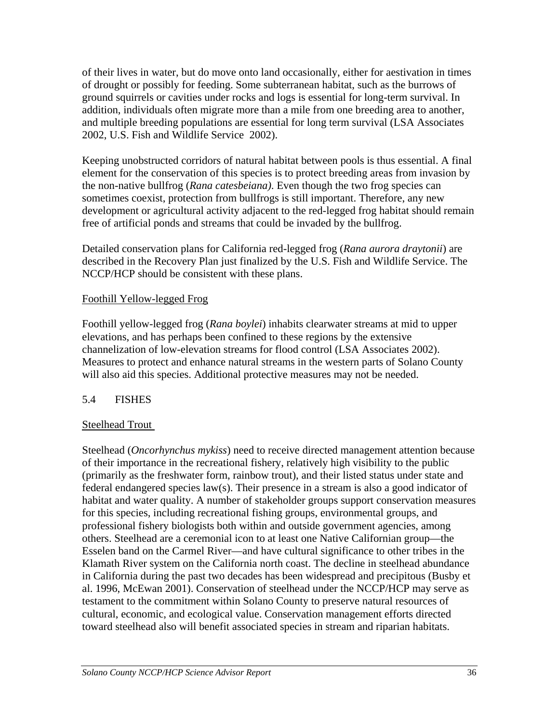of their lives in water, but do move onto land occasionally, either for aestivation in times of drought or possibly for feeding. Some subterranean habitat, such as the burrows of ground squirrels or cavities under rocks and logs is essential for long-term survival. In addition, individuals often migrate more than a mile from one breeding area to another, and multiple breeding populations are essential for long term survival (LSA Associates 2002, U.S. Fish and Wildlife Service 2002).

Keeping unobstructed corridors of natural habitat between pools is thus essential. A final element for the conservation of this species is to protect breeding areas from invasion by the non-native bullfrog (*Rana catesbeiana)*. Even though the two frog species can sometimes coexist, protection from bullfrogs is still important. Therefore, any new development or agricultural activity adjacent to the red-legged frog habitat should remain free of artificial ponds and streams that could be invaded by the bullfrog.

Detailed conservation plans for California red-legged frog (*Rana aurora draytonii*) are described in the Recovery Plan just finalized by the U.S. Fish and Wildlife Service. The NCCP/HCP should be consistent with these plans.

#### Foothill Yellow-legged Frog

Foothill yellow-legged frog (*Rana boylei*) inhabits clearwater streams at mid to upper elevations, and has perhaps been confined to these regions by the extensive channelization of low-elevation streams for flood control (LSA Associates 2002). Measures to protect and enhance natural streams in the western parts of Solano County will also aid this species. Additional protective measures may not be needed.

## 5.4 FISHES

#### Steelhead Trout

Steelhead (*Oncorhynchus mykiss*) need to receive directed management attention because of their importance in the recreational fishery, relatively high visibility to the public (primarily as the freshwater form, rainbow trout), and their listed status under state and federal endangered species law(s). Their presence in a stream is also a good indicator of habitat and water quality. A number of stakeholder groups support conservation measures for this species, including recreational fishing groups, environmental groups, and professional fishery biologists both within and outside government agencies, among others. Steelhead are a ceremonial icon to at least one Native Californian group—the Esselen band on the Carmel River—and have cultural significance to other tribes in the Klamath River system on the California north coast. The decline in steelhead abundance in California during the past two decades has been widespread and precipitous (Busby et al. 1996, McEwan 2001). Conservation of steelhead under the NCCP/HCP may serve as testament to the commitment within Solano County to preserve natural resources of cultural, economic, and ecological value. Conservation management efforts directed toward steelhead also will benefit associated species in stream and riparian habitats.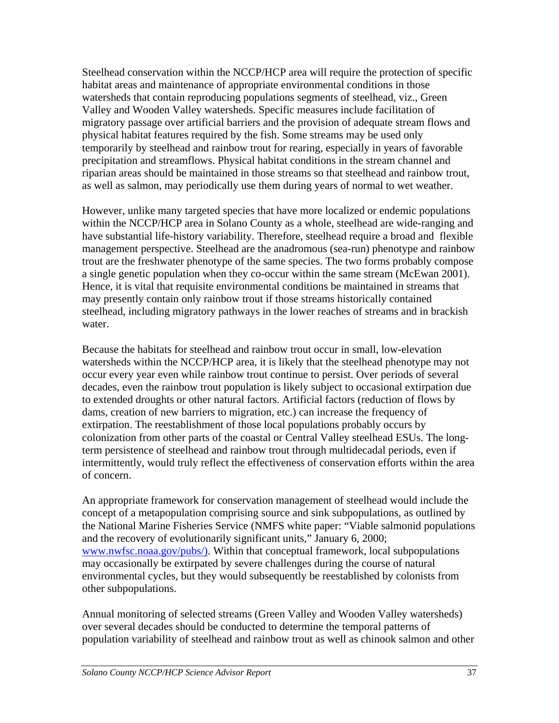Steelhead conservation within the NCCP/HCP area will require the protection of specific habitat areas and maintenance of appropriate environmental conditions in those watersheds that contain reproducing populations segments of steelhead, viz., Green Valley and Wooden Valley watersheds. Specific measures include facilitation of migratory passage over artificial barriers and the provision of adequate stream flows and physical habitat features required by the fish. Some streams may be used only temporarily by steelhead and rainbow trout for rearing, especially in years of favorable precipitation and streamflows. Physical habitat conditions in the stream channel and riparian areas should be maintained in those streams so that steelhead and rainbow trout, as well as salmon, may periodically use them during years of normal to wet weather.

However, unlike many targeted species that have more localized or endemic populations within the NCCP/HCP area in Solano County as a whole, steelhead are wide-ranging and have substantial life-history variability. Therefore, steelhead require a broad and flexible management perspective. Steelhead are the anadromous (sea-run) phenotype and rainbow trout are the freshwater phenotype of the same species. The two forms probably compose a single genetic population when they co-occur within the same stream (McEwan 2001). Hence, it is vital that requisite environmental conditions be maintained in streams that may presently contain only rainbow trout if those streams historically contained steelhead, including migratory pathways in the lower reaches of streams and in brackish water.

Because the habitats for steelhead and rainbow trout occur in small, low-elevation watersheds within the NCCP/HCP area, it is likely that the steelhead phenotype may not occur every year even while rainbow trout continue to persist. Over periods of several decades, even the rainbow trout population is likely subject to occasional extirpation due to extended droughts or other natural factors. Artificial factors (reduction of flows by dams, creation of new barriers to migration, etc.) can increase the frequency of extirpation. The reestablishment of those local populations probably occurs by colonization from other parts of the coastal or Central Valley steelhead ESUs. The longterm persistence of steelhead and rainbow trout through multidecadal periods, even if intermittently, would truly reflect the effectiveness of conservation efforts within the area of concern.

An appropriate framework for conservation management of steelhead would include the concept of a metapopulation comprising source and sink subpopulations, as outlined by the National Marine Fisheries Service (NMFS white paper: "Viable salmonid populations and the recovery of evolutionarily significant units," January 6, 2000; www.nwfsc.noaa.gov/pubs/). Within that conceptual framework, local subpopulations may occasionally be extirpated by severe challenges during the course of natural environmental cycles, but they would subsequently be reestablished by colonists from other subpopulations.

Annual monitoring of selected streams (Green Valley and Wooden Valley watersheds) over several decades should be conducted to determine the temporal patterns of population variability of steelhead and rainbow trout as well as chinook salmon and other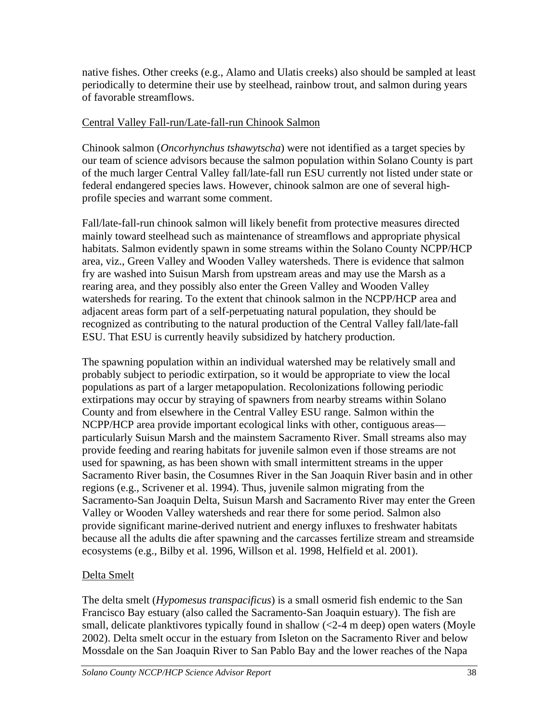native fishes. Other creeks (e.g., Alamo and Ulatis creeks) also should be sampled at least periodically to determine their use by steelhead, rainbow trout, and salmon during years of favorable streamflows.

### Central Valley Fall-run/Late-fall-run Chinook Salmon

Chinook salmon (*Oncorhynchus tshawytscha*) were not identified as a target species by our team of science advisors because the salmon population within Solano County is part of the much larger Central Valley fall/late-fall run ESU currently not listed under state or federal endangered species laws. However, chinook salmon are one of several highprofile species and warrant some comment.

Fall/late-fall-run chinook salmon will likely benefit from protective measures directed mainly toward steelhead such as maintenance of streamflows and appropriate physical habitats. Salmon evidently spawn in some streams within the Solano County NCPP/HCP area, viz., Green Valley and Wooden Valley watersheds. There is evidence that salmon fry are washed into Suisun Marsh from upstream areas and may use the Marsh as a rearing area, and they possibly also enter the Green Valley and Wooden Valley watersheds for rearing. To the extent that chinook salmon in the NCPP/HCP area and adjacent areas form part of a self-perpetuating natural population, they should be recognized as contributing to the natural production of the Central Valley fall/late-fall ESU. That ESU is currently heavily subsidized by hatchery production.

The spawning population within an individual watershed may be relatively small and probably subject to periodic extirpation, so it would be appropriate to view the local populations as part of a larger metapopulation. Recolonizations following periodic extirpations may occur by straying of spawners from nearby streams within Solano County and from elsewhere in the Central Valley ESU range. Salmon within the NCPP/HCP area provide important ecological links with other, contiguous areas particularly Suisun Marsh and the mainstem Sacramento River. Small streams also may provide feeding and rearing habitats for juvenile salmon even if those streams are not used for spawning, as has been shown with small intermittent streams in the upper Sacramento River basin, the Cosumnes River in the San Joaquin River basin and in other regions (e.g., Scrivener et al. 1994). Thus, juvenile salmon migrating from the Sacramento-San Joaquin Delta, Suisun Marsh and Sacramento River may enter the Green Valley or Wooden Valley watersheds and rear there for some period. Salmon also provide significant marine-derived nutrient and energy influxes to freshwater habitats because all the adults die after spawning and the carcasses fertilize stream and streamside ecosystems (e.g., Bilby et al. 1996, Willson et al. 1998, Helfield et al. 2001).

## Delta Smelt

The delta smelt (*Hypomesus transpacificus*) is a small osmerid fish endemic to the San Francisco Bay estuary (also called the Sacramento-San Joaquin estuary). The fish are small, delicate planktivores typically found in shallow (<2-4 m deep) open waters (Moyle 2002). Delta smelt occur in the estuary from Isleton on the Sacramento River and below Mossdale on the San Joaquin River to San Pablo Bay and the lower reaches of the Napa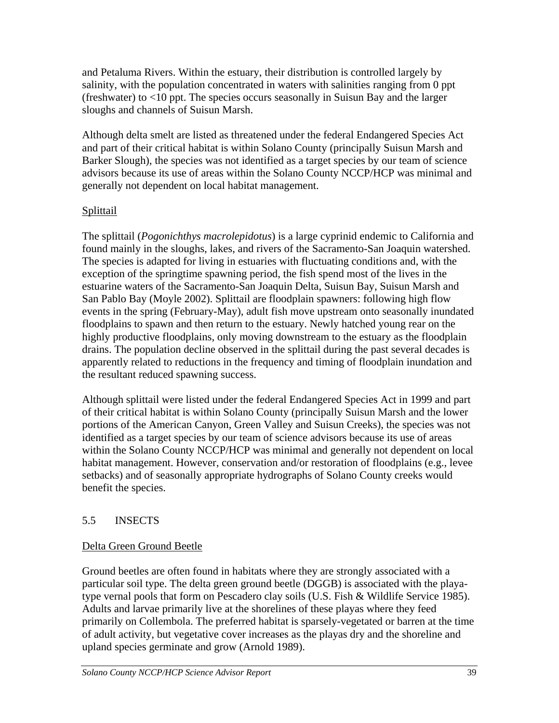and Petaluma Rivers. Within the estuary, their distribution is controlled largely by salinity, with the population concentrated in waters with salinities ranging from 0 ppt (freshwater) to <10 ppt. The species occurs seasonally in Suisun Bay and the larger sloughs and channels of Suisun Marsh.

Although delta smelt are listed as threatened under the federal Endangered Species Act and part of their critical habitat is within Solano County (principally Suisun Marsh and Barker Slough), the species was not identified as a target species by our team of science advisors because its use of areas within the Solano County NCCP/HCP was minimal and generally not dependent on local habitat management.

## Splittail

The splittail (*Pogonichthys macrolepidotus*) is a large cyprinid endemic to California and found mainly in the sloughs, lakes, and rivers of the Sacramento-San Joaquin watershed. The species is adapted for living in estuaries with fluctuating conditions and, with the exception of the springtime spawning period, the fish spend most of the lives in the estuarine waters of the Sacramento-San Joaquin Delta, Suisun Bay, Suisun Marsh and San Pablo Bay (Moyle 2002). Splittail are floodplain spawners: following high flow events in the spring (February-May), adult fish move upstream onto seasonally inundated floodplains to spawn and then return to the estuary. Newly hatched young rear on the highly productive floodplains, only moving downstream to the estuary as the floodplain drains. The population decline observed in the splittail during the past several decades is apparently related to reductions in the frequency and timing of floodplain inundation and the resultant reduced spawning success.

Although splittail were listed under the federal Endangered Species Act in 1999 and part of their critical habitat is within Solano County (principally Suisun Marsh and the lower portions of the American Canyon, Green Valley and Suisun Creeks), the species was not identified as a target species by our team of science advisors because its use of areas within the Solano County NCCP/HCP was minimal and generally not dependent on local habitat management. However, conservation and/or restoration of floodplains (e.g., levee setbacks) and of seasonally appropriate hydrographs of Solano County creeks would benefit the species.

# 5.5 INSECTS

## Delta Green Ground Beetle

Ground beetles are often found in habitats where they are strongly associated with a particular soil type. The delta green ground beetle (DGGB) is associated with the playatype vernal pools that form on Pescadero clay soils (U.S. Fish & Wildlife Service 1985). Adults and larvae primarily live at the shorelines of these playas where they feed primarily on Collembola. The preferred habitat is sparsely-vegetated or barren at the time of adult activity, but vegetative cover increases as the playas dry and the shoreline and upland species germinate and grow (Arnold 1989).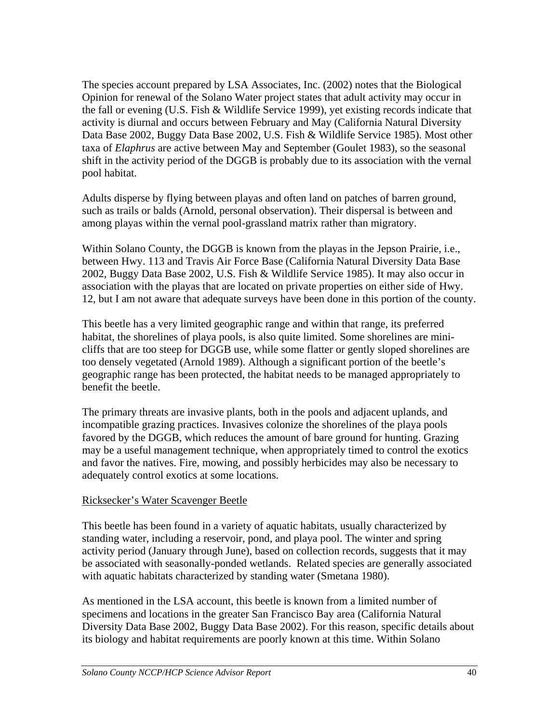The species account prepared by LSA Associates, Inc. (2002) notes that the Biological Opinion for renewal of the Solano Water project states that adult activity may occur in the fall or evening (U.S. Fish & Wildlife Service 1999), yet existing records indicate that activity is diurnal and occurs between February and May (California Natural Diversity Data Base 2002, Buggy Data Base 2002, U.S. Fish & Wildlife Service 1985). Most other taxa of *Elaphrus* are active between May and September (Goulet 1983), so the seasonal shift in the activity period of the DGGB is probably due to its association with the vernal pool habitat.

Adults disperse by flying between playas and often land on patches of barren ground, such as trails or balds (Arnold, personal observation). Their dispersal is between and among playas within the vernal pool-grassland matrix rather than migratory.

Within Solano County, the DGGB is known from the playas in the Jepson Prairie, i.e., between Hwy. 113 and Travis Air Force Base (California Natural Diversity Data Base 2002, Buggy Data Base 2002, U.S. Fish & Wildlife Service 1985). It may also occur in association with the playas that are located on private properties on either side of Hwy. 12, but I am not aware that adequate surveys have been done in this portion of the county.

This beetle has a very limited geographic range and within that range, its preferred habitat, the shorelines of playa pools, is also quite limited. Some shorelines are minicliffs that are too steep for DGGB use, while some flatter or gently sloped shorelines are too densely vegetated (Arnold 1989). Although a significant portion of the beetle's geographic range has been protected, the habitat needs to be managed appropriately to benefit the beetle.

The primary threats are invasive plants, both in the pools and adjacent uplands, and incompatible grazing practices. Invasives colonize the shorelines of the playa pools favored by the DGGB, which reduces the amount of bare ground for hunting. Grazing may be a useful management technique, when appropriately timed to control the exotics and favor the natives. Fire, mowing, and possibly herbicides may also be necessary to adequately control exotics at some locations.

#### Ricksecker's Water Scavenger Beetle

This beetle has been found in a variety of aquatic habitats, usually characterized by standing water, including a reservoir, pond, and playa pool. The winter and spring activity period (January through June), based on collection records, suggests that it may be associated with seasonally-ponded wetlands. Related species are generally associated with aquatic habitats characterized by standing water (Smetana 1980).

As mentioned in the LSA account, this beetle is known from a limited number of specimens and locations in the greater San Francisco Bay area (California Natural Diversity Data Base 2002, Buggy Data Base 2002). For this reason, specific details about its biology and habitat requirements are poorly known at this time. Within Solano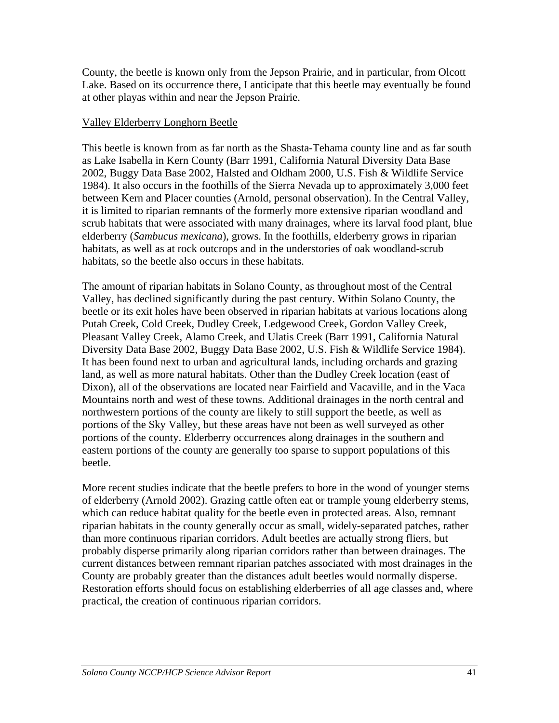County, the beetle is known only from the Jepson Prairie, and in particular, from Olcott Lake. Based on its occurrence there, I anticipate that this beetle may eventually be found at other playas within and near the Jepson Prairie.

#### Valley Elderberry Longhorn Beetle

This beetle is known from as far north as the Shasta-Tehama county line and as far south as Lake Isabella in Kern County (Barr 1991, California Natural Diversity Data Base 2002, Buggy Data Base 2002, Halsted and Oldham 2000, U.S. Fish & Wildlife Service 1984). It also occurs in the foothills of the Sierra Nevada up to approximately 3,000 feet between Kern and Placer counties (Arnold, personal observation). In the Central Valley, it is limited to riparian remnants of the formerly more extensive riparian woodland and scrub habitats that were associated with many drainages, where its larval food plant, blue elderberry (*Sambucus mexicana*), grows. In the foothills, elderberry grows in riparian habitats, as well as at rock outcrops and in the understories of oak woodland-scrub habitats, so the beetle also occurs in these habitats.

The amount of riparian habitats in Solano County, as throughout most of the Central Valley, has declined significantly during the past century. Within Solano County, the beetle or its exit holes have been observed in riparian habitats at various locations along Putah Creek, Cold Creek, Dudley Creek, Ledgewood Creek, Gordon Valley Creek, Pleasant Valley Creek, Alamo Creek, and Ulatis Creek (Barr 1991, California Natural Diversity Data Base 2002, Buggy Data Base 2002, U.S. Fish & Wildlife Service 1984). It has been found next to urban and agricultural lands, including orchards and grazing land, as well as more natural habitats. Other than the Dudley Creek location (east of Dixon), all of the observations are located near Fairfield and Vacaville, and in the Vaca Mountains north and west of these towns. Additional drainages in the north central and northwestern portions of the county are likely to still support the beetle, as well as portions of the Sky Valley, but these areas have not been as well surveyed as other portions of the county. Elderberry occurrences along drainages in the southern and eastern portions of the county are generally too sparse to support populations of this beetle.

More recent studies indicate that the beetle prefers to bore in the wood of younger stems of elderberry (Arnold 2002). Grazing cattle often eat or trample young elderberry stems, which can reduce habitat quality for the beetle even in protected areas. Also, remnant riparian habitats in the county generally occur as small, widely-separated patches, rather than more continuous riparian corridors. Adult beetles are actually strong fliers, but probably disperse primarily along riparian corridors rather than between drainages. The current distances between remnant riparian patches associated with most drainages in the County are probably greater than the distances adult beetles would normally disperse. Restoration efforts should focus on establishing elderberries of all age classes and, where practical, the creation of continuous riparian corridors.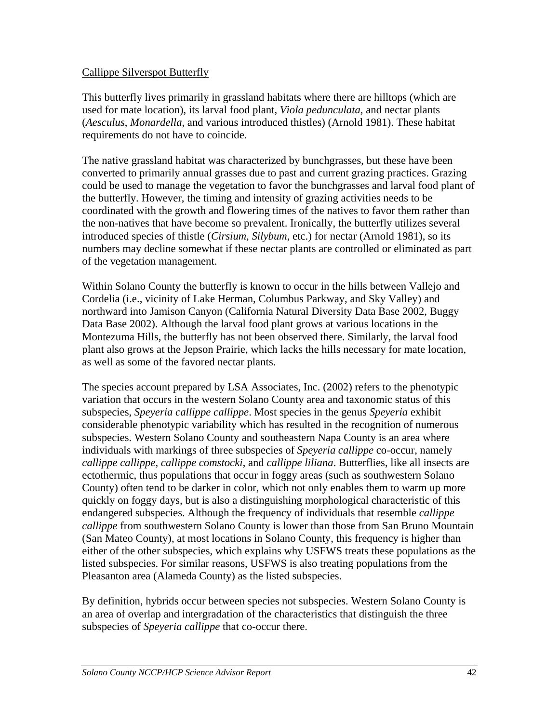#### Callippe Silverspot Butterfly

This butterfly lives primarily in grassland habitats where there are hilltops (which are used for mate location), its larval food plant, *Viola pedunculata,* and nectar plants (*Aesculus*, *Monardella*, and various introduced thistles) (Arnold 1981). These habitat requirements do not have to coincide.

The native grassland habitat was characterized by bunchgrasses, but these have been converted to primarily annual grasses due to past and current grazing practices. Grazing could be used to manage the vegetation to favor the bunchgrasses and larval food plant of the butterfly. However, the timing and intensity of grazing activities needs to be coordinated with the growth and flowering times of the natives to favor them rather than the non-natives that have become so prevalent. Ironically, the butterfly utilizes several introduced species of thistle (*Cirsium*, *Silybum*, etc.) for nectar (Arnold 1981), so its numbers may decline somewhat if these nectar plants are controlled or eliminated as part of the vegetation management.

Within Solano County the butterfly is known to occur in the hills between Vallejo and Cordelia (i.e., vicinity of Lake Herman, Columbus Parkway, and Sky Valley) and northward into Jamison Canyon (California Natural Diversity Data Base 2002, Buggy Data Base 2002). Although the larval food plant grows at various locations in the Montezuma Hills, the butterfly has not been observed there. Similarly, the larval food plant also grows at the Jepson Prairie, which lacks the hills necessary for mate location, as well as some of the favored nectar plants.

The species account prepared by LSA Associates, Inc. (2002) refers to the phenotypic variation that occurs in the western Solano County area and taxonomic status of this subspecies, *Speyeria callippe callippe*. Most species in the genus *Speyeria* exhibit considerable phenotypic variability which has resulted in the recognition of numerous subspecies. Western Solano County and southeastern Napa County is an area where individuals with markings of three subspecies of *Speyeria callippe* co-occur, namely *callippe callippe*, *callippe comstocki*, and *callippe liliana*. Butterflies, like all insects are ectothermic, thus populations that occur in foggy areas (such as southwestern Solano County) often tend to be darker in color, which not only enables them to warm up more quickly on foggy days, but is also a distinguishing morphological characteristic of this endangered subspecies. Although the frequency of individuals that resemble *callippe callippe* from southwestern Solano County is lower than those from San Bruno Mountain (San Mateo County), at most locations in Solano County, this frequency is higher than either of the other subspecies, which explains why USFWS treats these populations as the listed subspecies. For similar reasons, USFWS is also treating populations from the Pleasanton area (Alameda County) as the listed subspecies.

By definition, hybrids occur between species not subspecies. Western Solano County is an area of overlap and intergradation of the characteristics that distinguish the three subspecies of *Speyeria callippe* that co-occur there.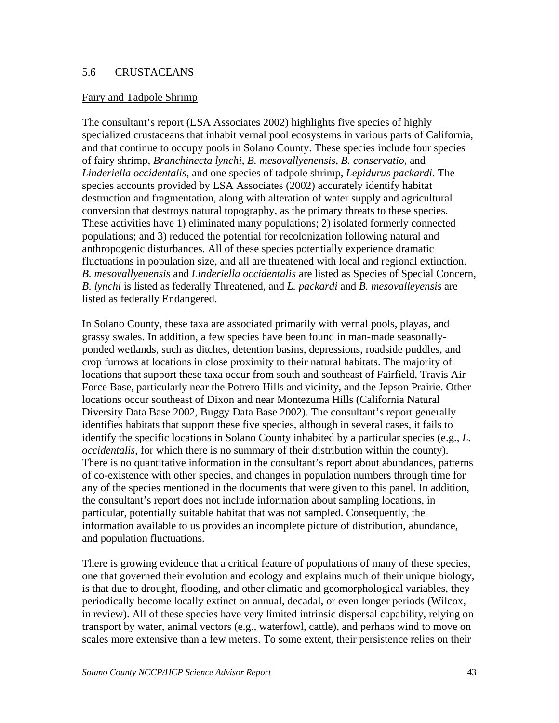#### 5.6 CRUSTACEANS

#### Fairy and Tadpole Shrimp

The consultant's report (LSA Associates 2002) highlights five species of highly specialized crustaceans that inhabit vernal pool ecosystems in various parts of California, and that continue to occupy pools in Solano County. These species include four species of fairy shrimp, *Branchinecta lynchi*, *B. mesovallyenensis*, *B. conservatio*, and *Linderiella occidentalis*, and one species of tadpole shrimp, *Lepidurus packardi*. The species accounts provided by LSA Associates (2002) accurately identify habitat destruction and fragmentation, along with alteration of water supply and agricultural conversion that destroys natural topography, as the primary threats to these species. These activities have 1) eliminated many populations; 2) isolated formerly connected populations; and 3) reduced the potential for recolonization following natural and anthropogenic disturbances. All of these species potentially experience dramatic fluctuations in population size, and all are threatened with local and regional extinction. *B. mesovallyenensis* and *Linderiella occidentalis* are listed as Species of Special Concern, *B. lynchi* is listed as federally Threatened, and *L. packardi* and *B. mesovalleyensis* are listed as federally Endangered.

In Solano County, these taxa are associated primarily with vernal pools, playas, and grassy swales. In addition, a few species have been found in man-made seasonallyponded wetlands, such as ditches, detention basins, depressions, roadside puddles, and crop furrows at locations in close proximity to their natural habitats. The majority of locations that support these taxa occur from south and southeast of Fairfield, Travis Air Force Base, particularly near the Potrero Hills and vicinity, and the Jepson Prairie. Other locations occur southeast of Dixon and near Montezuma Hills (California Natural Diversity Data Base 2002, Buggy Data Base 2002). The consultant's report generally identifies habitats that support these five species, although in several cases, it fails to identify the specific locations in Solano County inhabited by a particular species (e.g., *L. occidentalis*, for which there is no summary of their distribution within the county). There is no quantitative information in the consultant's report about abundances, patterns of co-existence with other species, and changes in population numbers through time for any of the species mentioned in the documents that were given to this panel. In addition, the consultant's report does not include information about sampling locations, in particular, potentially suitable habitat that was not sampled. Consequently, the information available to us provides an incomplete picture of distribution, abundance, and population fluctuations.

There is growing evidence that a critical feature of populations of many of these species, one that governed their evolution and ecology and explains much of their unique biology, is that due to drought, flooding, and other climatic and geomorphological variables, they periodically become locally extinct on annual, decadal, or even longer periods (Wilcox, in review). All of these species have very limited intrinsic dispersal capability, relying on transport by water, animal vectors (e.g., waterfowl, cattle), and perhaps wind to move on scales more extensive than a few meters. To some extent, their persistence relies on their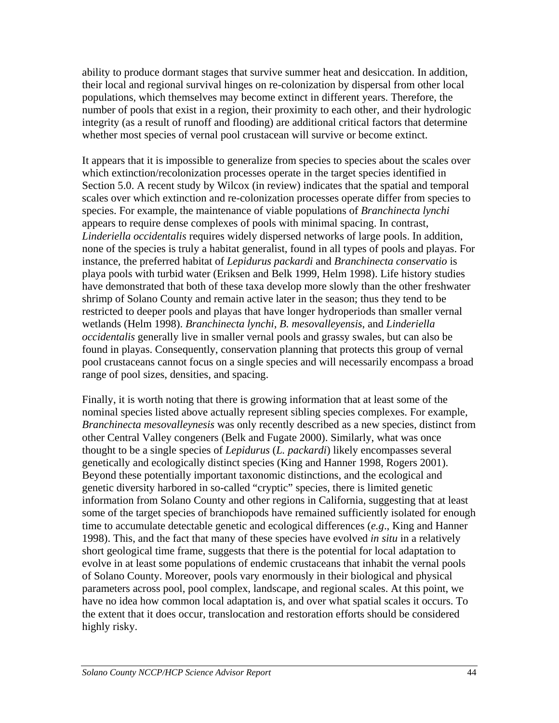ability to produce dormant stages that survive summer heat and desiccation. In addition, their local and regional survival hinges on re-colonization by dispersal from other local populations, which themselves may become extinct in different years. Therefore, the number of pools that exist in a region, their proximity to each other, and their hydrologic integrity (as a result of runoff and flooding) are additional critical factors that determine whether most species of vernal pool crustacean will survive or become extinct.

It appears that it is impossible to generalize from species to species about the scales over which extinction/recolonization processes operate in the target species identified in Section 5.0. A recent study by Wilcox (in review) indicates that the spatial and temporal scales over which extinction and re-colonization processes operate differ from species to species. For example, the maintenance of viable populations of *Branchinecta lynchi* appears to require dense complexes of pools with minimal spacing. In contrast, *Linderiella occidentalis* requires widely dispersed networks of large pools. In addition, none of the species is truly a habitat generalist, found in all types of pools and playas. For instance, the preferred habitat of *Lepidurus packardi* and *Branchinecta conservatio* is playa pools with turbid water (Eriksen and Belk 1999, Helm 1998). Life history studies have demonstrated that both of these taxa develop more slowly than the other freshwater shrimp of Solano County and remain active later in the season; thus they tend to be restricted to deeper pools and playas that have longer hydroperiods than smaller vernal wetlands (Helm 1998). *Branchinecta lynchi*, *B. mesovalleyensis*, and *Linderiella occidentalis* generally live in smaller vernal pools and grassy swales, but can also be found in playas. Consequently, conservation planning that protects this group of vernal pool crustaceans cannot focus on a single species and will necessarily encompass a broad range of pool sizes, densities, and spacing.

Finally, it is worth noting that there is growing information that at least some of the nominal species listed above actually represent sibling species complexes. For example, *Branchinecta mesovalleynesis* was only recently described as a new species, distinct from other Central Valley congeners (Belk and Fugate 2000). Similarly, what was once thought to be a single species of *Lepidurus* (*L. packardi*) likely encompasses several genetically and ecologically distinct species (King and Hanner 1998, Rogers 2001). Beyond these potentially important taxonomic distinctions, and the ecological and genetic diversity harbored in so-called "cryptic" species, there is limited genetic information from Solano County and other regions in California, suggesting that at least some of the target species of branchiopods have remained sufficiently isolated for enough time to accumulate detectable genetic and ecological differences (*e.g*., King and Hanner 1998). This, and the fact that many of these species have evolved *in situ* in a relatively short geological time frame, suggests that there is the potential for local adaptation to evolve in at least some populations of endemic crustaceans that inhabit the vernal pools of Solano County. Moreover, pools vary enormously in their biological and physical parameters across pool, pool complex, landscape, and regional scales. At this point, we have no idea how common local adaptation is, and over what spatial scales it occurs. To the extent that it does occur, translocation and restoration efforts should be considered highly risky.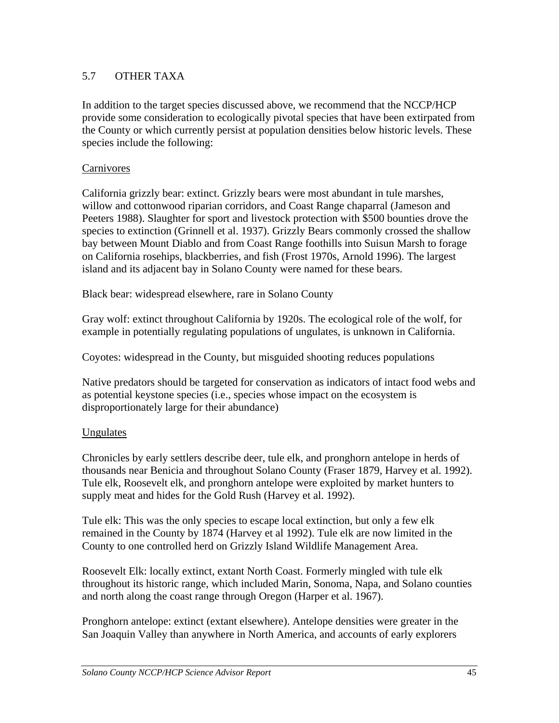## 5.7 OTHER TAXA

In addition to the target species discussed above, we recommend that the NCCP/HCP provide some consideration to ecologically pivotal species that have been extirpated from the County or which currently persist at population densities below historic levels. These species include the following:

#### **Carnivores**

California grizzly bear: extinct. Grizzly bears were most abundant in tule marshes, willow and cottonwood riparian corridors, and Coast Range chaparral (Jameson and Peeters 1988). Slaughter for sport and livestock protection with \$500 bounties drove the species to extinction (Grinnell et al. 1937). Grizzly Bears commonly crossed the shallow bay between Mount Diablo and from Coast Range foothills into Suisun Marsh to forage on California rosehips, blackberries, and fish (Frost 1970s, Arnold 1996). The largest island and its adjacent bay in Solano County were named for these bears.

Black bear: widespread elsewhere, rare in Solano County

Gray wolf: extinct throughout California by 1920s. The ecological role of the wolf, for example in potentially regulating populations of ungulates, is unknown in California.

Coyotes: widespread in the County, but misguided shooting reduces populations

Native predators should be targeted for conservation as indicators of intact food webs and as potential keystone species (i.e., species whose impact on the ecosystem is disproportionately large for their abundance)

#### Ungulates

Chronicles by early settlers describe deer, tule elk, and pronghorn antelope in herds of thousands near Benicia and throughout Solano County (Fraser 1879, Harvey et al. 1992). Tule elk, Roosevelt elk, and pronghorn antelope were exploited by market hunters to supply meat and hides for the Gold Rush (Harvey et al. 1992).

Tule elk: This was the only species to escape local extinction, but only a few elk remained in the County by 1874 (Harvey et al 1992). Tule elk are now limited in the County to one controlled herd on Grizzly Island Wildlife Management Area.

Roosevelt Elk: locally extinct, extant North Coast. Formerly mingled with tule elk throughout its historic range, which included Marin, Sonoma, Napa, and Solano counties and north along the coast range through Oregon (Harper et al. 1967).

Pronghorn antelope: extinct (extant elsewhere). Antelope densities were greater in the San Joaquin Valley than anywhere in North America, and accounts of early explorers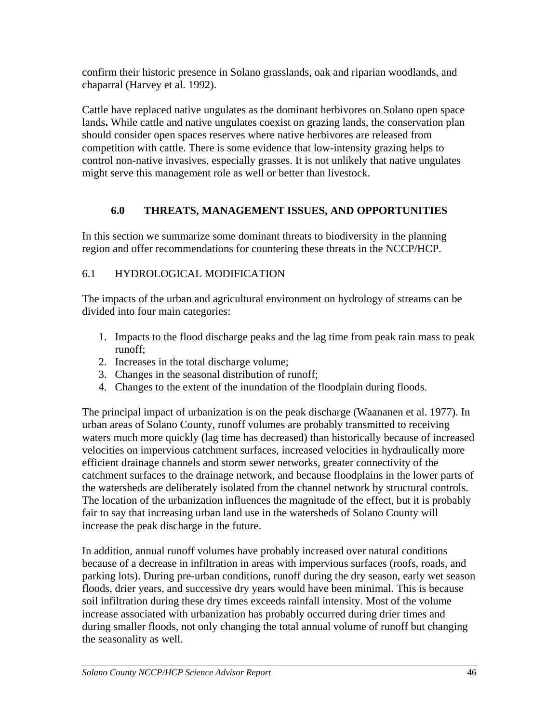confirm their historic presence in Solano grasslands, oak and riparian woodlands, and chaparral (Harvey et al. 1992).

Cattle have replaced native ungulates as the dominant herbivores on Solano open space lands**.** While cattle and native ungulates coexist on grazing lands, the conservation plan should consider open spaces reserves where native herbivores are released from competition with cattle. There is some evidence that low-intensity grazing helps to control non-native invasives, especially grasses. It is not unlikely that native ungulates might serve this management role as well or better than livestock.

# **6.0 THREATS, MANAGEMENT ISSUES, AND OPPORTUNITIES**

In this section we summarize some dominant threats to biodiversity in the planning region and offer recommendations for countering these threats in the NCCP/HCP.

# 6.1 HYDROLOGICAL MODIFICATION

The impacts of the urban and agricultural environment on hydrology of streams can be divided into four main categories:

- 1. Impacts to the flood discharge peaks and the lag time from peak rain mass to peak runoff;
- 2. Increases in the total discharge volume;
- 3. Changes in the seasonal distribution of runoff;
- 4. Changes to the extent of the inundation of the floodplain during floods.

The principal impact of urbanization is on the peak discharge (Waananen et al. 1977). In urban areas of Solano County, runoff volumes are probably transmitted to receiving waters much more quickly (lag time has decreased) than historically because of increased velocities on impervious catchment surfaces, increased velocities in hydraulically more efficient drainage channels and storm sewer networks, greater connectivity of the catchment surfaces to the drainage network, and because floodplains in the lower parts of the watersheds are deliberately isolated from the channel network by structural controls. The location of the urbanization influences the magnitude of the effect, but it is probably fair to say that increasing urban land use in the watersheds of Solano County will increase the peak discharge in the future.

In addition, annual runoff volumes have probably increased over natural conditions because of a decrease in infiltration in areas with impervious surfaces (roofs, roads, and parking lots). During pre-urban conditions, runoff during the dry season, early wet season floods, drier years, and successive dry years would have been minimal. This is because soil infiltration during these dry times exceeds rainfall intensity. Most of the volume increase associated with urbanization has probably occurred during drier times and during smaller floods, not only changing the total annual volume of runoff but changing the seasonality as well.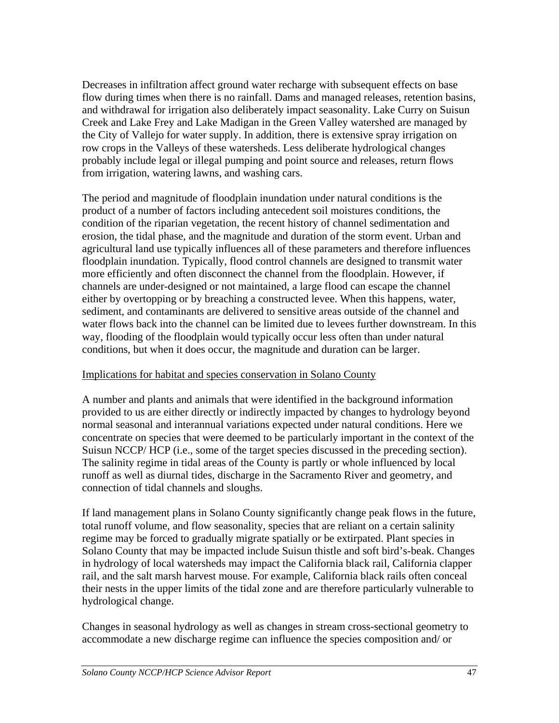Decreases in infiltration affect ground water recharge with subsequent effects on base flow during times when there is no rainfall. Dams and managed releases, retention basins, and withdrawal for irrigation also deliberately impact seasonality. Lake Curry on Suisun Creek and Lake Frey and Lake Madigan in the Green Valley watershed are managed by the City of Vallejo for water supply. In addition, there is extensive spray irrigation on row crops in the Valleys of these watersheds. Less deliberate hydrological changes probably include legal or illegal pumping and point source and releases, return flows from irrigation, watering lawns, and washing cars.

The period and magnitude of floodplain inundation under natural conditions is the product of a number of factors including antecedent soil moistures conditions, the condition of the riparian vegetation, the recent history of channel sedimentation and erosion, the tidal phase, and the magnitude and duration of the storm event. Urban and agricultural land use typically influences all of these parameters and therefore influences floodplain inundation. Typically, flood control channels are designed to transmit water more efficiently and often disconnect the channel from the floodplain. However, if channels are under-designed or not maintained, a large flood can escape the channel either by overtopping or by breaching a constructed levee. When this happens, water, sediment, and contaminants are delivered to sensitive areas outside of the channel and water flows back into the channel can be limited due to levees further downstream. In this way, flooding of the floodplain would typically occur less often than under natural conditions, but when it does occur, the magnitude and duration can be larger.

#### Implications for habitat and species conservation in Solano County

A number and plants and animals that were identified in the background information provided to us are either directly or indirectly impacted by changes to hydrology beyond normal seasonal and interannual variations expected under natural conditions. Here we concentrate on species that were deemed to be particularly important in the context of the Suisun NCCP/ HCP (i.e., some of the target species discussed in the preceding section). The salinity regime in tidal areas of the County is partly or whole influenced by local runoff as well as diurnal tides, discharge in the Sacramento River and geometry, and connection of tidal channels and sloughs.

If land management plans in Solano County significantly change peak flows in the future, total runoff volume, and flow seasonality, species that are reliant on a certain salinity regime may be forced to gradually migrate spatially or be extirpated. Plant species in Solano County that may be impacted include Suisun thistle and soft bird's-beak. Changes in hydrology of local watersheds may impact the California black rail, California clapper rail, and the salt marsh harvest mouse. For example, California black rails often conceal their nests in the upper limits of the tidal zone and are therefore particularly vulnerable to hydrological change.

Changes in seasonal hydrology as well as changes in stream cross-sectional geometry to accommodate a new discharge regime can influence the species composition and/ or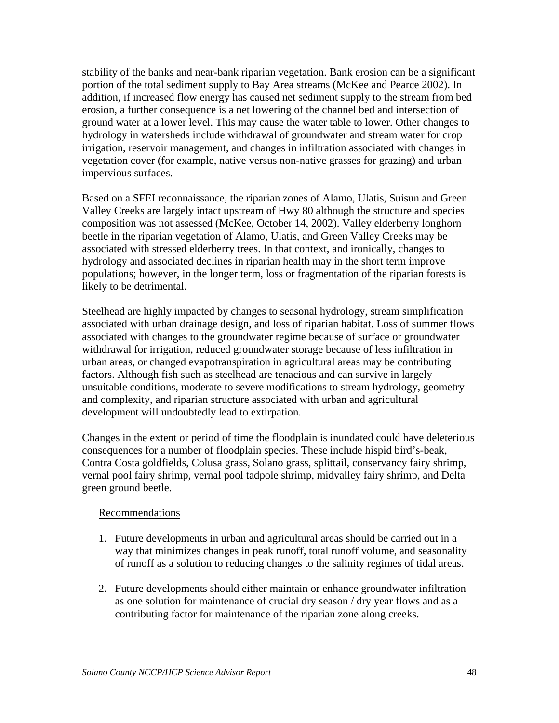stability of the banks and near-bank riparian vegetation. Bank erosion can be a significant portion of the total sediment supply to Bay Area streams (McKee and Pearce 2002). In addition, if increased flow energy has caused net sediment supply to the stream from bed erosion, a further consequence is a net lowering of the channel bed and intersection of ground water at a lower level. This may cause the water table to lower. Other changes to hydrology in watersheds include withdrawal of groundwater and stream water for crop irrigation, reservoir management, and changes in infiltration associated with changes in vegetation cover (for example, native versus non-native grasses for grazing) and urban impervious surfaces.

Based on a SFEI reconnaissance, the riparian zones of Alamo, Ulatis, Suisun and Green Valley Creeks are largely intact upstream of Hwy 80 although the structure and species composition was not assessed (McKee, October 14, 2002). Valley elderberry longhorn beetle in the riparian vegetation of Alamo, Ulatis, and Green Valley Creeks may be associated with stressed elderberry trees. In that context, and ironically, changes to hydrology and associated declines in riparian health may in the short term improve populations; however, in the longer term, loss or fragmentation of the riparian forests is likely to be detrimental.

Steelhead are highly impacted by changes to seasonal hydrology, stream simplification associated with urban drainage design, and loss of riparian habitat. Loss of summer flows associated with changes to the groundwater regime because of surface or groundwater withdrawal for irrigation, reduced groundwater storage because of less infiltration in urban areas, or changed evapotranspiration in agricultural areas may be contributing factors. Although fish such as steelhead are tenacious and can survive in largely unsuitable conditions, moderate to severe modifications to stream hydrology, geometry and complexity, and riparian structure associated with urban and agricultural development will undoubtedly lead to extirpation.

Changes in the extent or period of time the floodplain is inundated could have deleterious consequences for a number of floodplain species. These include hispid bird's-beak, Contra Costa goldfields, Colusa grass, Solano grass, splittail, conservancy fairy shrimp, vernal pool fairy shrimp, vernal pool tadpole shrimp, midvalley fairy shrimp, and Delta green ground beetle.

#### Recommendations

- 1. Future developments in urban and agricultural areas should be carried out in a way that minimizes changes in peak runoff, total runoff volume, and seasonality of runoff as a solution to reducing changes to the salinity regimes of tidal areas.
- 2. Future developments should either maintain or enhance groundwater infiltration as one solution for maintenance of crucial dry season / dry year flows and as a contributing factor for maintenance of the riparian zone along creeks.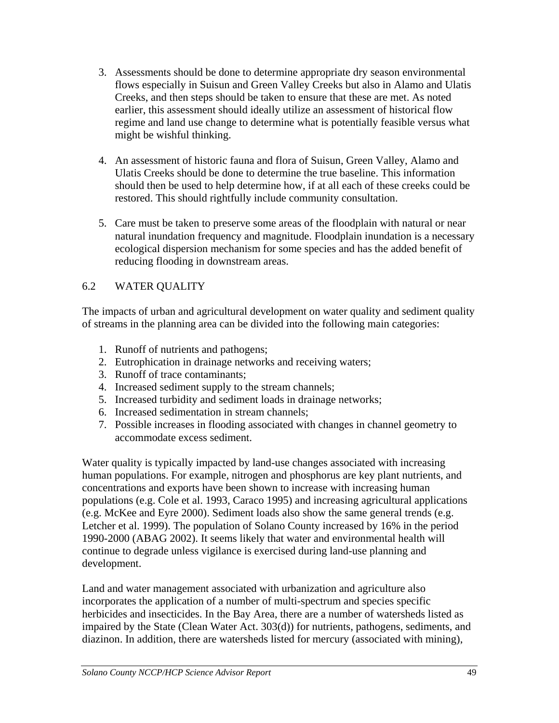- 3. Assessments should be done to determine appropriate dry season environmental flows especially in Suisun and Green Valley Creeks but also in Alamo and Ulatis Creeks, and then steps should be taken to ensure that these are met. As noted earlier, this assessment should ideally utilize an assessment of historical flow regime and land use change to determine what is potentially feasible versus what might be wishful thinking.
- 4. An assessment of historic fauna and flora of Suisun, Green Valley, Alamo and Ulatis Creeks should be done to determine the true baseline. This information should then be used to help determine how, if at all each of these creeks could be restored. This should rightfully include community consultation.
- 5. Care must be taken to preserve some areas of the floodplain with natural or near natural inundation frequency and magnitude. Floodplain inundation is a necessary ecological dispersion mechanism for some species and has the added benefit of reducing flooding in downstream areas.

## 6.2 WATER QUALITY

The impacts of urban and agricultural development on water quality and sediment quality of streams in the planning area can be divided into the following main categories:

- 1. Runoff of nutrients and pathogens;
- 2. Eutrophication in drainage networks and receiving waters;
- 3. Runoff of trace contaminants;
- 4. Increased sediment supply to the stream channels;
- 5. Increased turbidity and sediment loads in drainage networks;
- 6. Increased sedimentation in stream channels;
- 7. Possible increases in flooding associated with changes in channel geometry to accommodate excess sediment.

Water quality is typically impacted by land-use changes associated with increasing human populations. For example, nitrogen and phosphorus are key plant nutrients, and concentrations and exports have been shown to increase with increasing human populations (e.g. Cole et al. 1993, Caraco 1995) and increasing agricultural applications (e.g. McKee and Eyre 2000). Sediment loads also show the same general trends (e.g. Letcher et al. 1999). The population of Solano County increased by 16% in the period 1990-2000 (ABAG 2002). It seems likely that water and environmental health will continue to degrade unless vigilance is exercised during land-use planning and development.

Land and water management associated with urbanization and agriculture also incorporates the application of a number of multi-spectrum and species specific herbicides and insecticides. In the Bay Area, there are a number of watersheds listed as impaired by the State (Clean Water Act. 303(d)) for nutrients, pathogens, sediments, and diazinon. In addition, there are watersheds listed for mercury (associated with mining),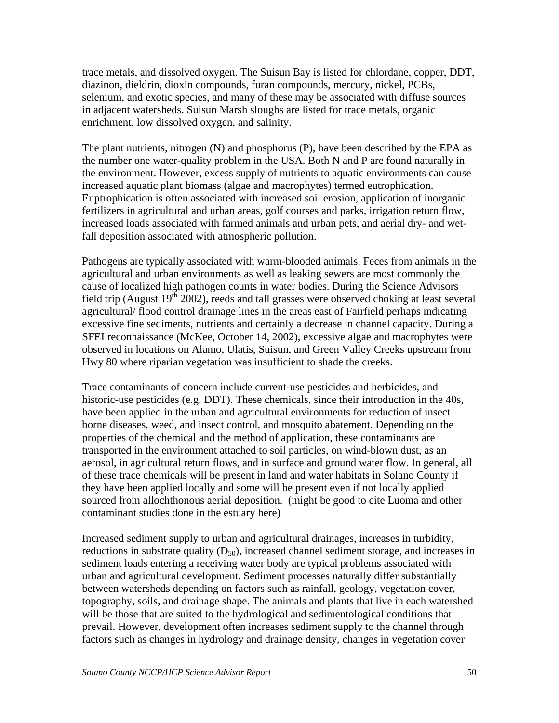trace metals, and dissolved oxygen. The Suisun Bay is listed for chlordane, copper, DDT, diazinon, dieldrin, dioxin compounds, furan compounds, mercury, nickel, PCBs, selenium, and exotic species, and many of these may be associated with diffuse sources in adjacent watersheds. Suisun Marsh sloughs are listed for trace metals, organic enrichment, low dissolved oxygen, and salinity.

The plant nutrients, nitrogen (N) and phosphorus (P), have been described by the EPA as the number one water-quality problem in the USA. Both N and P are found naturally in the environment. However, excess supply of nutrients to aquatic environments can cause increased aquatic plant biomass (algae and macrophytes) termed eutrophication. Euptrophication is often associated with increased soil erosion, application of inorganic fertilizers in agricultural and urban areas, golf courses and parks, irrigation return flow, increased loads associated with farmed animals and urban pets, and aerial dry- and wetfall deposition associated with atmospheric pollution.

Pathogens are typically associated with warm-blooded animals. Feces from animals in the agricultural and urban environments as well as leaking sewers are most commonly the cause of localized high pathogen counts in water bodies. During the Science Advisors field trip (August  $19^{th}$  2002), reeds and tall grasses were observed choking at least several agricultural/ flood control drainage lines in the areas east of Fairfield perhaps indicating excessive fine sediments, nutrients and certainly a decrease in channel capacity. During a SFEI reconnaissance (McKee, October 14, 2002), excessive algae and macrophytes were observed in locations on Alamo, Ulatis, Suisun, and Green Valley Creeks upstream from Hwy 80 where riparian vegetation was insufficient to shade the creeks.

Trace contaminants of concern include current-use pesticides and herbicides, and historic-use pesticides (e.g. DDT). These chemicals, since their introduction in the 40s, have been applied in the urban and agricultural environments for reduction of insect borne diseases, weed, and insect control, and mosquito abatement. Depending on the properties of the chemical and the method of application, these contaminants are transported in the environment attached to soil particles, on wind-blown dust, as an aerosol, in agricultural return flows, and in surface and ground water flow. In general, all of these trace chemicals will be present in land and water habitats in Solano County if they have been applied locally and some will be present even if not locally applied sourced from allochthonous aerial deposition. (might be good to cite Luoma and other contaminant studies done in the estuary here)

Increased sediment supply to urban and agricultural drainages, increases in turbidity, reductions in substrate quality  $(D_{50})$ , increased channel sediment storage, and increases in sediment loads entering a receiving water body are typical problems associated with urban and agricultural development. Sediment processes naturally differ substantially between watersheds depending on factors such as rainfall, geology, vegetation cover, topography, soils, and drainage shape. The animals and plants that live in each watershed will be those that are suited to the hydrological and sedimentological conditions that prevail. However, development often increases sediment supply to the channel through factors such as changes in hydrology and drainage density, changes in vegetation cover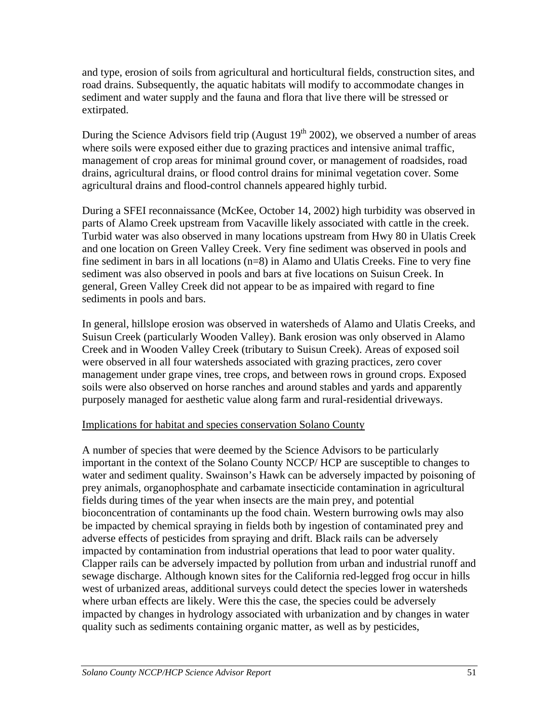and type, erosion of soils from agricultural and horticultural fields, construction sites, and road drains. Subsequently, the aquatic habitats will modify to accommodate changes in sediment and water supply and the fauna and flora that live there will be stressed or extirpated.

During the Science Advisors field trip (August  $19<sup>th</sup> 2002$ ), we observed a number of areas where soils were exposed either due to grazing practices and intensive animal traffic, management of crop areas for minimal ground cover, or management of roadsides, road drains, agricultural drains, or flood control drains for minimal vegetation cover. Some agricultural drains and flood-control channels appeared highly turbid.

During a SFEI reconnaissance (McKee, October 14, 2002) high turbidity was observed in parts of Alamo Creek upstream from Vacaville likely associated with cattle in the creek. Turbid water was also observed in many locations upstream from Hwy 80 in Ulatis Creek and one location on Green Valley Creek. Very fine sediment was observed in pools and fine sediment in bars in all locations (n=8) in Alamo and Ulatis Creeks. Fine to very fine sediment was also observed in pools and bars at five locations on Suisun Creek. In general, Green Valley Creek did not appear to be as impaired with regard to fine sediments in pools and bars.

In general, hillslope erosion was observed in watersheds of Alamo and Ulatis Creeks, and Suisun Creek (particularly Wooden Valley). Bank erosion was only observed in Alamo Creek and in Wooden Valley Creek (tributary to Suisun Creek). Areas of exposed soil were observed in all four watersheds associated with grazing practices, zero cover management under grape vines, tree crops, and between rows in ground crops. Exposed soils were also observed on horse ranches and around stables and yards and apparently purposely managed for aesthetic value along farm and rural-residential driveways.

#### Implications for habitat and species conservation Solano County

A number of species that were deemed by the Science Advisors to be particularly important in the context of the Solano County NCCP/ HCP are susceptible to changes to water and sediment quality. Swainson's Hawk can be adversely impacted by poisoning of prey animals, organophosphate and carbamate insecticide contamination in agricultural fields during times of the year when insects are the main prey, and potential bioconcentration of contaminants up the food chain. Western burrowing owls may also be impacted by chemical spraying in fields both by ingestion of contaminated prey and adverse effects of pesticides from spraying and drift. Black rails can be adversely impacted by contamination from industrial operations that lead to poor water quality. Clapper rails can be adversely impacted by pollution from urban and industrial runoff and sewage discharge. Although known sites for the California red-legged frog occur in hills west of urbanized areas, additional surveys could detect the species lower in watersheds where urban effects are likely. Were this the case, the species could be adversely impacted by changes in hydrology associated with urbanization and by changes in water quality such as sediments containing organic matter, as well as by pesticides,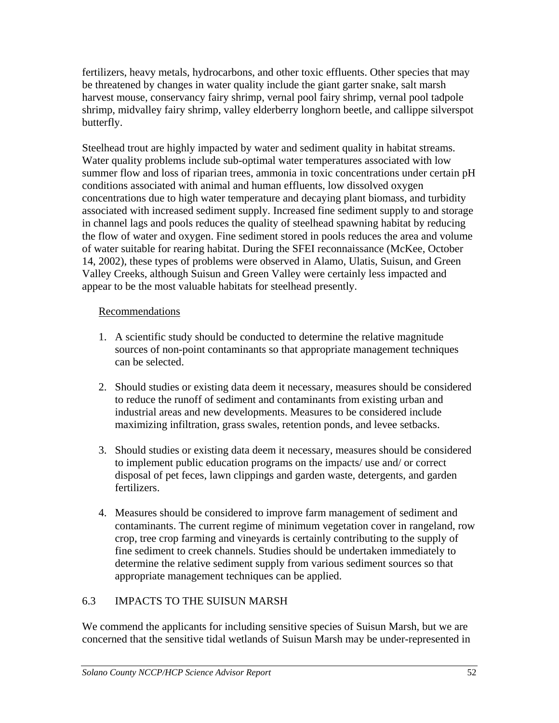fertilizers, heavy metals, hydrocarbons, and other toxic effluents. Other species that may be threatened by changes in water quality include the giant garter snake, salt marsh harvest mouse, conservancy fairy shrimp, vernal pool fairy shrimp, vernal pool tadpole shrimp, midvalley fairy shrimp, valley elderberry longhorn beetle, and callippe silverspot butterfly.

Steelhead trout are highly impacted by water and sediment quality in habitat streams. Water quality problems include sub-optimal water temperatures associated with low summer flow and loss of riparian trees, ammonia in toxic concentrations under certain pH conditions associated with animal and human effluents, low dissolved oxygen concentrations due to high water temperature and decaying plant biomass, and turbidity associated with increased sediment supply. Increased fine sediment supply to and storage in channel lags and pools reduces the quality of steelhead spawning habitat by reducing the flow of water and oxygen. Fine sediment stored in pools reduces the area and volume of water suitable for rearing habitat. During the SFEI reconnaissance (McKee, October 14, 2002), these types of problems were observed in Alamo, Ulatis, Suisun, and Green Valley Creeks, although Suisun and Green Valley were certainly less impacted and appear to be the most valuable habitats for steelhead presently.

### Recommendations

- 1. A scientific study should be conducted to determine the relative magnitude sources of non-point contaminants so that appropriate management techniques can be selected.
- 2. Should studies or existing data deem it necessary, measures should be considered to reduce the runoff of sediment and contaminants from existing urban and industrial areas and new developments. Measures to be considered include maximizing infiltration, grass swales, retention ponds, and levee setbacks.
- 3. Should studies or existing data deem it necessary, measures should be considered to implement public education programs on the impacts/ use and/ or correct disposal of pet feces, lawn clippings and garden waste, detergents, and garden fertilizers.
- 4. Measures should be considered to improve farm management of sediment and contaminants. The current regime of minimum vegetation cover in rangeland, row crop, tree crop farming and vineyards is certainly contributing to the supply of fine sediment to creek channels. Studies should be undertaken immediately to determine the relative sediment supply from various sediment sources so that appropriate management techniques can be applied.

## 6.3 IMPACTS TO THE SUISUN MARSH

We commend the applicants for including sensitive species of Suisun Marsh, but we are concerned that the sensitive tidal wetlands of Suisun Marsh may be under-represented in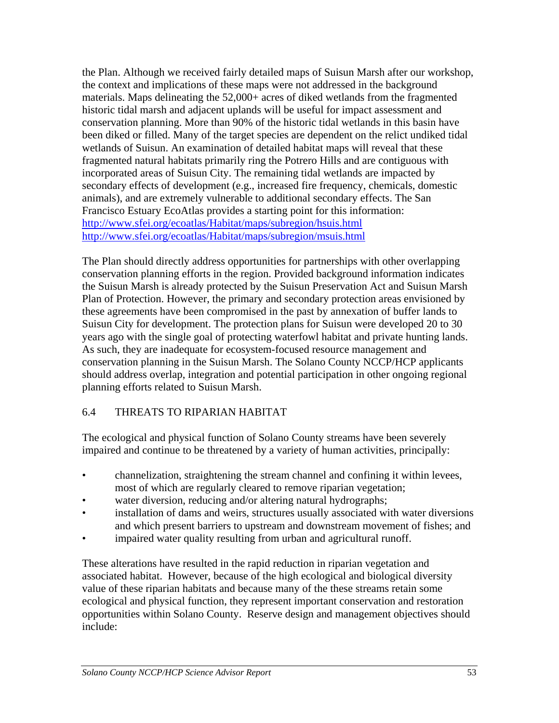the Plan. Although we received fairly detailed maps of Suisun Marsh after our workshop, the context and implications of these maps were not addressed in the background materials. Maps delineating the 52,000+ acres of diked wetlands from the fragmented historic tidal marsh and adjacent uplands will be useful for impact assessment and conservation planning. More than 90% of the historic tidal wetlands in this basin have been diked or filled. Many of the target species are dependent on the relict undiked tidal wetlands of Suisun. An examination of detailed habitat maps will reveal that these fragmented natural habitats primarily ring the Potrero Hills and are contiguous with incorporated areas of Suisun City. The remaining tidal wetlands are impacted by secondary effects of development (e.g., increased fire frequency, chemicals, domestic animals), and are extremely vulnerable to additional secondary effects. The San Francisco Estuary EcoAtlas provides a starting point for this information: <http://www.sfei.org/ecoatlas/Habitat/maps/subregion/hsuis.html> <http://www.sfei.org/ecoatlas/Habitat/maps/subregion/msuis.html>

The Plan should directly address opportunities for partnerships with other overlapping conservation planning efforts in the region. Provided background information indicates the Suisun Marsh is already protected by the Suisun Preservation Act and Suisun Marsh Plan of Protection. However, the primary and secondary protection areas envisioned by these agreements have been compromised in the past by annexation of buffer lands to Suisun City for development. The protection plans for Suisun were developed 20 to 30 years ago with the single goal of protecting waterfowl habitat and private hunting lands. As such, they are inadequate for ecosystem-focused resource management and conservation planning in the Suisun Marsh. The Solano County NCCP/HCP applicants should address overlap, integration and potential participation in other ongoing regional planning efforts related to Suisun Marsh.

# 6.4 THREATS TO RIPARIAN HABITAT

The ecological and physical function of Solano County streams have been severely impaired and continue to be threatened by a variety of human activities, principally:

- channelization, straightening the stream channel and confining it within levees, most of which are regularly cleared to remove riparian vegetation;
- water diversion, reducing and/or altering natural hydrographs;
- installation of dams and weirs, structures usually associated with water diversions and which present barriers to upstream and downstream movement of fishes; and
- impaired water quality resulting from urban and agricultural runoff.

These alterations have resulted in the rapid reduction in riparian vegetation and associated habitat. However, because of the high ecological and biological diversity value of these riparian habitats and because many of the these streams retain some ecological and physical function, they represent important conservation and restoration opportunities within Solano County. Reserve design and management objectives should include: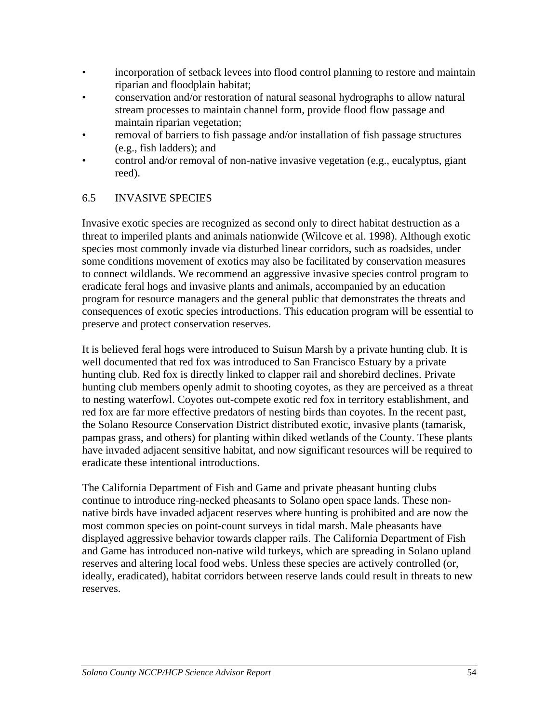- incorporation of setback levees into flood control planning to restore and maintain riparian and floodplain habitat;
- conservation and/or restoration of natural seasonal hydrographs to allow natural stream processes to maintain channel form, provide flood flow passage and maintain riparian vegetation;
- removal of barriers to fish passage and/or installation of fish passage structures (e.g., fish ladders); and
- control and/or removal of non-native invasive vegetation (e.g., eucalyptus, giant reed).

## 6.5 INVASIVE SPECIES

Invasive exotic species are recognized as second only to direct habitat destruction as a threat to imperiled plants and animals nationwide (Wilcove et al. 1998). Although exotic species most commonly invade via disturbed linear corridors, such as roadsides, under some conditions movement of exotics may also be facilitated by conservation measures to connect wildlands. We recommend an aggressive invasive species control program to eradicate feral hogs and invasive plants and animals, accompanied by an education program for resource managers and the general public that demonstrates the threats and consequences of exotic species introductions. This education program will be essential to preserve and protect conservation reserves.

It is believed feral hogs were introduced to Suisun Marsh by a private hunting club. It is well documented that red fox was introduced to San Francisco Estuary by a private hunting club. Red fox is directly linked to clapper rail and shorebird declines. Private hunting club members openly admit to shooting coyotes, as they are perceived as a threat to nesting waterfowl. Coyotes out-compete exotic red fox in territory establishment, and red fox are far more effective predators of nesting birds than coyotes. In the recent past, the Solano Resource Conservation District distributed exotic, invasive plants (tamarisk, pampas grass, and others) for planting within diked wetlands of the County. These plants have invaded adjacent sensitive habitat, and now significant resources will be required to eradicate these intentional introductions.

The California Department of Fish and Game and private pheasant hunting clubs continue to introduce ring-necked pheasants to Solano open space lands. These nonnative birds have invaded adjacent reserves where hunting is prohibited and are now the most common species on point-count surveys in tidal marsh. Male pheasants have displayed aggressive behavior towards clapper rails. The California Department of Fish and Game has introduced non-native wild turkeys, which are spreading in Solano upland reserves and altering local food webs. Unless these species are actively controlled (or, ideally, eradicated), habitat corridors between reserve lands could result in threats to new reserves.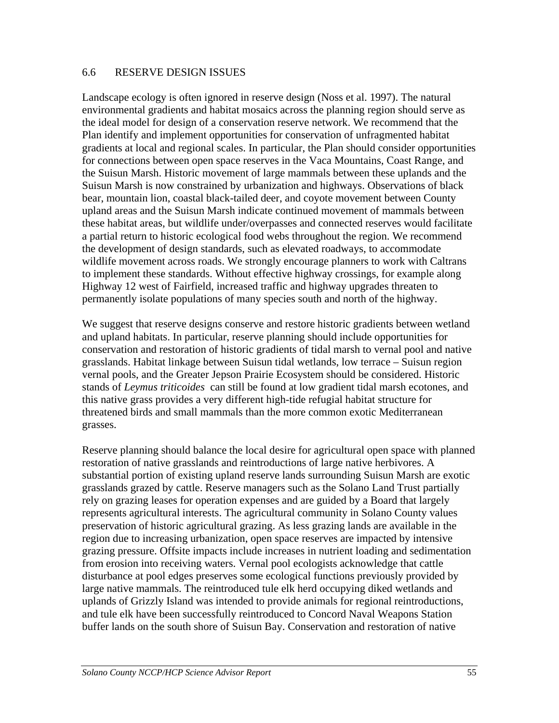#### 6.6 RESERVE DESIGN ISSUES

Landscape ecology is often ignored in reserve design (Noss et al. 1997). The natural environmental gradients and habitat mosaics across the planning region should serve as the ideal model for design of a conservation reserve network. We recommend that the Plan identify and implement opportunities for conservation of unfragmented habitat gradients at local and regional scales. In particular, the Plan should consider opportunities for connections between open space reserves in the Vaca Mountains, Coast Range, and the Suisun Marsh. Historic movement of large mammals between these uplands and the Suisun Marsh is now constrained by urbanization and highways. Observations of black bear, mountain lion, coastal black-tailed deer, and coyote movement between County upland areas and the Suisun Marsh indicate continued movement of mammals between these habitat areas, but wildlife under/overpasses and connected reserves would facilitate a partial return to historic ecological food webs throughout the region. We recommend the development of design standards, such as elevated roadways, to accommodate wildlife movement across roads. We strongly encourage planners to work with Caltrans to implement these standards. Without effective highway crossings, for example along Highway 12 west of Fairfield, increased traffic and highway upgrades threaten to permanently isolate populations of many species south and north of the highway.

We suggest that reserve designs conserve and restore historic gradients between wetland and upland habitats. In particular, reserve planning should include opportunities for conservation and restoration of historic gradients of tidal marsh to vernal pool and native grasslands. Habitat linkage between Suisun tidal wetlands, low terrace – Suisun region vernal pools, and the Greater Jepson Prairie Ecosystem should be considered. Historic stands of *Leymus triticoides* can still be found at low gradient tidal marsh ecotones, and this native grass provides a very different high-tide refugial habitat structure for threatened birds and small mammals than the more common exotic Mediterranean grasses.

Reserve planning should balance the local desire for agricultural open space with planned restoration of native grasslands and reintroductions of large native herbivores. A substantial portion of existing upland reserve lands surrounding Suisun Marsh are exotic grasslands grazed by cattle. Reserve managers such as the Solano Land Trust partially rely on grazing leases for operation expenses and are guided by a Board that largely represents agricultural interests. The agricultural community in Solano County values preservation of historic agricultural grazing. As less grazing lands are available in the region due to increasing urbanization, open space reserves are impacted by intensive grazing pressure. Offsite impacts include increases in nutrient loading and sedimentation from erosion into receiving waters. Vernal pool ecologists acknowledge that cattle disturbance at pool edges preserves some ecological functions previously provided by large native mammals. The reintroduced tule elk herd occupying diked wetlands and uplands of Grizzly Island was intended to provide animals for regional reintroductions, and tule elk have been successfully reintroduced to Concord Naval Weapons Station buffer lands on the south shore of Suisun Bay. Conservation and restoration of native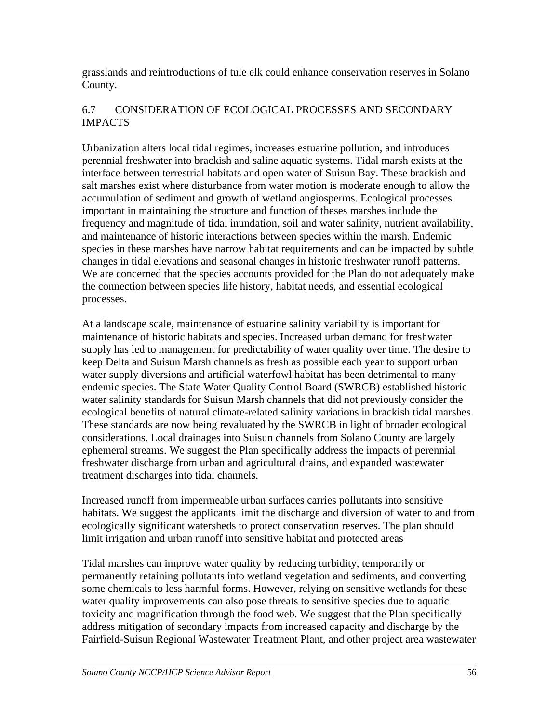grasslands and reintroductions of tule elk could enhance conservation reserves in Solano County.

### 6.7 CONSIDERATION OF ECOLOGICAL PROCESSES AND SECONDARY IMPACTS

Urbanization alters local tidal regimes, increases estuarine pollution, and introduces perennial freshwater into brackish and saline aquatic systems. Tidal marsh exists at the interface between terrestrial habitats and open water of Suisun Bay. These brackish and salt marshes exist where disturbance from water motion is moderate enough to allow the accumulation of sediment and growth of wetland angiosperms. Ecological processes important in maintaining the structure and function of theses marshes include the frequency and magnitude of tidal inundation, soil and water salinity, nutrient availability, and maintenance of historic interactions between species within the marsh. Endemic species in these marshes have narrow habitat requirements and can be impacted by subtle changes in tidal elevations and seasonal changes in historic freshwater runoff patterns. We are concerned that the species accounts provided for the Plan do not adequately make the connection between species life history, habitat needs, and essential ecological processes.

At a landscape scale, maintenance of estuarine salinity variability is important for maintenance of historic habitats and species. Increased urban demand for freshwater supply has led to management for predictability of water quality over time. The desire to keep Delta and Suisun Marsh channels as fresh as possible each year to support urban water supply diversions and artificial waterfowl habitat has been detrimental to many endemic species. The State Water Quality Control Board (SWRCB) established historic water salinity standards for Suisun Marsh channels that did not previously consider the ecological benefits of natural climate-related salinity variations in brackish tidal marshes. These standards are now being revaluated by the SWRCB in light of broader ecological considerations. Local drainages into Suisun channels from Solano County are largely ephemeral streams. We suggest the Plan specifically address the impacts of perennial freshwater discharge from urban and agricultural drains, and expanded wastewater treatment discharges into tidal channels.

Increased runoff from impermeable urban surfaces carries pollutants into sensitive habitats. We suggest the applicants limit the discharge and diversion of water to and from ecologically significant watersheds to protect conservation reserves. The plan should limit irrigation and urban runoff into sensitive habitat and protected areas

Tidal marshes can improve water quality by reducing turbidity, temporarily or permanently retaining pollutants into wetland vegetation and sediments, and converting some chemicals to less harmful forms. However, relying on sensitive wetlands for these water quality improvements can also pose threats to sensitive species due to aquatic toxicity and magnification through the food web. We suggest that the Plan specifically address mitigation of secondary impacts from increased capacity and discharge by the Fairfield-Suisun Regional Wastewater Treatment Plant, and other project area wastewater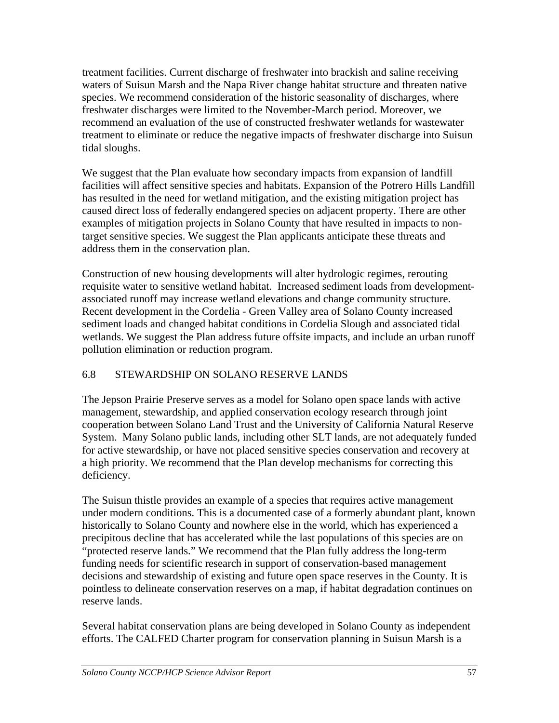treatment facilities. Current discharge of freshwater into brackish and saline receiving waters of Suisun Marsh and the Napa River change habitat structure and threaten native species. We recommend consideration of the historic seasonality of discharges, where freshwater discharges were limited to the November-March period. Moreover, we recommend an evaluation of the use of constructed freshwater wetlands for wastewater treatment to eliminate or reduce the negative impacts of freshwater discharge into Suisun tidal sloughs.

We suggest that the Plan evaluate how secondary impacts from expansion of landfill facilities will affect sensitive species and habitats. Expansion of the Potrero Hills Landfill has resulted in the need for wetland mitigation, and the existing mitigation project has caused direct loss of federally endangered species on adjacent property. There are other examples of mitigation projects in Solano County that have resulted in impacts to nontarget sensitive species. We suggest the Plan applicants anticipate these threats and address them in the conservation plan.

Construction of new housing developments will alter hydrologic regimes, rerouting requisite water to sensitive wetland habitat. Increased sediment loads from developmentassociated runoff may increase wetland elevations and change community structure. Recent development in the Cordelia - Green Valley area of Solano County increased sediment loads and changed habitat conditions in Cordelia Slough and associated tidal wetlands. We suggest the Plan address future offsite impacts, and include an urban runoff pollution elimination or reduction program.

# 6.8 STEWARDSHIP ON SOLANO RESERVE LANDS

The Jepson Prairie Preserve serves as a model for Solano open space lands with active management, stewardship, and applied conservation ecology research through joint cooperation between Solano Land Trust and the University of California Natural Reserve System. Many Solano public lands, including other SLT lands, are not adequately funded for active stewardship, or have not placed sensitive species conservation and recovery at a high priority. We recommend that the Plan develop mechanisms for correcting this deficiency.

The Suisun thistle provides an example of a species that requires active management under modern conditions. This is a documented case of a formerly abundant plant, known historically to Solano County and nowhere else in the world, which has experienced a precipitous decline that has accelerated while the last populations of this species are on "protected reserve lands." We recommend that the Plan fully address the long-term funding needs for scientific research in support of conservation-based management decisions and stewardship of existing and future open space reserves in the County. It is pointless to delineate conservation reserves on a map, if habitat degradation continues on reserve lands.

Several habitat conservation plans are being developed in Solano County as independent efforts. The CALFED Charter program for conservation planning in Suisun Marsh is a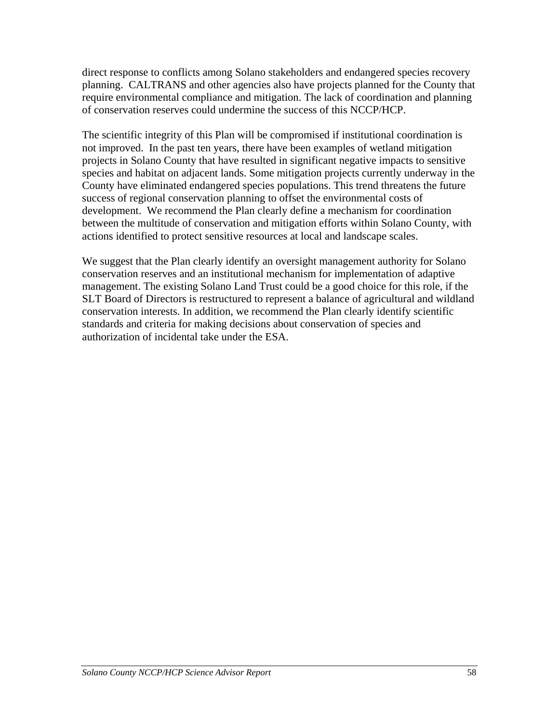direct response to conflicts among Solano stakeholders and endangered species recovery planning. CALTRANS and other agencies also have projects planned for the County that require environmental compliance and mitigation. The lack of coordination and planning of conservation reserves could undermine the success of this NCCP/HCP.

The scientific integrity of this Plan will be compromised if institutional coordination is not improved. In the past ten years, there have been examples of wetland mitigation projects in Solano County that have resulted in significant negative impacts to sensitive species and habitat on adjacent lands. Some mitigation projects currently underway in the County have eliminated endangered species populations. This trend threatens the future success of regional conservation planning to offset the environmental costs of development. We recommend the Plan clearly define a mechanism for coordination between the multitude of conservation and mitigation efforts within Solano County, with actions identified to protect sensitive resources at local and landscape scales.

We suggest that the Plan clearly identify an oversight management authority for Solano conservation reserves and an institutional mechanism for implementation of adaptive management. The existing Solano Land Trust could be a good choice for this role, if the SLT Board of Directors is restructured to represent a balance of agricultural and wildland conservation interests. In addition, we recommend the Plan clearly identify scientific standards and criteria for making decisions about conservation of species and authorization of incidental take under the ESA.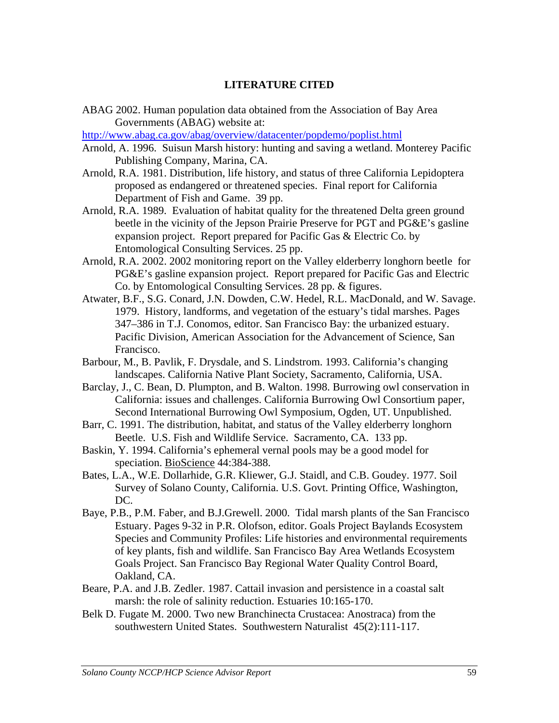#### **LITERATURE CITED**

ABAG 2002. Human population data obtained from the Association of Bay Area Governments (ABAG) website at:

<http://www.abag.ca.gov/abag/overview/datacenter/popdemo/poplist.html>

- Arnold, A. 1996. Suisun Marsh history: hunting and saving a wetland. Monterey Pacific Publishing Company, Marina, CA.
- Arnold, R.A. 1981. Distribution, life history, and status of three California Lepidoptera proposed as endangered or threatened species. Final report for California Department of Fish and Game. 39 pp.
- Arnold, R.A. 1989. Evaluation of habitat quality for the threatened Delta green ground beetle in the vicinity of the Jepson Prairie Preserve for PGT and PG&E's gasline expansion project. Report prepared for Pacific Gas & Electric Co. by Entomological Consulting Services. 25 pp.
- Arnold, R.A. 2002. 2002 monitoring report on the Valley elderberry longhorn beetle for PG&E's gasline expansion project. Report prepared for Pacific Gas and Electric Co. by Entomological Consulting Services. 28 pp. & figures.
- Atwater, B.F., S.G. Conard, J.N. Dowden, C.W. Hedel, R.L. MacDonald, and W. Savage. 1979. History, landforms, and vegetation of the estuary's tidal marshes. Pages 347–386 in T.J. Conomos, editor. San Francisco Bay: the urbanized estuary. Pacific Division, American Association for the Advancement of Science, San Francisco.
- Barbour, M., B. Pavlik, F. Drysdale, and S. Lindstrom. 1993. California's changing landscapes. California Native Plant Society, Sacramento, California, USA.
- Barclay, J., C. Bean, D. Plumpton, and B. Walton. 1998. Burrowing owl conservation in California: issues and challenges. California Burrowing Owl Consortium paper, Second International Burrowing Owl Symposium, Ogden, UT. Unpublished.
- Barr, C. 1991. The distribution, habitat, and status of the Valley elderberry longhorn Beetle. U.S. Fish and Wildlife Service. Sacramento, CA. 133 pp.
- Baskin, Y. 1994. California's ephemeral vernal pools may be a good model for speciation. BioScience 44:384-388.
- Bates, L.A., W.E. Dollarhide, G.R. Kliewer, G.J. Staidl, and C.B. Goudey. 1977. Soil Survey of Solano County, California. U.S. Govt. Printing Office, Washington, DC.
- Baye, P.B., P.M. Faber, and B.J.Grewell. 2000. Tidal marsh plants of the San Francisco Estuary. Pages 9-32 in P.R. Olofson, editor. Goals Project Baylands Ecosystem Species and Community Profiles: Life histories and environmental requirements of key plants, fish and wildlife. San Francisco Bay Area Wetlands Ecosystem Goals Project. San Francisco Bay Regional Water Quality Control Board, Oakland, CA.
- Beare, P.A. and J.B. Zedler. 1987. Cattail invasion and persistence in a coastal salt marsh: the role of salinity reduction. Estuaries 10:165-170.
- Belk D. Fugate M. 2000. Two new Branchinecta Crustacea: Anostraca) from the southwestern United States. Southwestern Naturalist 45(2):111-117.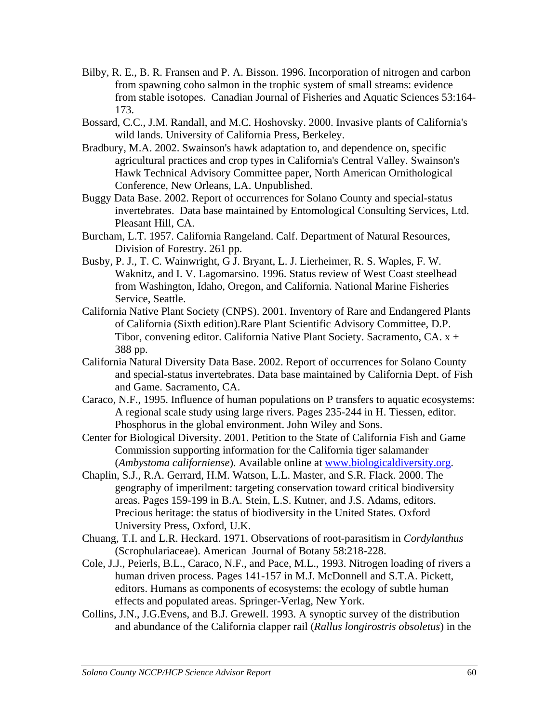- Bilby, R. E., B. R. Fransen and P. A. Bisson. 1996. Incorporation of nitrogen and carbon from spawning coho salmon in the trophic system of small streams: evidence from stable isotopes. Canadian Journal of Fisheries and Aquatic Sciences 53:164- 173.
- Bossard, C.C., J.M. Randall, and M.C. Hoshovsky. 2000. Invasive plants of California's wild lands. University of California Press, Berkeley.
- Bradbury, M.A. 2002. Swainson's hawk adaptation to, and dependence on, specific agricultural practices and crop types in California's Central Valley. Swainson's Hawk Technical Advisory Committee paper, North American Ornithological Conference, New Orleans, LA. Unpublished.
- Buggy Data Base. 2002. Report of occurrences for Solano County and special-status invertebrates. Data base maintained by Entomological Consulting Services, Ltd. Pleasant Hill, CA.
- Burcham, L.T. 1957. California Rangeland. Calf. Department of Natural Resources, Division of Forestry. 261 pp.
- Busby, P. J., T. C. Wainwright, G J. Bryant, L. J. Lierheimer, R. S. Waples, F. W. Waknitz, and I. V. Lagomarsino. 1996. Status review of West Coast steelhead from Washington, Idaho, Oregon, and California. National Marine Fisheries Service, Seattle.
- California Native Plant Society (CNPS). 2001. Inventory of Rare and Endangered Plants of California (Sixth edition).Rare Plant Scientific Advisory Committee, D.P. Tibor, convening editor. California Native Plant Society. Sacramento, CA. x + 388 pp.
- California Natural Diversity Data Base. 2002. Report of occurrences for Solano County and special-status invertebrates. Data base maintained by California Dept. of Fish and Game. Sacramento, CA.
- Caraco, N.F., 1995. Influence of human populations on P transfers to aquatic ecosystems: A regional scale study using large rivers. Pages 235-244 in H. Tiessen, editor. Phosphorus in the global environment. John Wiley and Sons.
- Center for Biological Diversity. 2001. Petition to the State of California Fish and Game Commission supporting information for the California tiger salamander (*Ambystoma californiense*). Available online at [www.biologicaldiversity.org.](http://www.biologicaldiversity.org/)
- Chaplin, S.J., R.A. Gerrard, H.M. Watson, L.L. Master, and S.R. Flack. 2000. The geography of imperilment: targeting conservation toward critical biodiversity areas. Pages 159-199 in B.A. Stein, L.S. Kutner, and J.S. Adams, editors. Precious heritage: the status of biodiversity in the United States. Oxford University Press, Oxford, U.K.
- Chuang, T.I. and L.R. Heckard. 1971. Observations of root-parasitism in *Cordylanthus* (Scrophulariaceae). American Journal of Botany 58:218-228.
- Cole, J.J., Peierls, B.L., Caraco, N.F., and Pace, M.L., 1993. Nitrogen loading of rivers a human driven process. Pages 141-157 in M.J. McDonnell and S.T.A. Pickett, editors. Humans as components of ecosystems: the ecology of subtle human effects and populated areas. Springer-Verlag, New York.
- Collins, J.N., J.G.Evens, and B.J. Grewell. 1993. A synoptic survey of the distribution and abundance of the California clapper rail (*Rallus longirostris obsoletus*) in the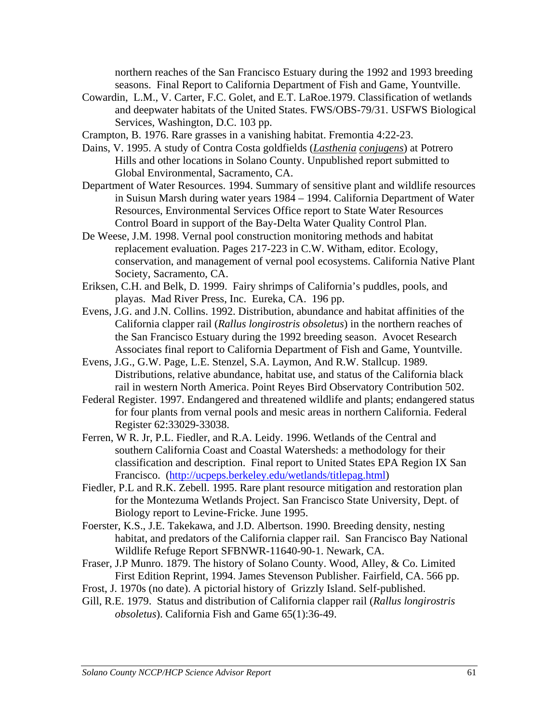northern reaches of the San Francisco Estuary during the 1992 and 1993 breeding seasons. Final Report to California Department of Fish and Game, Yountville.

Cowardin, L.M., V. Carter, F.C. Golet, and E.T. LaRoe.1979. Classification of wetlands and deepwater habitats of the United States. FWS/OBS-79/31. USFWS Biological Services, Washington, D.C. 103 pp.

Crampton, B. 1976. Rare grasses in a vanishing habitat. Fremontia 4:22-23.

- Dains, V. 1995. A study of Contra Costa goldfields (*Lasthenia conjugens*) at Potrero Hills and other locations in Solano County. Unpublished report submitted to Global Environmental, Sacramento, CA.
- Department of Water Resources. 1994. Summary of sensitive plant and wildlife resources in Suisun Marsh during water years 1984 – 1994. California Department of Water Resources, Environmental Services Office report to State Water Resources Control Board in support of the Bay-Delta Water Quality Control Plan.
- De Weese, J.M. 1998. Vernal pool construction monitoring methods and habitat replacement evaluation. Pages 217-223 in C.W. Witham, editor. Ecology, conservation, and management of vernal pool ecosystems. California Native Plant Society, Sacramento, CA.
- Eriksen, C.H. and Belk, D. 1999. Fairy shrimps of California's puddles, pools, and playas. Mad River Press, Inc. Eureka, CA. 196 pp.
- Evens, J.G. and J.N. Collins. 1992. Distribution, abundance and habitat affinities of the California clapper rail (*Rallus longirostris obsoletus*) in the northern reaches of the San Francisco Estuary during the 1992 breeding season. Avocet Research Associates final report to California Department of Fish and Game, Yountville.
- Evens, J.G., G.W. Page, L.E. Stenzel, S.A. Laymon, And R.W. Stallcup. 1989. Distributions, relative abundance, habitat use, and status of the California black rail in western North America. Point Reyes Bird Observatory Contribution 502.
- Federal Register. 1997. Endangered and threatened wildlife and plants; endangered status for four plants from vernal pools and mesic areas in northern California. Federal Register 62:33029-33038.
- Ferren, W R. Jr, P.L. Fiedler, and R.A. Leidy. 1996. Wetlands of the Central and southern California Coast and Coastal Watersheds: a methodology for their classification and description. Final report to United States EPA Region IX San Francisco. ([http://ucpeps.berkeley.edu/wetlands/titlepag.html\)](http://ucpeps.berkeley.edu/wetlands/titlepag.html)
- Fiedler, P.L and R.K. Zebell. 1995. Rare plant resource mitigation and restoration plan for the Montezuma Wetlands Project. San Francisco State University, Dept. of Biology report to Levine-Fricke. June 1995.
- Foerster, K.S., J.E. Takekawa, and J.D. Albertson. 1990. Breeding density, nesting habitat, and predators of the California clapper rail. San Francisco Bay National Wildlife Refuge Report SFBNWR-11640-90-1. Newark, CA.
- Fraser, J.P Munro. 1879. The history of Solano County. Wood, Alley, & Co. Limited First Edition Reprint, 1994. James Stevenson Publisher. Fairfield, CA. 566 pp.
- Frost, J. 1970s (no date). A pictorial history of Grizzly Island. Self-published.
- Gill, R.E. 1979. Status and distribution of California clapper rail (*Rallus longirostris obsoletus*). California Fish and Game 65(1):36-49.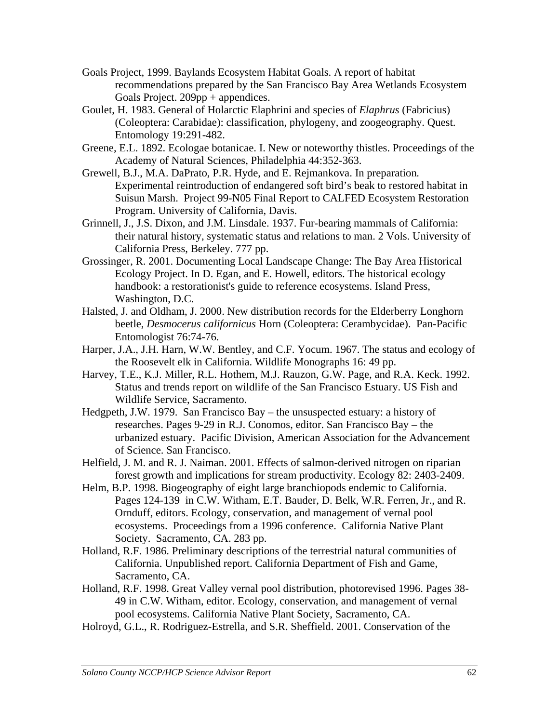- Goals Project, 1999. Baylands Ecosystem Habitat Goals. A report of habitat recommendations prepared by the San Francisco Bay Area Wetlands Ecosystem Goals Project. 209pp + appendices.
- Goulet, H. 1983. General of Holarctic Elaphrini and species of *Elaphrus* (Fabricius) (Coleoptera: Carabidae): classification, phylogeny, and zoogeography. Quest. Entomology 19:291-482.
- Greene, E.L. 1892. Ecologae botanicae. I. New or noteworthy thistles. Proceedings of the Academy of Natural Sciences, Philadelphia 44:352-363.
- Grewell, B.J., M.A. DaPrato, P.R. Hyde, and E. Rejmankova. In preparation*.*  Experimental reintroduction of endangered soft bird's beak to restored habitat in Suisun Marsh. Project 99-N05 Final Report to CALFED Ecosystem Restoration Program. University of California, Davis.
- Grinnell, J., J.S. Dixon, and J.M. Linsdale. 1937. Fur-bearing mammals of California: their natural history, systematic status and relations to man. 2 Vols. University of California Press, Berkeley. 777 pp.
- Grossinger, R. 2001. Documenting Local Landscape Change: The Bay Area Historical Ecology Project. In D. Egan, and E. Howell, editors. The historical ecology handbook: a restorationist's guide to reference ecosystems. Island Press, Washington, D.C.
- Halsted, J. and Oldham, J. 2000. New distribution records for the Elderberry Longhorn beetle, *Desmocerus californicus* Horn (Coleoptera: Cerambycidae). Pan-Pacific Entomologist 76:74-76.
- Harper, J.A., J.H. Harn, W.W. Bentley, and C.F. Yocum. 1967. The status and ecology of the Roosevelt elk in California. Wildlife Monographs 16: 49 pp.
- Harvey, T.E., K.J. Miller, R.L. Hothem, M.J. Rauzon, G.W. Page, and R.A. Keck. 1992. Status and trends report on wildlife of the San Francisco Estuary. US Fish and Wildlife Service, Sacramento.
- Hedgpeth, J.W. 1979. San Francisco Bay the unsuspected estuary: a history of researches. Pages 9-29 in R.J. Conomos, editor. San Francisco Bay – the urbanized estuary. Pacific Division, American Association for the Advancement of Science. San Francisco.
- Helfield, J. M. and R. J. Naiman. 2001. Effects of salmon-derived nitrogen on riparian forest growth and implications for stream productivity. Ecology 82: 2403-2409.
- Helm, B.P. 1998. Biogeography of eight large branchiopods endemic to California. Pages 124-139 in C.W. Witham, E.T. Bauder, D. Belk, W.R. Ferren, Jr., and R. Ornduff, editors. Ecology, conservation, and management of vernal pool ecosystems. Proceedings from a 1996 conference. California Native Plant Society. Sacramento, CA. 283 pp.
- Holland, R.F. 1986. Preliminary descriptions of the terrestrial natural communities of California. Unpublished report. California Department of Fish and Game, Sacramento, CA.
- Holland, R.F. 1998. Great Valley vernal pool distribution, photorevised 1996. Pages 38- 49 in C.W. Witham, editor. Ecology, conservation, and management of vernal pool ecosystems. California Native Plant Society, Sacramento, CA.
- Holroyd, G.L., R. Rodriguez-Estrella, and S.R. Sheffield. 2001. Conservation of the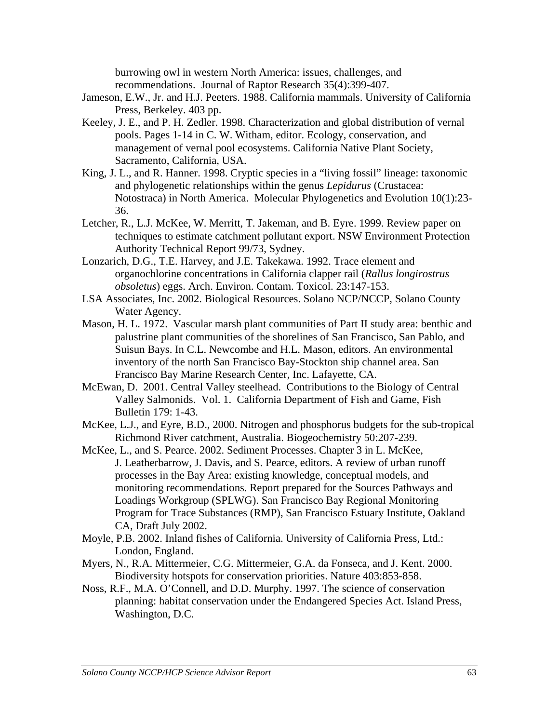burrowing owl in western North America: issues, challenges, and recommendations. Journal of Raptor Research 35(4):399-407.

- Jameson, E.W., Jr. and H.J. Peeters. 1988. California mammals. University of California Press, Berkeley. 403 pp.
- Keeley, J. E., and P. H. Zedler. 1998. Characterization and global distribution of vernal pools. Pages 1-14 in C. W. Witham, editor. Ecology, conservation, and management of vernal pool ecosystems. California Native Plant Society, Sacramento, California, USA.
- King, J. L., and R. Hanner. 1998. Cryptic species in a "living fossil" lineage: taxonomic and phylogenetic relationships within the genus *Lepidurus* (Crustacea: Notostraca) in North America. Molecular Phylogenetics and Evolution 10(1):23- 36.
- Letcher, R., L.J. McKee, W. Merritt, T. Jakeman, and B. Eyre. 1999. Review paper on techniques to estimate catchment pollutant export. NSW Environment Protection Authority Technical Report 99/73, Sydney.
- Lonzarich, D.G., T.E. Harvey, and J.E. Takekawa. 1992. Trace element and organochlorine concentrations in California clapper rail (*Rallus longirostrus obsoletus*) eggs. Arch. Environ. Contam. Toxicol. 23:147-153.
- LSA Associates, Inc. 2002. Biological Resources. Solano NCP/NCCP, Solano County Water Agency.
- Mason, H. L. 1972. Vascular marsh plant communities of Part II study area: benthic and palustrine plant communities of the shorelines of San Francisco, San Pablo, and Suisun Bays. In C.L. Newcombe and H.L. Mason, editors. An environmental inventory of the north San Francisco Bay-Stockton ship channel area. San Francisco Bay Marine Research Center, Inc. Lafayette, CA.
- McEwan, D. 2001. Central Valley steelhead. Contributions to the Biology of Central Valley Salmonids. Vol. 1. California Department of Fish and Game, Fish Bulletin 179: 1-43.
- McKee, L.J., and Eyre, B.D., 2000. Nitrogen and phosphorus budgets for the sub-tropical Richmond River catchment, Australia. Biogeochemistry 50:207-239.
- McKee, L., and S. Pearce. 2002. Sediment Processes. Chapter 3 in L. McKee, J. Leatherbarrow, J. Davis, and S. Pearce, editors. A review of urban runoff processes in the Bay Area: existing knowledge, conceptual models, and monitoring recommendations. Report prepared for the Sources Pathways and Loadings Workgroup (SPLWG). San Francisco Bay Regional Monitoring Program for Trace Substances (RMP), San Francisco Estuary Institute, Oakland CA, Draft July 2002.
- Moyle, P.B. 2002. Inland fishes of California. University of California Press, Ltd.: London, England.
- Myers, N., R.A. Mittermeier, C.G. Mittermeier, G.A. da Fonseca, and J. Kent. 2000. Biodiversity hotspots for conservation priorities. Nature 403:853-858.
- Noss, R.F., M.A. O'Connell, and D.D. Murphy. 1997. The science of conservation planning: habitat conservation under the Endangered Species Act. Island Press, Washington, D.C.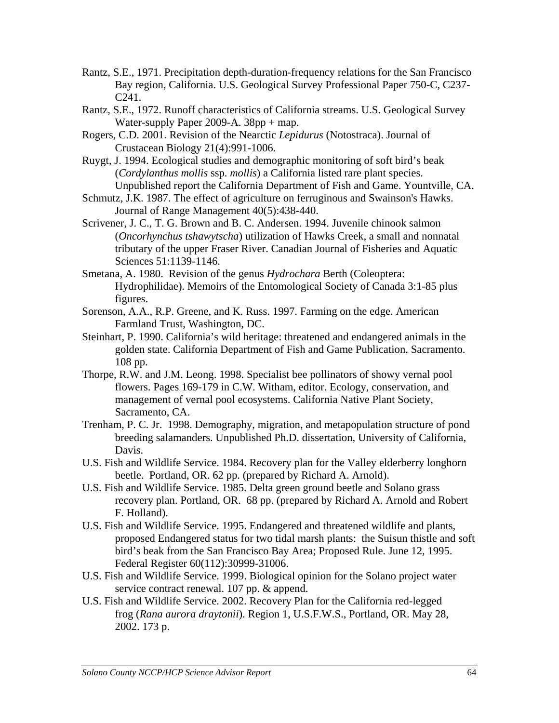- Rantz, S.E., 1971. Precipitation depth-duration-frequency relations for the San Francisco Bay region, California. U.S. Geological Survey Professional Paper 750-C, C237- C241.
- Rantz, S.E., 1972. Runoff characteristics of California streams. U.S. Geological Survey Water-supply Paper 2009-A. 38pp + map.
- Rogers, C.D. 2001. Revision of the Nearctic *Lepidurus* (Notostraca). Journal of Crustacean Biology 21(4):991-1006.
- Ruygt, J. 1994. Ecological studies and demographic monitoring of soft bird's beak (*Cordylanthus mollis* ssp. *mollis*) a California listed rare plant species. Unpublished report the California Department of Fish and Game. Yountville, CA.
- Schmutz, J.K. 1987. The effect of agriculture on ferruginous and Swainson's Hawks. Journal of Range Management 40(5):438-440.
- Scrivener, J. C., T. G. Brown and B. C. Andersen. 1994. Juvenile chinook salmon (*Oncorhynchus tshawytscha*) utilization of Hawks Creek, a small and nonnatal tributary of the upper Fraser River. Canadian Journal of Fisheries and Aquatic Sciences 51:1139-1146.
- Smetana, A. 1980. Revision of the genus *Hydrochara* Berth (Coleoptera: Hydrophilidae). Memoirs of the Entomological Society of Canada 3:1-85 plus figures.
- Sorenson, A.A., R.P. Greene, and K. Russ. 1997. Farming on the edge. American Farmland Trust, Washington, DC.
- Steinhart, P. 1990. California's wild heritage: threatened and endangered animals in the golden state. California Department of Fish and Game Publication, Sacramento. 108 pp.
- Thorpe, R.W. and J.M. Leong. 1998. Specialist bee pollinators of showy vernal pool flowers. Pages 169-179 in C.W. Witham, editor. Ecology, conservation, and management of vernal pool ecosystems. California Native Plant Society, Sacramento, CA.
- Trenham, P. C. Jr. 1998. Demography, migration, and metapopulation structure of pond breeding salamanders. Unpublished Ph.D. dissertation, University of California, Davis.
- U.S. Fish and Wildlife Service. 1984. Recovery plan for the Valley elderberry longhorn beetle. Portland, OR. 62 pp. (prepared by Richard A. Arnold).
- U.S. Fish and Wildlife Service. 1985. Delta green ground beetle and Solano grass recovery plan. Portland, OR. 68 pp. (prepared by Richard A. Arnold and Robert F. Holland).
- U.S. Fish and Wildlife Service. 1995. Endangered and threatened wildlife and plants, proposed Endangered status for two tidal marsh plants: the Suisun thistle and soft bird's beak from the San Francisco Bay Area; Proposed Rule. June 12, 1995. Federal Register 60(112):30999-31006.
- U.S. Fish and Wildlife Service. 1999. Biological opinion for the Solano project water service contract renewal. 107 pp. & append.
- U.S. Fish and Wildlife Service. 2002. Recovery Plan for the California red-legged frog (*Rana aurora draytonii*). Region 1, U.S.F.W.S., Portland, OR. May 28, 2002. 173 p.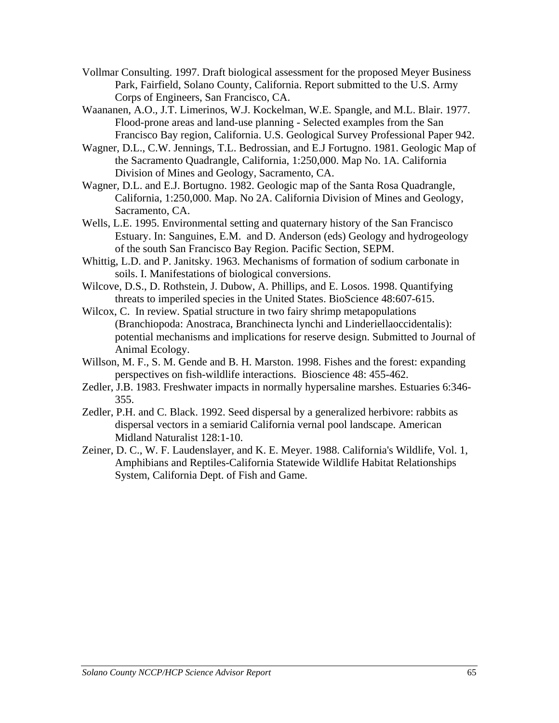- Vollmar Consulting. 1997. Draft biological assessment for the proposed Meyer Business Park, Fairfield, Solano County, California. Report submitted to the U.S. Army Corps of Engineers, San Francisco, CA.
- Waananen, A.O., J.T. Limerinos, W.J. Kockelman, W.E. Spangle, and M.L. Blair. 1977. Flood-prone areas and land-use planning - Selected examples from the San Francisco Bay region, California. U.S. Geological Survey Professional Paper 942.
- Wagner, D.L., C.W. Jennings, T.L. Bedrossian, and E.J Fortugno. 1981. Geologic Map of the Sacramento Quadrangle, California, 1:250,000. Map No. 1A. California Division of Mines and Geology, Sacramento, CA.
- Wagner, D.L. and E.J. Bortugno. 1982. Geologic map of the Santa Rosa Quadrangle, California, 1:250,000. Map. No 2A. California Division of Mines and Geology, Sacramento, CA.
- Wells, L.E. 1995. Environmental setting and quaternary history of the San Francisco Estuary. In: Sanguines, E.M. and D. Anderson (eds) Geology and hydrogeology of the south San Francisco Bay Region. Pacific Section, SEPM.
- Whittig, L.D. and P. Janitsky. 1963. Mechanisms of formation of sodium carbonate in soils. I. Manifestations of biological conversions.
- Wilcove, D.S., D. Rothstein, J. Dubow, A. Phillips, and E. Losos. 1998. Quantifying threats to imperiled species in the United States. BioScience 48:607-615.
- Wilcox, C. In review. Spatial structure in two fairy shrimp metapopulations (Branchiopoda: Anostraca, Branchinecta lynchi and Linderiellaoccidentalis): potential mechanisms and implications for reserve design. Submitted to Journal of Animal Ecology.
- Willson, M. F., S. M. Gende and B. H. Marston. 1998. Fishes and the forest: expanding perspectives on fish-wildlife interactions. Bioscience 48: 455-462.
- Zedler, J.B. 1983. Freshwater impacts in normally hypersaline marshes. Estuaries 6:346- 355.
- Zedler, P.H. and C. Black. 1992. Seed dispersal by a generalized herbivore: rabbits as dispersal vectors in a semiarid California vernal pool landscape. American Midland Naturalist 128:1-10.
- Zeiner, D. C., W. F. Laudenslayer, and K. E. Meyer. 1988. California's Wildlife, Vol. 1, Amphibians and Reptiles-California Statewide Wildlife Habitat Relationships System, California Dept. of Fish and Game.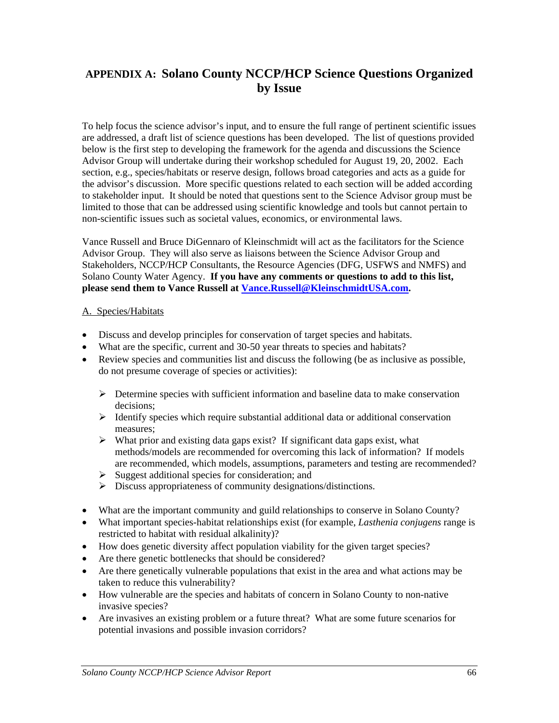# **APPENDIX A: Solano County NCCP/HCP Science Questions Organized by Issue**

To help focus the science advisor's input, and to ensure the full range of pertinent scientific issues are addressed, a draft list of science questions has been developed. The list of questions provided below is the first step to developing the framework for the agenda and discussions the Science Advisor Group will undertake during their workshop scheduled for August 19, 20, 2002. Each section, e.g., species/habitats or reserve design, follows broad categories and acts as a guide for the advisor's discussion. More specific questions related to each section will be added according to stakeholder input. It should be noted that questions sent to the Science Advisor group must be limited to those that can be addressed using scientific knowledge and tools but cannot pertain to non-scientific issues such as societal values, economics, or environmental laws.

Vance Russell and Bruce DiGennaro of Kleinschmidt will act as the facilitators for the Science Advisor Group. They will also serve as liaisons between the Science Advisor Group and Stakeholders, NCCP/HCP Consultants, the Resource Agencies (DFG, USFWS and NMFS) and Solano County Water Agency. **If you have any comments or questions to add to this list, please send them to Vance Russell at [Vance.Russell@KleinschmidtUSA.com.](mailto:Vance.Russell@Kleinschmidtusa.com)**

#### A. Species/Habitats

- Discuss and develop principles for conservation of target species and habitats.
- What are the specific, current and 30-50 year threats to species and habitats?
- Review species and communities list and discuss the following (be as inclusive as possible, do not presume coverage of species or activities):
	- $\triangleright$  Determine species with sufficient information and baseline data to make conservation decisions;
	- ¾ Identify species which require substantial additional data or additional conservation measures;
	- $\triangleright$  What prior and existing data gaps exist? If significant data gaps exist, what methods/models are recommended for overcoming this lack of information? If models are recommended, which models, assumptions, parameters and testing are recommended?
	- $\triangleright$  Suggest additional species for consideration; and
	- ¾ Discuss appropriateness of community designations/distinctions.
- What are the important community and guild relationships to conserve in Solano County?
- What important species-habitat relationships exist (for example, *Lasthenia conjugens* range is restricted to habitat with residual alkalinity)?
- How does genetic diversity affect population viability for the given target species?
- Are there genetic bottlenecks that should be considered?
- Are there genetically vulnerable populations that exist in the area and what actions may be taken to reduce this vulnerability?
- How vulnerable are the species and habitats of concern in Solano County to non-native invasive species?
- Are invasives an existing problem or a future threat? What are some future scenarios for potential invasions and possible invasion corridors?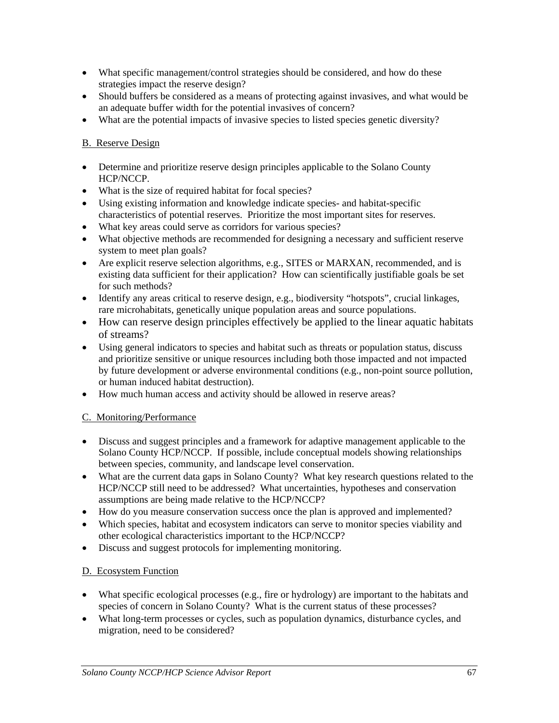- What specific management/control strategies should be considered, and how do these strategies impact the reserve design?
- Should buffers be considered as a means of protecting against invasives, and what would be an adequate buffer width for the potential invasives of concern?
- What are the potential impacts of invasive species to listed species genetic diversity?

#### B. Reserve Design

- Determine and prioritize reserve design principles applicable to the Solano County HCP/NCCP.
- What is the size of required habitat for focal species?
- Using existing information and knowledge indicate species- and habitat-specific characteristics of potential reserves. Prioritize the most important sites for reserves.
- What key areas could serve as corridors for various species?
- What objective methods are recommended for designing a necessary and sufficient reserve system to meet plan goals?
- Are explicit reserve selection algorithms, e.g., SITES or MARXAN, recommended, and is existing data sufficient for their application? How can scientifically justifiable goals be set for such methods?
- Identify any areas critical to reserve design, e.g., biodiversity "hotspots", crucial linkages, rare microhabitats, genetically unique population areas and source populations.
- How can reserve design principles effectively be applied to the linear aquatic habitats of streams?
- Using general indicators to species and habitat such as threats or population status, discuss and prioritize sensitive or unique resources including both those impacted and not impacted by future development or adverse environmental conditions (e.g., non-point source pollution, or human induced habitat destruction).
- How much human access and activity should be allowed in reserve areas?

#### C. Monitoring/Performance

- Discuss and suggest principles and a framework for adaptive management applicable to the Solano County HCP/NCCP. If possible, include conceptual models showing relationships between species, community, and landscape level conservation.
- What are the current data gaps in Solano County? What key research questions related to the HCP/NCCP still need to be addressed? What uncertainties, hypotheses and conservation assumptions are being made relative to the HCP/NCCP?
- How do you measure conservation success once the plan is approved and implemented?
- Which species, habitat and ecosystem indicators can serve to monitor species viability and other ecological characteristics important to the HCP/NCCP?
- Discuss and suggest protocols for implementing monitoring.

#### D. Ecosystem Function

- What specific ecological processes (e.g., fire or hydrology) are important to the habitats and species of concern in Solano County? What is the current status of these processes?
- What long-term processes or cycles, such as population dynamics, disturbance cycles, and migration, need to be considered?